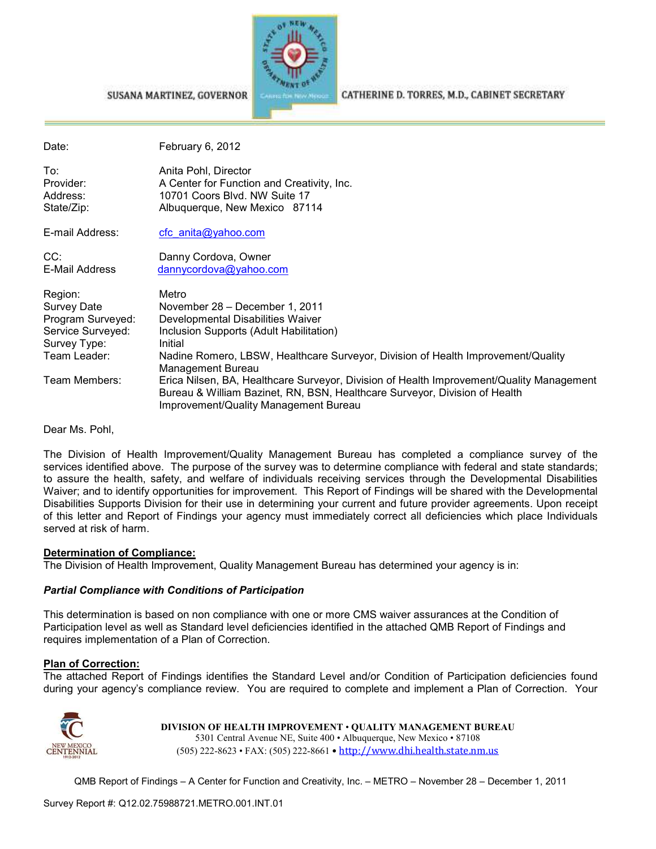

#### SUSANA MARTINEZ, GOVERNOR

CATHERINE D. TORRES, M.D., CABINET SECRETARY

| Date:                                                                                            | February 6, 2012                                                                                                                                                                                                                            |
|--------------------------------------------------------------------------------------------------|---------------------------------------------------------------------------------------------------------------------------------------------------------------------------------------------------------------------------------------------|
| To:<br>Provider:<br>Address:<br>State/Zip:                                                       | Anita Pohl, Director<br>A Center for Function and Creativity, Inc.<br>10701 Coors Blvd. NW Suite 17<br>Albuquerque, New Mexico 87114                                                                                                        |
| E-mail Address:                                                                                  | cfc anita@yahoo.com                                                                                                                                                                                                                         |
| CC:<br>E-Mail Address                                                                            | Danny Cordova, Owner<br>dannycordova@yahoo.com                                                                                                                                                                                              |
| Region:<br>Survey Date<br>Program Surveyed:<br>Service Surveyed:<br>Survey Type:<br>Team Leader: | Metro<br>November 28 - December 1, 2011<br>Developmental Disabilities Waiver<br>Inclusion Supports (Adult Habilitation)<br>Initial<br>Nadine Romero, LBSW, Healthcare Surveyor, Division of Health Improvement/Quality<br>Management Bureau |
| Team Members:                                                                                    | Erica Nilsen, BA, Healthcare Surveyor, Division of Health Improvement/Quality Management<br>Bureau & William Bazinet, RN, BSN, Healthcare Surveyor, Division of Health<br>Improvement/Quality Management Bureau                             |

Dear Ms. Pohl,

The Division of Health Improvement/Quality Management Bureau has completed a compliance survey of the services identified above. The purpose of the survey was to determine compliance with federal and state standards; to assure the health, safety, and welfare of individuals receiving services through the Developmental Disabilities Waiver; and to identify opportunities for improvement. This Report of Findings will be shared with the Developmental Disabilities Supports Division for their use in determining your current and future provider agreements. Upon receipt of this letter and Report of Findings your agency must immediately correct all deficiencies which place Individuals served at risk of harm.

#### **Determination of Compliance:**

The Division of Health Improvement, Quality Management Bureau has determined your agency is in:

#### *Partial Compliance with Conditions of Participation*

This determination is based on non compliance with one or more CMS waiver assurances at the Condition of Participation level as well as Standard level deficiencies identified in the attached QMB Report of Findings and requires implementation of a Plan of Correction.

#### **Plan of Correction:**

The attached Report of Findings identifies the Standard Level and/or Condition of Participation deficiencies found during your agency's compliance review. You are required to complete and implement a Plan of Correction. Your



**DIVISION OF HEALTH IMPROVEMENT** • **QUALITY MANAGEMENT BUREAU** 5301 Central Avenue NE, Suite 400 • Albuquerque, New Mexico • 87108 (505) 222-8623 • FAX: (505) 222-8661 • http://www.dhi.health.state.nm.us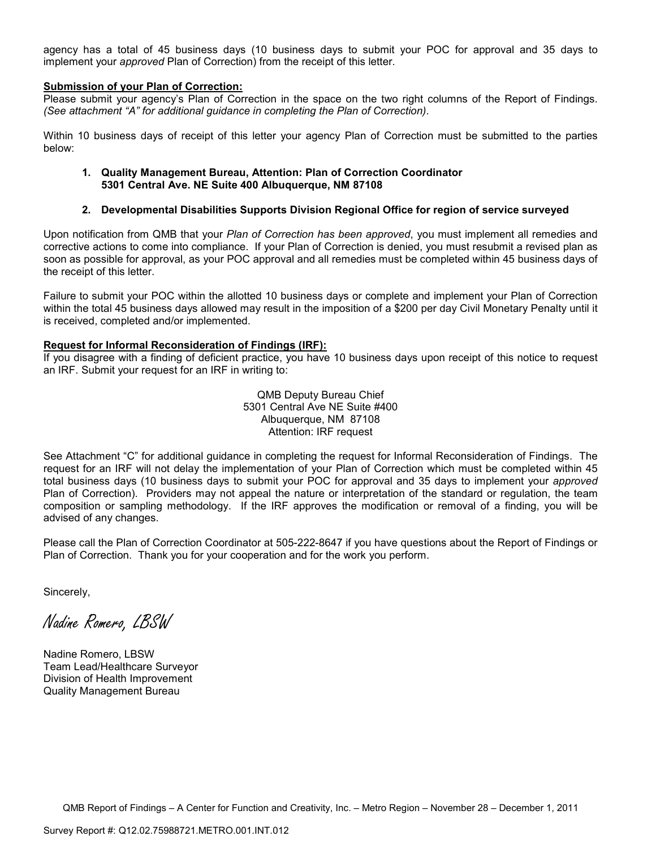agency has a total of 45 business days (10 business days to submit your POC for approval and 35 days to implement your *approved* Plan of Correction) from the receipt of this letter.

#### **Submission of your Plan of Correction:**

Please submit your agency's Plan of Correction in the space on the two right columns of the Report of Findings. *(See attachment "A" for additional guidance in completing the Plan of Correction)*.

Within 10 business days of receipt of this letter your agency Plan of Correction must be submitted to the parties below:

#### **1. Quality Management Bureau, Attention: Plan of Correction Coordinator 5301 Central Ave. NE Suite 400 Albuquerque, NM 87108**

#### **2. Developmental Disabilities Supports Division Regional Office for region of service surveyed**

Upon notification from QMB that your *Plan of Correction has been approved*, you must implement all remedies and corrective actions to come into compliance. If your Plan of Correction is denied, you must resubmit a revised plan as soon as possible for approval, as your POC approval and all remedies must be completed within 45 business days of the receipt of this letter.

Failure to submit your POC within the allotted 10 business days or complete and implement your Plan of Correction within the total 45 business days allowed may result in the imposition of a \$200 per day Civil Monetary Penalty until it is received, completed and/or implemented.

#### **Request for Informal Reconsideration of Findings (IRF):**

If you disagree with a finding of deficient practice, you have 10 business days upon receipt of this notice to request an IRF. Submit your request for an IRF in writing to:

> QMB Deputy Bureau Chief 5301 Central Ave NE Suite #400 Albuquerque, NM 87108 Attention: IRF request

See Attachment "C" for additional guidance in completing the request for Informal Reconsideration of Findings. The request for an IRF will not delay the implementation of your Plan of Correction which must be completed within 45 total business days (10 business days to submit your POC for approval and 35 days to implement your *approved* Plan of Correction). Providers may not appeal the nature or interpretation of the standard or regulation, the team composition or sampling methodology. If the IRF approves the modification or removal of a finding, you will be advised of any changes.

Please call the Plan of Correction Coordinator at 505-222-8647 if you have questions about the Report of Findings or Plan of Correction. Thank you for your cooperation and for the work you perform.

Sincerely,

Nadine Romero, LBSW

Nadine Romero, LBSW Team Lead/Healthcare Surveyor Division of Health Improvement Quality Management Bureau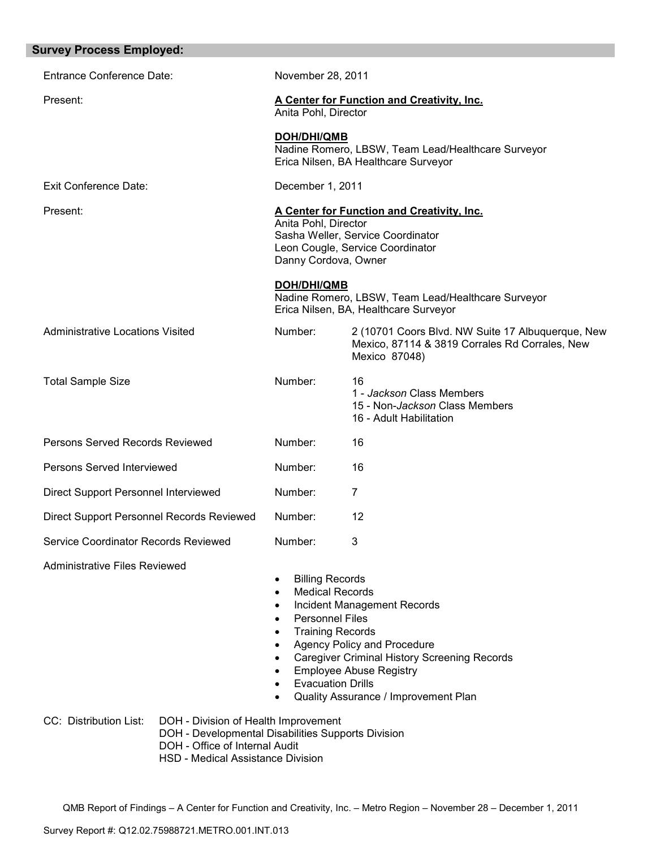| <b>Survey Process Employed:</b>                          |                                                                                                                                                                                                                                                                     |                                                                                                                                                                                             |
|----------------------------------------------------------|---------------------------------------------------------------------------------------------------------------------------------------------------------------------------------------------------------------------------------------------------------------------|---------------------------------------------------------------------------------------------------------------------------------------------------------------------------------------------|
| <b>Entrance Conference Date:</b>                         | November 28, 2011                                                                                                                                                                                                                                                   |                                                                                                                                                                                             |
| Present:                                                 | Anita Pohl, Director                                                                                                                                                                                                                                                | <b>A Center for Function and Creativity, Inc.</b>                                                                                                                                           |
|                                                          | <b>DOH/DHI/QMB</b>                                                                                                                                                                                                                                                  | Nadine Romero, LBSW, Team Lead/Healthcare Surveyor<br>Erica Nilsen, BA Healthcare Surveyor                                                                                                  |
| <b>Exit Conference Date:</b>                             | December 1, 2011                                                                                                                                                                                                                                                    |                                                                                                                                                                                             |
| Present:                                                 | Anita Pohl, Director<br>Danny Cordova, Owner                                                                                                                                                                                                                        | A Center for Function and Creativity, Inc.<br>Sasha Weller, Service Coordinator<br>Leon Cougle, Service Coordinator                                                                         |
|                                                          | <b>DOH/DHI/QMB</b>                                                                                                                                                                                                                                                  | Nadine Romero, LBSW, Team Lead/Healthcare Surveyor<br>Erica Nilsen, BA, Healthcare Surveyor                                                                                                 |
| <b>Administrative Locations Visited</b>                  | Number:                                                                                                                                                                                                                                                             | 2 (10701 Coors Blvd. NW Suite 17 Albuquerque, New<br>Mexico, 87114 & 3819 Corrales Rd Corrales, New<br>Mexico 87048)                                                                        |
| <b>Total Sample Size</b>                                 | Number:                                                                                                                                                                                                                                                             | 16<br>1 - Jackson Class Members<br>15 - Non-Jackson Class Members<br>16 - Adult Habilitation                                                                                                |
| Persons Served Records Reviewed                          | Number:                                                                                                                                                                                                                                                             | 16                                                                                                                                                                                          |
| Persons Served Interviewed                               | Number:                                                                                                                                                                                                                                                             | 16                                                                                                                                                                                          |
| Direct Support Personnel Interviewed                     | Number:                                                                                                                                                                                                                                                             | $\overline{7}$                                                                                                                                                                              |
| Direct Support Personnel Records Reviewed                | Number:                                                                                                                                                                                                                                                             | 12                                                                                                                                                                                          |
| Service Coordinator Records Reviewed                     | Number:                                                                                                                                                                                                                                                             | 3                                                                                                                                                                                           |
| <b>Administrative Files Reviewed</b>                     | <b>Billing Records</b><br>$\bullet$<br><b>Medical Records</b><br>$\bullet$<br>$\bullet$<br><b>Personnel Files</b><br>$\bullet$<br><b>Training Records</b><br>$\bullet$<br>$\bullet$<br>$\bullet$<br>$\bullet$<br><b>Evacuation Drills</b><br>$\bullet$<br>$\bullet$ | Incident Management Records<br>Agency Policy and Procedure<br><b>Caregiver Criminal History Screening Records</b><br><b>Employee Abuse Registry</b><br>Quality Assurance / Improvement Plan |
| CC: Distribution List:<br>DOH - Office of Internal Audit | DOH - Division of Health Improvement<br>DOH - Developmental Disabilities Supports Division<br>HSD - Medical Assistance Division                                                                                                                                     |                                                                                                                                                                                             |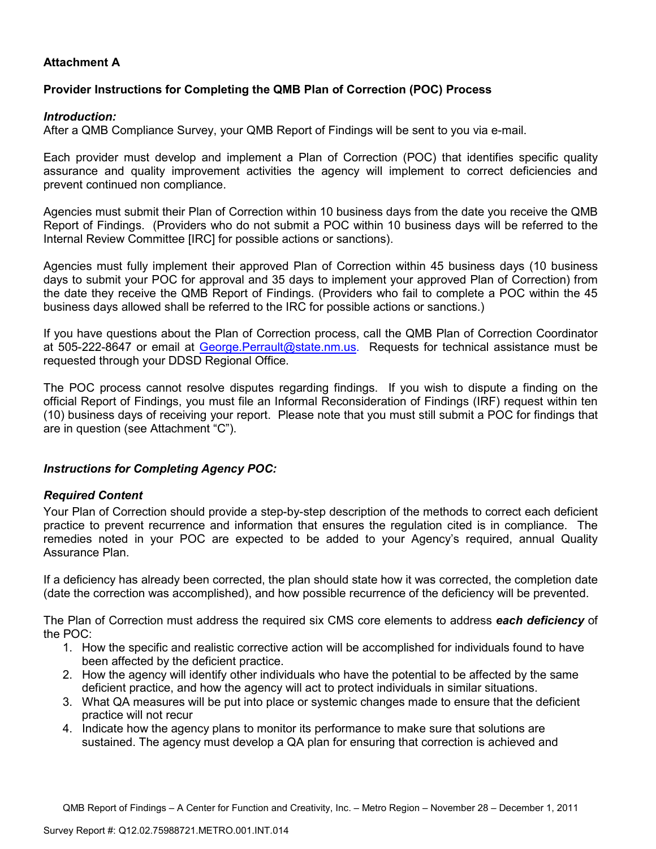## **Attachment A**

## **Provider Instructions for Completing the QMB Plan of Correction (POC) Process**

### *Introduction:*

After a QMB Compliance Survey, your QMB Report of Findings will be sent to you via e-mail.

Each provider must develop and implement a Plan of Correction (POC) that identifies specific quality assurance and quality improvement activities the agency will implement to correct deficiencies and prevent continued non compliance.

Agencies must submit their Plan of Correction within 10 business days from the date you receive the QMB Report of Findings. (Providers who do not submit a POC within 10 business days will be referred to the Internal Review Committee [IRC] for possible actions or sanctions).

Agencies must fully implement their approved Plan of Correction within 45 business days (10 business days to submit your POC for approval and 35 days to implement your approved Plan of Correction) from the date they receive the QMB Report of Findings. (Providers who fail to complete a POC within the 45 business days allowed shall be referred to the IRC for possible actions or sanctions.)

If you have questions about the Plan of Correction process, call the QMB Plan of Correction Coordinator at 505-222-8647 or email at George.Perrault@state.nm.us. Requests for technical assistance must be requested through your DDSD Regional Office.

The POC process cannot resolve disputes regarding findings. If you wish to dispute a finding on the official Report of Findings, you must file an Informal Reconsideration of Findings (IRF) request within ten (10) business days of receiving your report. Please note that you must still submit a POC for findings that are in question (see Attachment "C").

## *Instructions for Completing Agency POC:*

## *Required Content*

Your Plan of Correction should provide a step-by-step description of the methods to correct each deficient practice to prevent recurrence and information that ensures the regulation cited is in compliance. The remedies noted in your POC are expected to be added to your Agency's required, annual Quality Assurance Plan.

If a deficiency has already been corrected, the plan should state how it was corrected, the completion date (date the correction was accomplished), and how possible recurrence of the deficiency will be prevented.

The Plan of Correction must address the required six CMS core elements to address *each deficiency* of the POC:

- 1. How the specific and realistic corrective action will be accomplished for individuals found to have been affected by the deficient practice.
- 2. How the agency will identify other individuals who have the potential to be affected by the same deficient practice, and how the agency will act to protect individuals in similar situations.
- 3. What QA measures will be put into place or systemic changes made to ensure that the deficient practice will not recur
- 4. Indicate how the agency plans to monitor its performance to make sure that solutions are sustained. The agency must develop a QA plan for ensuring that correction is achieved and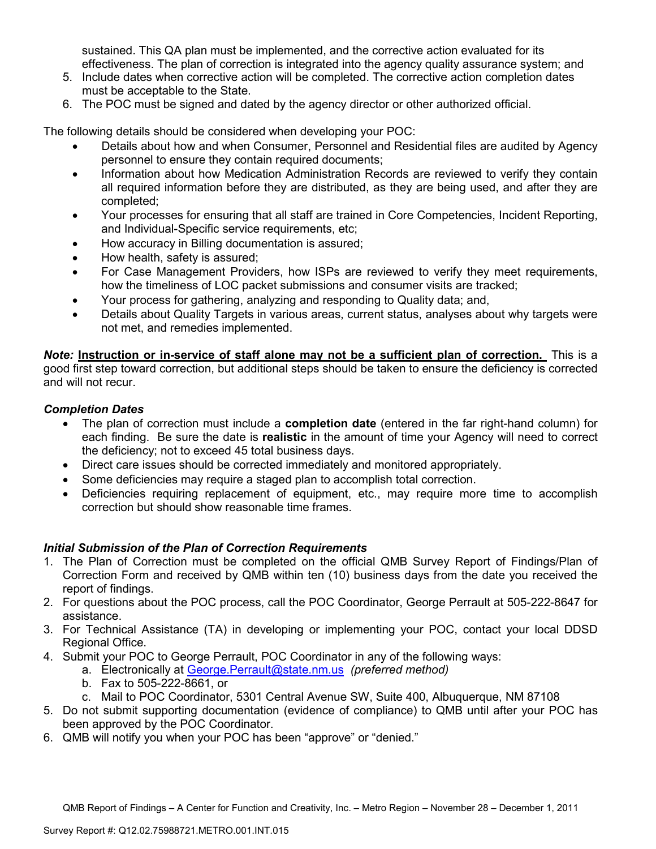sustained. This QA plan must be implemented, and the corrective action evaluated for its effectiveness. The plan of correction is integrated into the agency quality assurance system; and

- 5. Include dates when corrective action will be completed. The corrective action completion dates must be acceptable to the State.
- 6. The POC must be signed and dated by the agency director or other authorized official.

The following details should be considered when developing your POC:

- Details about how and when Consumer, Personnel and Residential files are audited by Agency personnel to ensure they contain required documents;
- Information about how Medication Administration Records are reviewed to verify they contain all required information before they are distributed, as they are being used, and after they are completed;
- Your processes for ensuring that all staff are trained in Core Competencies, Incident Reporting, and Individual-Specific service requirements, etc;
- How accuracy in Billing documentation is assured;
- How health, safety is assured;
- For Case Management Providers, how ISPs are reviewed to verify they meet requirements, how the timeliness of LOC packet submissions and consumer visits are tracked;
- Your process for gathering, analyzing and responding to Quality data; and,
- Details about Quality Targets in various areas, current status, analyses about why targets were not met, and remedies implemented.

*Note:* **Instruction or in-service of staff alone may not be a sufficient plan of correction.** This is a good first step toward correction, but additional steps should be taken to ensure the deficiency is corrected and will not recur.

## *Completion Dates*

- The plan of correction must include a **completion date** (entered in the far right-hand column) for each finding. Be sure the date is **realistic** in the amount of time your Agency will need to correct the deficiency; not to exceed 45 total business days.
- Direct care issues should be corrected immediately and monitored appropriately.
- Some deficiencies may require a staged plan to accomplish total correction.
- Deficiencies requiring replacement of equipment, etc., may require more time to accomplish correction but should show reasonable time frames.

## *Initial Submission of the Plan of Correction Requirements*

- 1. The Plan of Correction must be completed on the official QMB Survey Report of Findings/Plan of Correction Form and received by QMB within ten (10) business days from the date you received the report of findings.
- 2. For questions about the POC process, call the POC Coordinator, George Perrault at 505-222-8647 for assistance.
- 3. For Technical Assistance (TA) in developing or implementing your POC, contact your local DDSD Regional Office.
- 4. Submit your POC to George Perrault, POC Coordinator in any of the following ways:
	- a. Electronically at George.Perrault@state.nm.us *(preferred method)*
	- b. Fax to 505-222-8661, or
	- c. Mail to POC Coordinator, 5301 Central Avenue SW, Suite 400, Albuquerque, NM 87108
- 5. Do not submit supporting documentation (evidence of compliance) to QMB until after your POC has been approved by the POC Coordinator.
- 6. QMB will notify you when your POC has been "approve" or "denied."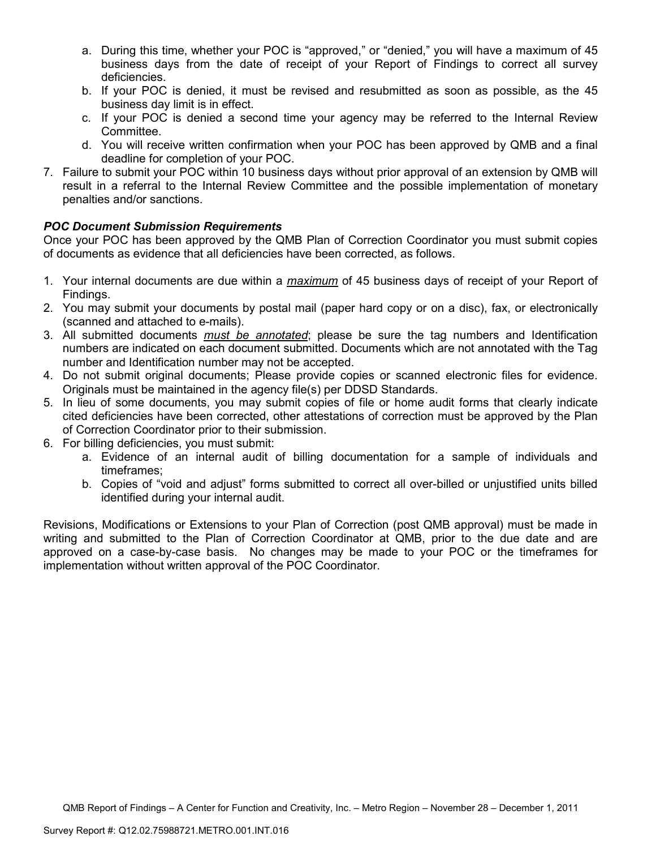- a. During this time, whether your POC is "approved," or "denied," you will have a maximum of 45 business days from the date of receipt of your Report of Findings to correct all survey deficiencies.
- b. If your POC is denied, it must be revised and resubmitted as soon as possible, as the 45 business day limit is in effect.
- c. If your POC is denied a second time your agency may be referred to the Internal Review Committee.
- d. You will receive written confirmation when your POC has been approved by QMB and a final deadline for completion of your POC.
- 7. Failure to submit your POC within 10 business days without prior approval of an extension by QMB will result in a referral to the Internal Review Committee and the possible implementation of monetary penalties and/or sanctions.

## *POC Document Submission Requirements*

Once your POC has been approved by the QMB Plan of Correction Coordinator you must submit copies of documents as evidence that all deficiencies have been corrected, as follows.

- 1. Your internal documents are due within a *maximum* of 45 business days of receipt of your Report of Findings.
- 2. You may submit your documents by postal mail (paper hard copy or on a disc), fax, or electronically (scanned and attached to e-mails).
- 3. All submitted documents *must be annotated*; please be sure the tag numbers and Identification numbers are indicated on each document submitted. Documents which are not annotated with the Tag number and Identification number may not be accepted.
- 4. Do not submit original documents; Please provide copies or scanned electronic files for evidence. Originals must be maintained in the agency file(s) per DDSD Standards.
- 5. In lieu of some documents, you may submit copies of file or home audit forms that clearly indicate cited deficiencies have been corrected, other attestations of correction must be approved by the Plan of Correction Coordinator prior to their submission.
- 6. For billing deficiencies, you must submit:
	- a. Evidence of an internal audit of billing documentation for a sample of individuals and timeframes;
	- b. Copies of "void and adjust" forms submitted to correct all over-billed or unjustified units billed identified during your internal audit.

Revisions, Modifications or Extensions to your Plan of Correction (post QMB approval) must be made in writing and submitted to the Plan of Correction Coordinator at QMB, prior to the due date and are approved on a case-by-case basis. No changes may be made to your POC or the timeframes for implementation without written approval of the POC Coordinator.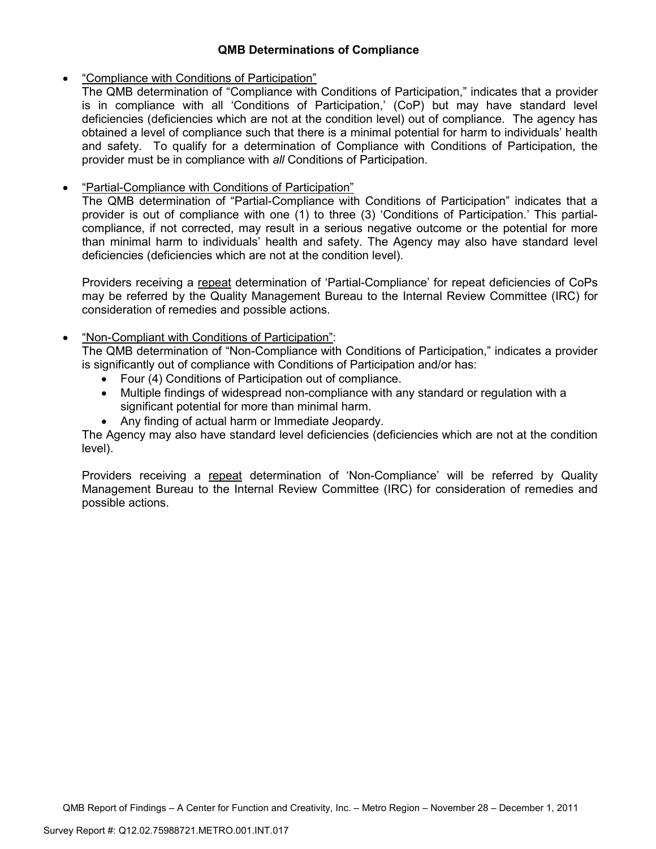## **QMB Determinations of Compliance**

## • "Compliance with Conditions of Participation"

The QMB determination of "Compliance with Conditions of Participation," indicates that a provider is in compliance with all 'Conditions of Participation,' (CoP) but may have standard level deficiencies (deficiencies which are not at the condition level) out of compliance. The agency has obtained a level of compliance such that there is a minimal potential for harm to individuals' health and safety. To qualify for a determination of Compliance with Conditions of Participation, the provider must be in compliance with *all* Conditions of Participation.

# • "Partial-Compliance with Conditions of Participation"

The QMB determination of "Partial-Compliance with Conditions of Participation" indicates that a provider is out of compliance with one (1) to three (3) 'Conditions of Participation.' This partialcompliance, if not corrected, may result in a serious negative outcome or the potential for more than minimal harm to individuals' health and safety. The Agency may also have standard level deficiencies (deficiencies which are not at the condition level).

Providers receiving a repeat determination of 'Partial-Compliance' for repeat deficiencies of CoPs may be referred by the Quality Management Bureau to the Internal Review Committee (IRC) for consideration of remedies and possible actions.

## • "Non-Compliant with Conditions of Participation":

The QMB determination of "Non-Compliance with Conditions of Participation," indicates a provider is significantly out of compliance with Conditions of Participation and/or has:

- Four (4) Conditions of Participation out of compliance.
- Multiple findings of widespread non-compliance with any standard or regulation with a significant potential for more than minimal harm.
- Any finding of actual harm or Immediate Jeopardy.

The Agency may also have standard level deficiencies (deficiencies which are not at the condition level).

Providers receiving a repeat determination of 'Non-Compliance' will be referred by Quality Management Bureau to the Internal Review Committee (IRC) for consideration of remedies and possible actions.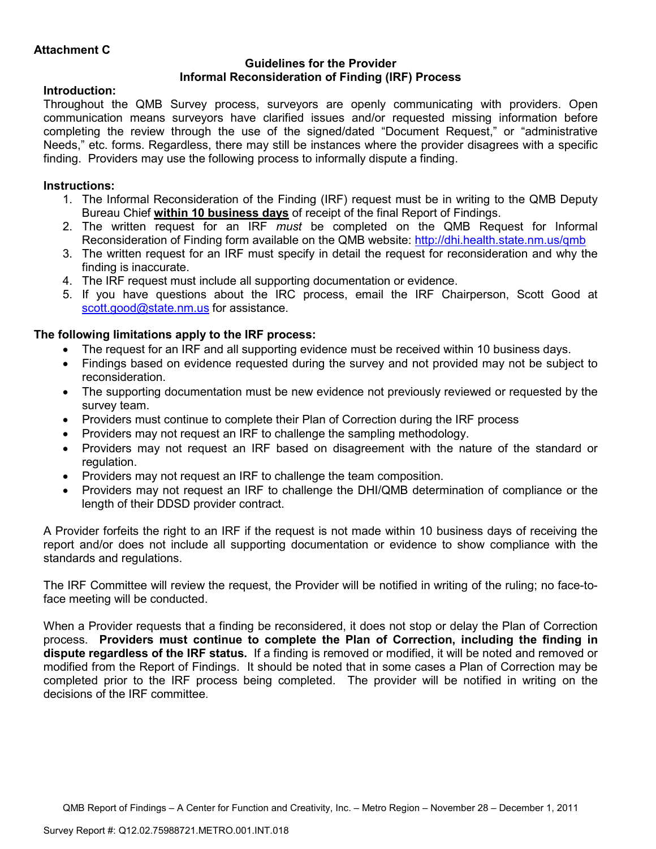### **Guidelines for the Provider Informal Reconsideration of Finding (IRF) Process**

## **Introduction:**

Throughout the QMB Survey process, surveyors are openly communicating with providers. Open communication means surveyors have clarified issues and/or requested missing information before completing the review through the use of the signed/dated "Document Request," or "administrative Needs," etc. forms. Regardless, there may still be instances where the provider disagrees with a specific finding. Providers may use the following process to informally dispute a finding.

# **Instructions:**

- 1. The Informal Reconsideration of the Finding (IRF) request must be in writing to the QMB Deputy Bureau Chief **within 10 business days** of receipt of the final Report of Findings.
- 2. The written request for an IRF *must* be completed on the QMB Request for Informal Reconsideration of Finding form available on the QMB website: http://dhi.health.state.nm.us/qmb
- 3. The written request for an IRF must specify in detail the request for reconsideration and why the finding is inaccurate.
- 4. The IRF request must include all supporting documentation or evidence.
- 5. If you have questions about the IRC process, email the IRF Chairperson, Scott Good at scott.good@state.nm.us for assistance.

## **The following limitations apply to the IRF process:**

- The request for an IRF and all supporting evidence must be received within 10 business days.
- Findings based on evidence requested during the survey and not provided may not be subject to reconsideration.
- The supporting documentation must be new evidence not previously reviewed or requested by the survey team.
- Providers must continue to complete their Plan of Correction during the IRF process
- Providers may not request an IRF to challenge the sampling methodology.
- Providers may not request an IRF based on disagreement with the nature of the standard or regulation.
- Providers may not request an IRF to challenge the team composition.
- Providers may not request an IRF to challenge the DHI/QMB determination of compliance or the length of their DDSD provider contract.

A Provider forfeits the right to an IRF if the request is not made within 10 business days of receiving the report and/or does not include all supporting documentation or evidence to show compliance with the standards and regulations.

The IRF Committee will review the request, the Provider will be notified in writing of the ruling; no face-toface meeting will be conducted.

When a Provider requests that a finding be reconsidered, it does not stop or delay the Plan of Correction process. **Providers must continue to complete the Plan of Correction, including the finding in dispute regardless of the IRF status.** If a finding is removed or modified, it will be noted and removed or modified from the Report of Findings. It should be noted that in some cases a Plan of Correction may be completed prior to the IRF process being completed. The provider will be notified in writing on the decisions of the IRF committee.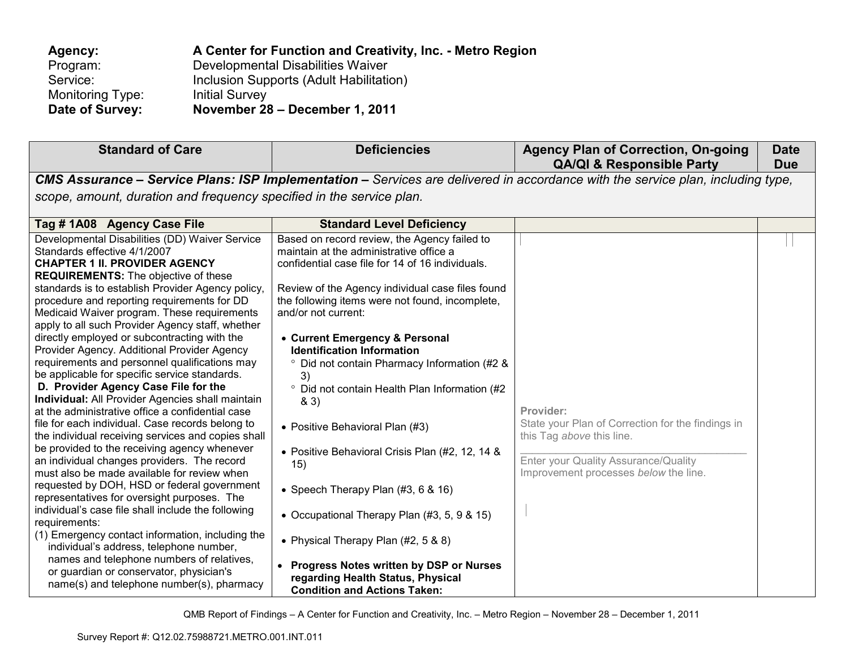| Agency:          | A Center for Function and Creativity, Inc. - Metro Region |
|------------------|-----------------------------------------------------------|
| Program:         | Developmental Disabilities Waiver                         |
| Service:         | Inclusion Supports (Adult Habilitation)                   |
| Monitoring Type: | <b>Initial Survey</b>                                     |
| Date of Survey:  | November 28 - December 1, 2011                            |

| <b>Standard of Care</b>                                                                                                                                                                                                                                                                                                                                                                                                                                                                                                                                                                                                                                                                                                                                                                                                                                                                                                                                                                                                                                                                                                                                                                                        | <b>Deficiencies</b>                                                                                                                                                                                                                                                                                                                                                                                                                                                                                                                                                                                                                                                                                               | <b>Agency Plan of Correction, On-going</b><br><b>QA/QI &amp; Responsible Party</b>                                                                                           | <b>Date</b><br><b>Due</b> |
|----------------------------------------------------------------------------------------------------------------------------------------------------------------------------------------------------------------------------------------------------------------------------------------------------------------------------------------------------------------------------------------------------------------------------------------------------------------------------------------------------------------------------------------------------------------------------------------------------------------------------------------------------------------------------------------------------------------------------------------------------------------------------------------------------------------------------------------------------------------------------------------------------------------------------------------------------------------------------------------------------------------------------------------------------------------------------------------------------------------------------------------------------------------------------------------------------------------|-------------------------------------------------------------------------------------------------------------------------------------------------------------------------------------------------------------------------------------------------------------------------------------------------------------------------------------------------------------------------------------------------------------------------------------------------------------------------------------------------------------------------------------------------------------------------------------------------------------------------------------------------------------------------------------------------------------------|------------------------------------------------------------------------------------------------------------------------------------------------------------------------------|---------------------------|
|                                                                                                                                                                                                                                                                                                                                                                                                                                                                                                                                                                                                                                                                                                                                                                                                                                                                                                                                                                                                                                                                                                                                                                                                                |                                                                                                                                                                                                                                                                                                                                                                                                                                                                                                                                                                                                                                                                                                                   | CMS Assurance - Service Plans: ISP Implementation - Services are delivered in accordance with the service plan, including type,                                              |                           |
| scope, amount, duration and frequency specified in the service plan.                                                                                                                                                                                                                                                                                                                                                                                                                                                                                                                                                                                                                                                                                                                                                                                                                                                                                                                                                                                                                                                                                                                                           |                                                                                                                                                                                                                                                                                                                                                                                                                                                                                                                                                                                                                                                                                                                   |                                                                                                                                                                              |                           |
| Tag #1A08 Agency Case File                                                                                                                                                                                                                                                                                                                                                                                                                                                                                                                                                                                                                                                                                                                                                                                                                                                                                                                                                                                                                                                                                                                                                                                     | <b>Standard Level Deficiency</b>                                                                                                                                                                                                                                                                                                                                                                                                                                                                                                                                                                                                                                                                                  |                                                                                                                                                                              |                           |
| Developmental Disabilities (DD) Waiver Service<br>Standards effective 4/1/2007<br><b>CHAPTER 1 II. PROVIDER AGENCY</b><br><b>REQUIREMENTS:</b> The objective of these<br>standards is to establish Provider Agency policy,<br>procedure and reporting requirements for DD<br>Medicaid Waiver program. These requirements<br>apply to all such Provider Agency staff, whether<br>directly employed or subcontracting with the<br>Provider Agency. Additional Provider Agency<br>requirements and personnel qualifications may<br>be applicable for specific service standards.<br>D. Provider Agency Case File for the<br>Individual: All Provider Agencies shall maintain<br>at the administrative office a confidential case<br>file for each individual. Case records belong to<br>the individual receiving services and copies shall<br>be provided to the receiving agency whenever<br>an individual changes providers. The record<br>must also be made available for review when<br>requested by DOH, HSD or federal government<br>representatives for oversight purposes. The<br>individual's case file shall include the following<br>requirements:<br>(1) Emergency contact information, including the | Based on record review, the Agency failed to<br>maintain at the administrative office a<br>confidential case file for 14 of 16 individuals.<br>Review of the Agency individual case files found<br>the following items were not found, incomplete,<br>and/or not current:<br>• Current Emergency & Personal<br><b>Identification Information</b><br><sup>o</sup> Did not contain Pharmacy Information (#2 &<br>3)<br><sup>o</sup> Did not contain Health Plan Information (#2<br>83)<br>• Positive Behavioral Plan (#3)<br>• Positive Behavioral Crisis Plan (#2, 12, 14 &<br>15)<br>• Speech Therapy Plan $(#3, 6, 8, 16)$<br>• Occupational Therapy Plan (#3, 5, 9 & 15)<br>• Physical Therapy Plan (#2, 5 & 8) | Provider:<br>State your Plan of Correction for the findings in<br>this Tag above this line.<br>Enter your Quality Assurance/Quality<br>Improvement processes below the line. |                           |
| individual's address, telephone number,<br>names and telephone numbers of relatives,<br>or guardian or conservator, physician's<br>name(s) and telephone number(s), pharmacy                                                                                                                                                                                                                                                                                                                                                                                                                                                                                                                                                                                                                                                                                                                                                                                                                                                                                                                                                                                                                                   | • Progress Notes written by DSP or Nurses<br>regarding Health Status, Physical<br><b>Condition and Actions Taken:</b>                                                                                                                                                                                                                                                                                                                                                                                                                                                                                                                                                                                             |                                                                                                                                                                              |                           |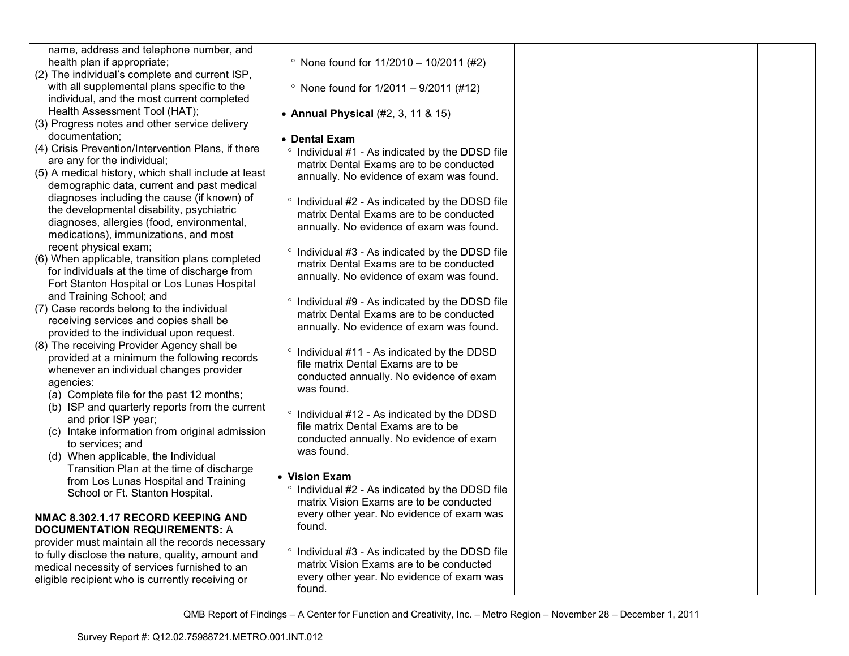| name, address and telephone number, and             |                                                            |  |
|-----------------------------------------------------|------------------------------------------------------------|--|
| health plan if appropriate;                         | $^{\circ}$ None found for 11/2010 - 10/2011 (#2)           |  |
| (2) The individual's complete and current ISP,      |                                                            |  |
| with all supplemental plans specific to the         | • None found for $1/2011 - 9/2011$ (#12)                   |  |
| individual, and the most current completed          |                                                            |  |
| Health Assessment Tool (HAT);                       | • Annual Physical (#2, 3, 11 & 15)                         |  |
| (3) Progress notes and other service delivery       |                                                            |  |
| documentation;                                      | • Dental Exam                                              |  |
| (4) Crisis Prevention/Intervention Plans, if there  | ° Individual #1 - As indicated by the DDSD file            |  |
| are any for the individual;                         | matrix Dental Exams are to be conducted                    |  |
| (5) A medical history, which shall include at least | annually. No evidence of exam was found.                   |  |
| demographic data, current and past medical          |                                                            |  |
| diagnoses including the cause (if known) of         | ° Individual #2 - As indicated by the DDSD file            |  |
| the developmental disability, psychiatric           | matrix Dental Exams are to be conducted                    |  |
| diagnoses, allergies (food, environmental,          | annually. No evidence of exam was found.                   |  |
| medications), immunizations, and most               |                                                            |  |
| recent physical exam;                               | ° Individual #3 - As indicated by the DDSD file            |  |
| (6) When applicable, transition plans completed     | matrix Dental Exams are to be conducted                    |  |
| for individuals at the time of discharge from       | annually. No evidence of exam was found.                   |  |
| Fort Stanton Hospital or Los Lunas Hospital         |                                                            |  |
| and Training School; and                            | <sup>o</sup> Individual #9 - As indicated by the DDSD file |  |
| (7) Case records belong to the individual           | matrix Dental Exams are to be conducted                    |  |
| receiving services and copies shall be              | annually. No evidence of exam was found.                   |  |
| provided to the individual upon request.            |                                                            |  |
| (8) The receiving Provider Agency shall be          | ° Individual #11 - As indicated by the DDSD                |  |
| provided at a minimum the following records         | file matrix Dental Exams are to be                         |  |
| whenever an individual changes provider             | conducted annually. No evidence of exam                    |  |
| agencies:                                           | was found.                                                 |  |
| (a) Complete file for the past 12 months;           |                                                            |  |
| (b) ISP and quarterly reports from the current      | ° Individual #12 - As indicated by the DDSD                |  |
| and prior ISP year;                                 | file matrix Dental Exams are to be                         |  |
| (c) Intake information from original admission      | conducted annually. No evidence of exam                    |  |
| to services; and                                    | was found.                                                 |  |
| (d) When applicable, the Individual                 |                                                            |  |
| Transition Plan at the time of discharge            | • Vision Exam                                              |  |
| from Los Lunas Hospital and Training                | Individual #2 - As indicated by the DDSD file              |  |
| School or Ft. Stanton Hospital.                     | matrix Vision Exams are to be conducted                    |  |
| NMAC 8.302.1.17 RECORD KEEPING AND                  | every other year. No evidence of exam was                  |  |
| <b>DOCUMENTATION REQUIREMENTS: A</b>                | found.                                                     |  |
| provider must maintain all the records necessary    |                                                            |  |
| to fully disclose the nature, quality, amount and   | ° Individual #3 - As indicated by the DDSD file            |  |
| medical necessity of services furnished to an       | matrix Vision Exams are to be conducted                    |  |
| eligible recipient who is currently receiving or    | every other year. No evidence of exam was                  |  |
|                                                     | found.                                                     |  |
|                                                     |                                                            |  |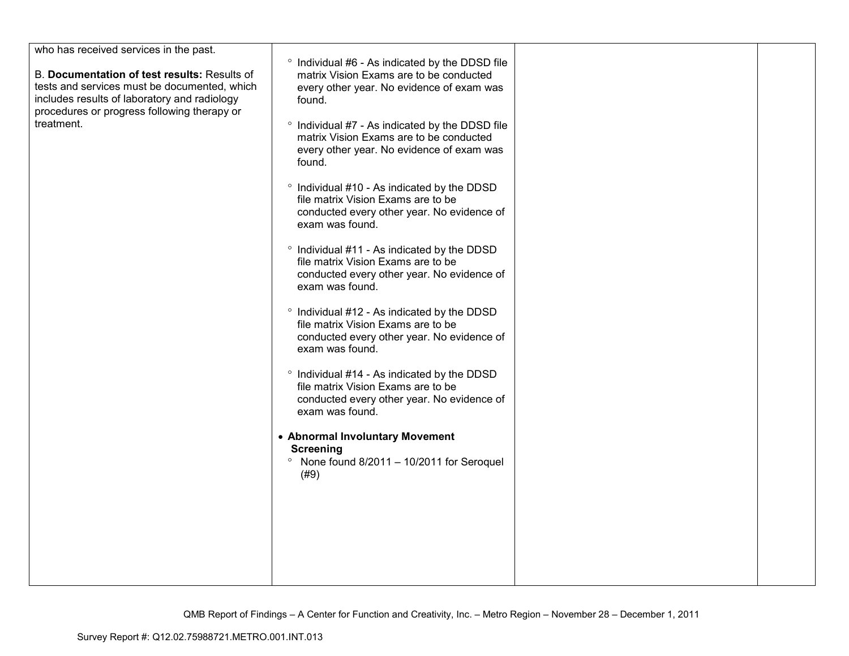| who has received services in the past.                                                                                                                                                      |                                                                                                                                                               |  |
|---------------------------------------------------------------------------------------------------------------------------------------------------------------------------------------------|---------------------------------------------------------------------------------------------------------------------------------------------------------------|--|
| B. Documentation of test results: Results of<br>tests and services must be documented, which<br>includes results of laboratory and radiology<br>procedures or progress following therapy or | ° Individual #6 - As indicated by the DDSD file<br>matrix Vision Exams are to be conducted<br>every other year. No evidence of exam was<br>found.             |  |
| treatment.                                                                                                                                                                                  | ° Individual #7 - As indicated by the DDSD file<br>matrix Vision Exams are to be conducted<br>every other year. No evidence of exam was<br>found.             |  |
|                                                                                                                                                                                             | ° Individual #10 - As indicated by the DDSD<br>file matrix Vision Exams are to be<br>conducted every other year. No evidence of<br>exam was found.            |  |
|                                                                                                                                                                                             | ° Individual #11 - As indicated by the DDSD<br>file matrix Vision Exams are to be<br>conducted every other year. No evidence of<br>exam was found.            |  |
|                                                                                                                                                                                             | <sup>o</sup> Individual #12 - As indicated by the DDSD<br>file matrix Vision Exams are to be<br>conducted every other year. No evidence of<br>exam was found. |  |
|                                                                                                                                                                                             | ° Individual #14 - As indicated by the DDSD<br>file matrix Vision Exams are to be<br>conducted every other year. No evidence of<br>exam was found.            |  |
|                                                                                                                                                                                             | • Abnormal Involuntary Movement<br><b>Screening</b><br>$^{\circ}$ None found 8/2011 - 10/2011 for Seroquel<br>(#9)                                            |  |
|                                                                                                                                                                                             |                                                                                                                                                               |  |
|                                                                                                                                                                                             |                                                                                                                                                               |  |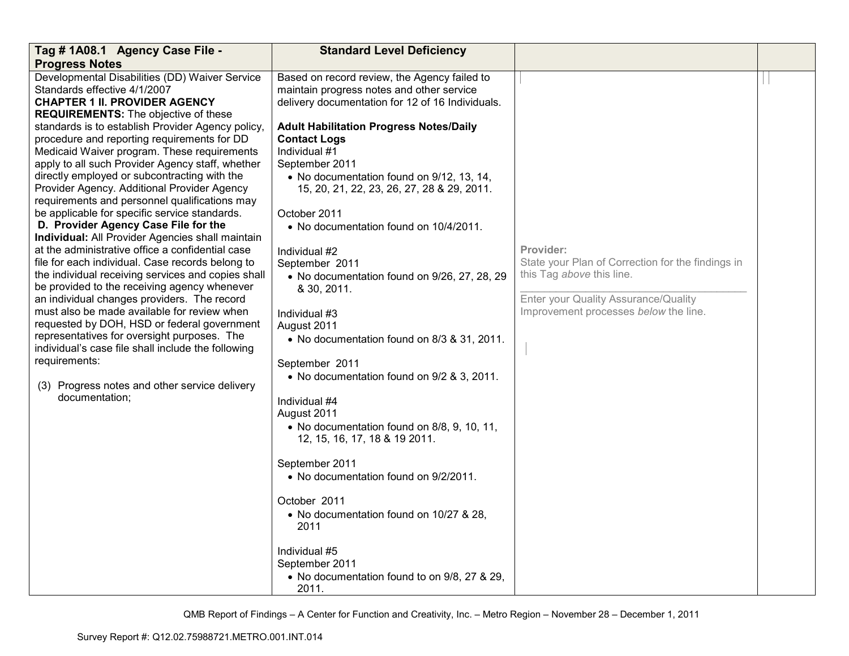| Tag #1A08.1 Agency Case File -                                                                                                                                                                                                                                                                                                                                                                                                                                                                                                                                                                                                                                                                                                                                                                                                                                                                                                                                                                                                                                                                                                                                                                                                | <b>Standard Level Deficiency</b>                                                                                                                                                                                                                                                                                                                                                                                                                                                                                                                                                                                                                                                                                                                                                                                                                                                                                                                                                                          |                                                                                                                                                                              |  |
|-------------------------------------------------------------------------------------------------------------------------------------------------------------------------------------------------------------------------------------------------------------------------------------------------------------------------------------------------------------------------------------------------------------------------------------------------------------------------------------------------------------------------------------------------------------------------------------------------------------------------------------------------------------------------------------------------------------------------------------------------------------------------------------------------------------------------------------------------------------------------------------------------------------------------------------------------------------------------------------------------------------------------------------------------------------------------------------------------------------------------------------------------------------------------------------------------------------------------------|-----------------------------------------------------------------------------------------------------------------------------------------------------------------------------------------------------------------------------------------------------------------------------------------------------------------------------------------------------------------------------------------------------------------------------------------------------------------------------------------------------------------------------------------------------------------------------------------------------------------------------------------------------------------------------------------------------------------------------------------------------------------------------------------------------------------------------------------------------------------------------------------------------------------------------------------------------------------------------------------------------------|------------------------------------------------------------------------------------------------------------------------------------------------------------------------------|--|
| <b>Progress Notes</b>                                                                                                                                                                                                                                                                                                                                                                                                                                                                                                                                                                                                                                                                                                                                                                                                                                                                                                                                                                                                                                                                                                                                                                                                         |                                                                                                                                                                                                                                                                                                                                                                                                                                                                                                                                                                                                                                                                                                                                                                                                                                                                                                                                                                                                           |                                                                                                                                                                              |  |
| Developmental Disabilities (DD) Waiver Service<br>Standards effective 4/1/2007<br><b>CHAPTER 1 II. PROVIDER AGENCY</b><br><b>REQUIREMENTS:</b> The objective of these<br>standards is to establish Provider Agency policy,<br>procedure and reporting requirements for DD<br>Medicaid Waiver program. These requirements<br>apply to all such Provider Agency staff, whether<br>directly employed or subcontracting with the<br>Provider Agency. Additional Provider Agency<br>requirements and personnel qualifications may<br>be applicable for specific service standards.<br>D. Provider Agency Case File for the<br>Individual: All Provider Agencies shall maintain<br>at the administrative office a confidential case<br>file for each individual. Case records belong to<br>the individual receiving services and copies shall<br>be provided to the receiving agency whenever<br>an individual changes providers. The record<br>must also be made available for review when<br>requested by DOH, HSD or federal government<br>representatives for oversight purposes. The<br>individual's case file shall include the following<br>requirements:<br>(3) Progress notes and other service delivery<br>documentation; | Based on record review, the Agency failed to<br>maintain progress notes and other service<br>delivery documentation for 12 of 16 Individuals.<br><b>Adult Habilitation Progress Notes/Daily</b><br><b>Contact Logs</b><br>Individual #1<br>September 2011<br>• No documentation found on 9/12, 13, 14,<br>15, 20, 21, 22, 23, 26, 27, 28 & 29, 2011.<br>October 2011<br>• No documentation found on 10/4/2011.<br>Individual #2<br>September 2011<br>• No documentation found on 9/26, 27, 28, 29<br>& 30, 2011.<br>Individual #3<br>August 2011<br>• No documentation found on 8/3 & 31, 2011.<br>September 2011<br>• No documentation found on 9/2 & 3, 2011.<br>Individual #4<br>August 2011<br>• No documentation found on 8/8, 9, 10, 11,<br>12, 15, 16, 17, 18 & 19 2011.<br>September 2011<br>• No documentation found on 9/2/2011.<br>October 2011<br>• No documentation found on 10/27 & 28,<br>2011<br>Individual #5<br>September 2011<br>• No documentation found to on 9/8, 27 & 29,<br>2011. | Provider:<br>State your Plan of Correction for the findings in<br>this Tag above this line.<br>Enter your Quality Assurance/Quality<br>Improvement processes below the line. |  |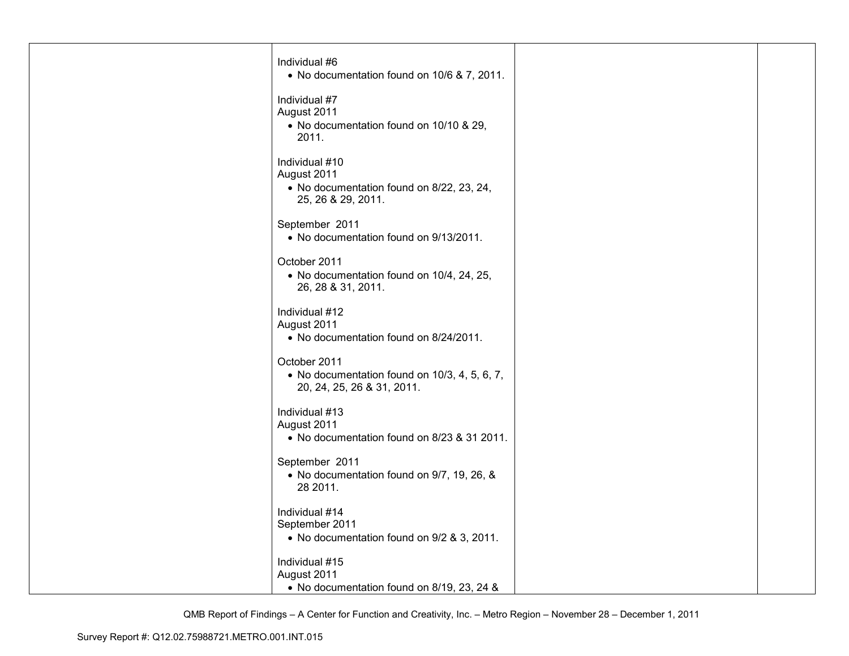| Individual #6<br>• No documentation found on 10/6 & 7, 2011.                                     |  |
|--------------------------------------------------------------------------------------------------|--|
| Individual #7<br>August 2011<br>• No documentation found on 10/10 & 29,<br>2011.                 |  |
| Individual #10<br>August 2011<br>• No documentation found on 8/22, 23, 24,<br>25, 26 & 29, 2011. |  |
| September 2011<br>• No documentation found on 9/13/2011.                                         |  |
| October 2011<br>• No documentation found on 10/4, 24, 25,<br>26, 28 & 31, 2011.                  |  |
| Individual #12<br>August 2011<br>• No documentation found on 8/24/2011.                          |  |
| October 2011<br>• No documentation found on 10/3, 4, 5, 6, 7,<br>20, 24, 25, 26 & 31, 2011.      |  |
| Individual #13<br>August 2011<br>• No documentation found on 8/23 & 31 2011.                     |  |
| September 2011<br>• No documentation found on 9/7, 19, 26, &<br>28 2011.                         |  |
| Individual #14<br>September 2011<br>• No documentation found on 9/2 & 3, 2011.                   |  |
| Individual #15<br>August 2011<br>• No documentation found on 8/19, 23, 24 &                      |  |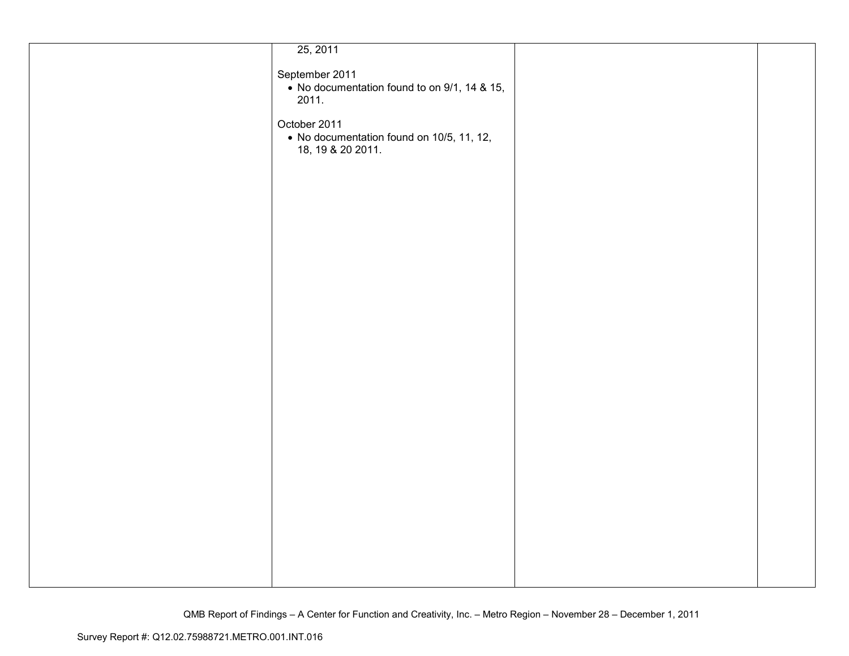| 25, 2011                                                       |  |
|----------------------------------------------------------------|--|
|                                                                |  |
| September 2011                                                 |  |
|                                                                |  |
| • No documentation found to on 9/1, 14 & 15,                   |  |
| 2011.                                                          |  |
|                                                                |  |
|                                                                |  |
| October 2011                                                   |  |
| • No documentation found on 10/5, 11, 12,<br>18, 19 & 20 2011. |  |
|                                                                |  |
|                                                                |  |
|                                                                |  |
|                                                                |  |
|                                                                |  |
|                                                                |  |
|                                                                |  |
|                                                                |  |
|                                                                |  |
|                                                                |  |
|                                                                |  |
|                                                                |  |
|                                                                |  |
|                                                                |  |
|                                                                |  |
|                                                                |  |
|                                                                |  |
|                                                                |  |
|                                                                |  |
|                                                                |  |
|                                                                |  |
|                                                                |  |
|                                                                |  |
|                                                                |  |
|                                                                |  |
|                                                                |  |
|                                                                |  |
|                                                                |  |
|                                                                |  |
|                                                                |  |
|                                                                |  |
|                                                                |  |
|                                                                |  |
|                                                                |  |
|                                                                |  |
|                                                                |  |
|                                                                |  |
|                                                                |  |
|                                                                |  |
|                                                                |  |
|                                                                |  |
|                                                                |  |
|                                                                |  |
|                                                                |  |
|                                                                |  |
|                                                                |  |
|                                                                |  |
|                                                                |  |
|                                                                |  |
|                                                                |  |
|                                                                |  |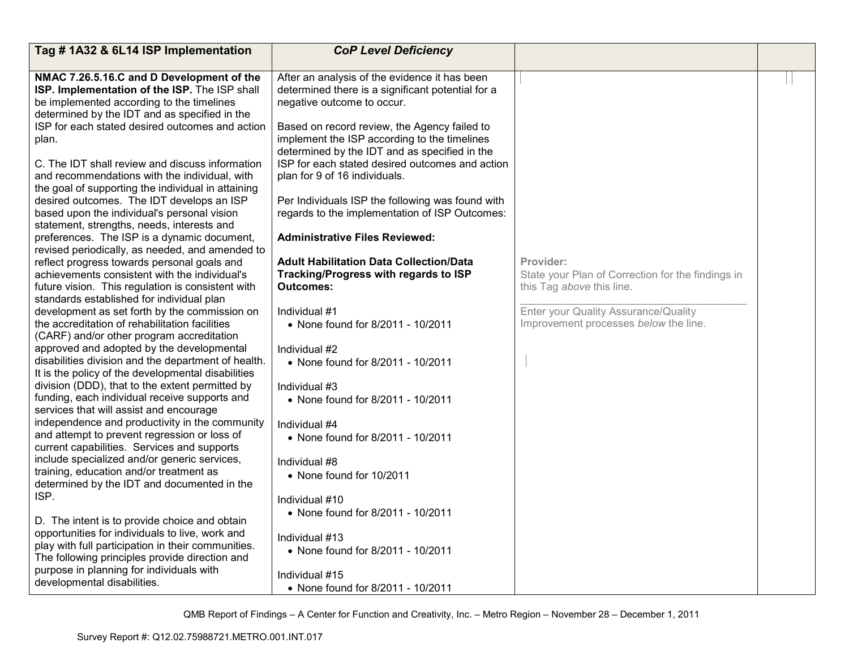| Tag #1A32 & 6L14 ISP Implementation                                                             | <b>CoP Level Deficiency</b>                       |                                                                               |  |
|-------------------------------------------------------------------------------------------------|---------------------------------------------------|-------------------------------------------------------------------------------|--|
|                                                                                                 |                                                   |                                                                               |  |
| NMAC 7.26.5.16.C and D Development of the                                                       | After an analysis of the evidence it has been     |                                                                               |  |
| ISP. Implementation of the ISP. The ISP shall                                                   | determined there is a significant potential for a |                                                                               |  |
| be implemented according to the timelines                                                       | negative outcome to occur.                        |                                                                               |  |
| determined by the IDT and as specified in the                                                   |                                                   |                                                                               |  |
| ISP for each stated desired outcomes and action                                                 | Based on record review, the Agency failed to      |                                                                               |  |
| plan.                                                                                           | implement the ISP according to the timelines      |                                                                               |  |
|                                                                                                 | determined by the IDT and as specified in the     |                                                                               |  |
| C. The IDT shall review and discuss information                                                 | ISP for each stated desired outcomes and action   |                                                                               |  |
| and recommendations with the individual, with                                                   | plan for 9 of 16 individuals.                     |                                                                               |  |
| the goal of supporting the individual in attaining                                              |                                                   |                                                                               |  |
| desired outcomes. The IDT develops an ISP                                                       | Per Individuals ISP the following was found with  |                                                                               |  |
| based upon the individual's personal vision                                                     | regards to the implementation of ISP Outcomes:    |                                                                               |  |
| statement, strengths, needs, interests and                                                      |                                                   |                                                                               |  |
| preferences. The ISP is a dynamic document,                                                     | <b>Administrative Files Reviewed:</b>             |                                                                               |  |
| revised periodically, as needed, and amended to                                                 |                                                   |                                                                               |  |
| reflect progress towards personal goals and                                                     | <b>Adult Habilitation Data Collection/Data</b>    | Provider:                                                                     |  |
| achievements consistent with the individual's                                                   | Tracking/Progress with regards to ISP             | State your Plan of Correction for the findings in                             |  |
| future vision. This regulation is consistent with                                               | <b>Outcomes:</b>                                  | this Tag above this line.                                                     |  |
| standards established for individual plan                                                       |                                                   |                                                                               |  |
| development as set forth by the commission on<br>the accreditation of rehabilitation facilities | Individual #1                                     | Enter your Quality Assurance/Quality<br>Improvement processes below the line. |  |
| (CARF) and/or other program accreditation                                                       | • None found for 8/2011 - 10/2011                 |                                                                               |  |
| approved and adopted by the developmental                                                       | Individual #2                                     |                                                                               |  |
| disabilities division and the department of health.                                             | • None found for 8/2011 - 10/2011                 |                                                                               |  |
| It is the policy of the developmental disabilities                                              |                                                   |                                                                               |  |
| division (DDD), that to the extent permitted by                                                 | Individual #3                                     |                                                                               |  |
| funding, each individual receive supports and                                                   | • None found for 8/2011 - 10/2011                 |                                                                               |  |
| services that will assist and encourage                                                         |                                                   |                                                                               |  |
| independence and productivity in the community                                                  | Individual #4                                     |                                                                               |  |
| and attempt to prevent regression or loss of                                                    | • None found for 8/2011 - 10/2011                 |                                                                               |  |
| current capabilities. Services and supports                                                     |                                                   |                                                                               |  |
| include specialized and/or generic services,                                                    | Individual #8                                     |                                                                               |  |
| training, education and/or treatment as                                                         | • None found for 10/2011                          |                                                                               |  |
| determined by the IDT and documented in the                                                     |                                                   |                                                                               |  |
| ISP.                                                                                            | Individual #10                                    |                                                                               |  |
|                                                                                                 | • None found for 8/2011 - 10/2011                 |                                                                               |  |
| D. The intent is to provide choice and obtain                                                   |                                                   |                                                                               |  |
| opportunities for individuals to live, work and                                                 | Individual #13                                    |                                                                               |  |
| play with full participation in their communities.                                              | • None found for 8/2011 - 10/2011                 |                                                                               |  |
| The following principles provide direction and                                                  |                                                   |                                                                               |  |
| purpose in planning for individuals with                                                        | Individual #15                                    |                                                                               |  |
| developmental disabilities.                                                                     | • None found for 8/2011 - 10/2011                 |                                                                               |  |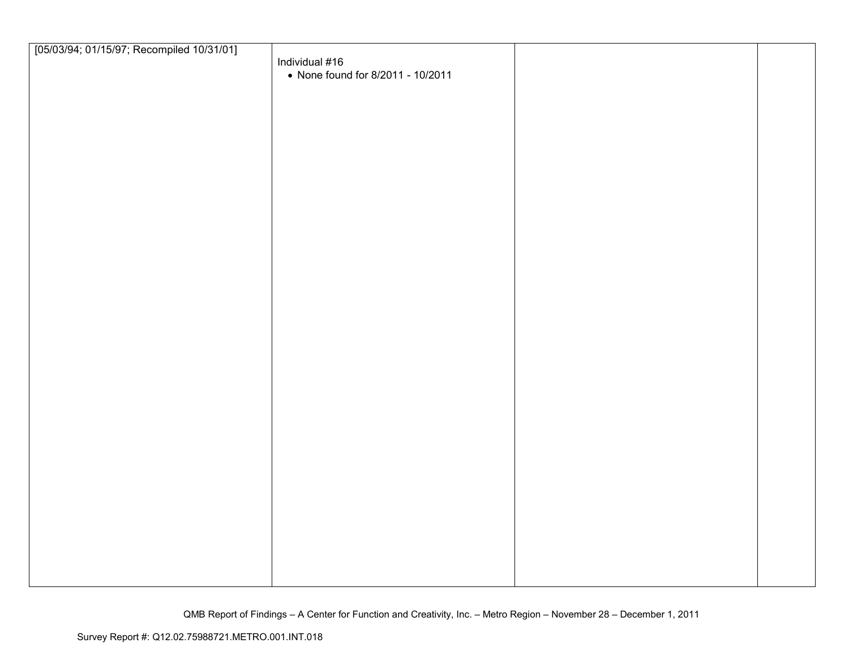| [05/03/94; 01/15/97; Recompiled 10/31/01] |                                   |  |
|-------------------------------------------|-----------------------------------|--|
|                                           | Individual #16                    |  |
|                                           | • None found for 8/2011 - 10/2011 |  |
|                                           |                                   |  |
|                                           |                                   |  |
|                                           |                                   |  |
|                                           |                                   |  |
|                                           |                                   |  |
|                                           |                                   |  |
|                                           |                                   |  |
|                                           |                                   |  |
|                                           |                                   |  |
|                                           |                                   |  |
|                                           |                                   |  |
|                                           |                                   |  |
|                                           |                                   |  |
|                                           |                                   |  |
|                                           |                                   |  |
|                                           |                                   |  |
|                                           |                                   |  |
|                                           |                                   |  |
|                                           |                                   |  |
|                                           |                                   |  |
|                                           |                                   |  |
|                                           |                                   |  |
|                                           |                                   |  |
|                                           |                                   |  |
|                                           |                                   |  |
|                                           |                                   |  |
|                                           |                                   |  |
|                                           |                                   |  |
|                                           |                                   |  |
|                                           |                                   |  |
|                                           |                                   |  |
|                                           |                                   |  |
|                                           |                                   |  |
|                                           |                                   |  |
|                                           |                                   |  |
|                                           |                                   |  |
|                                           |                                   |  |
|                                           |                                   |  |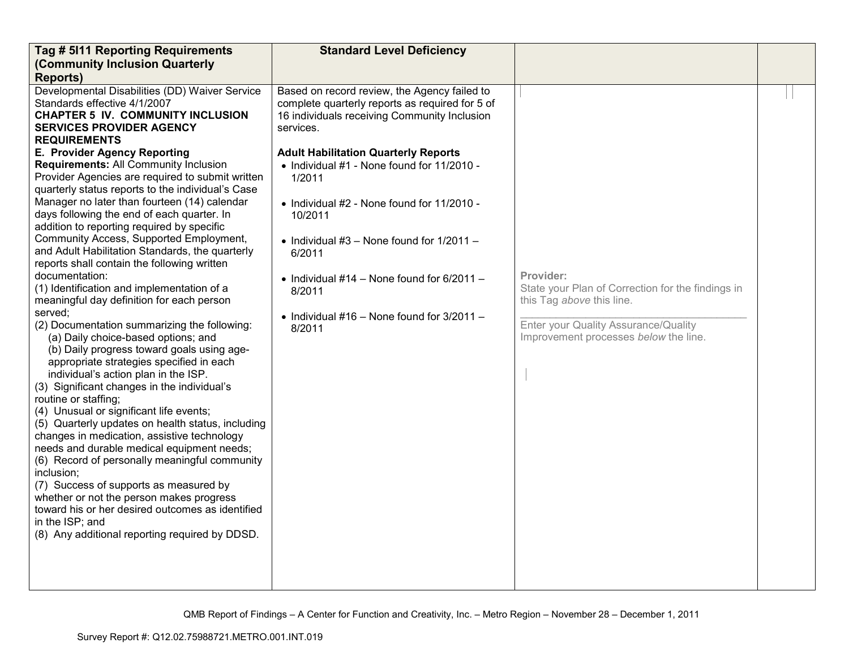| Tag # 5111 Reporting Requirements                                                                                                                                                                                                                                                                                                                                                                                                                                                                                                                                                                                  | <b>Standard Level Deficiency</b>                                                                                                                                                                                                                                    |                                                                                                                                                                              |  |
|--------------------------------------------------------------------------------------------------------------------------------------------------------------------------------------------------------------------------------------------------------------------------------------------------------------------------------------------------------------------------------------------------------------------------------------------------------------------------------------------------------------------------------------------------------------------------------------------------------------------|---------------------------------------------------------------------------------------------------------------------------------------------------------------------------------------------------------------------------------------------------------------------|------------------------------------------------------------------------------------------------------------------------------------------------------------------------------|--|
| (Community Inclusion Quarterly                                                                                                                                                                                                                                                                                                                                                                                                                                                                                                                                                                                     |                                                                                                                                                                                                                                                                     |                                                                                                                                                                              |  |
| <b>Reports)</b>                                                                                                                                                                                                                                                                                                                                                                                                                                                                                                                                                                                                    |                                                                                                                                                                                                                                                                     |                                                                                                                                                                              |  |
| Developmental Disabilities (DD) Waiver Service<br>Standards effective 4/1/2007<br><b>CHAPTER 5 IV. COMMUNITY INCLUSION</b><br><b>SERVICES PROVIDER AGENCY</b><br><b>REQUIREMENTS</b><br>E. Provider Agency Reporting<br>Requirements: All Community Inclusion<br>Provider Agencies are required to submit written<br>quarterly status reports to the individual's Case                                                                                                                                                                                                                                             | Based on record review, the Agency failed to<br>complete quarterly reports as required for 5 of<br>16 individuals receiving Community Inclusion<br>services.<br><b>Adult Habilitation Quarterly Reports</b><br>• Individual #1 - None found for 11/2010 -<br>1/2011 |                                                                                                                                                                              |  |
| Manager no later than fourteen (14) calendar<br>days following the end of each quarter. In<br>addition to reporting required by specific<br>Community Access, Supported Employment,<br>and Adult Habilitation Standards, the quarterly                                                                                                                                                                                                                                                                                                                                                                             | • Individual $#2$ - None found for 11/2010 -<br>10/2011<br>• Individual $#3$ – None found for $1/2011$ –<br>6/2011                                                                                                                                                  |                                                                                                                                                                              |  |
| reports shall contain the following written<br>documentation:<br>(1) Identification and implementation of a<br>meaningful day definition for each person<br>served;<br>(2) Documentation summarizing the following:<br>(a) Daily choice-based options; and<br>(b) Daily progress toward goals using age-<br>appropriate strategies specified in each<br>individual's action plan in the ISP.<br>(3) Significant changes in the individual's<br>routine or staffing;<br>(4) Unusual or significant life events;<br>(5) Quarterly updates on health status, including<br>changes in medication, assistive technology | • Individual #14 - None found for $6/2011 -$<br>8/2011<br>• Individual #16 – None found for $3/2011$ –<br>8/2011                                                                                                                                                    | Provider:<br>State your Plan of Correction for the findings in<br>this Tag above this line.<br>Enter your Quality Assurance/Quality<br>Improvement processes below the line. |  |
| needs and durable medical equipment needs;<br>(6) Record of personally meaningful community<br>inclusion;<br>(7) Success of supports as measured by<br>whether or not the person makes progress<br>toward his or her desired outcomes as identified<br>in the ISP; and<br>(8) Any additional reporting required by DDSD.                                                                                                                                                                                                                                                                                           |                                                                                                                                                                                                                                                                     |                                                                                                                                                                              |  |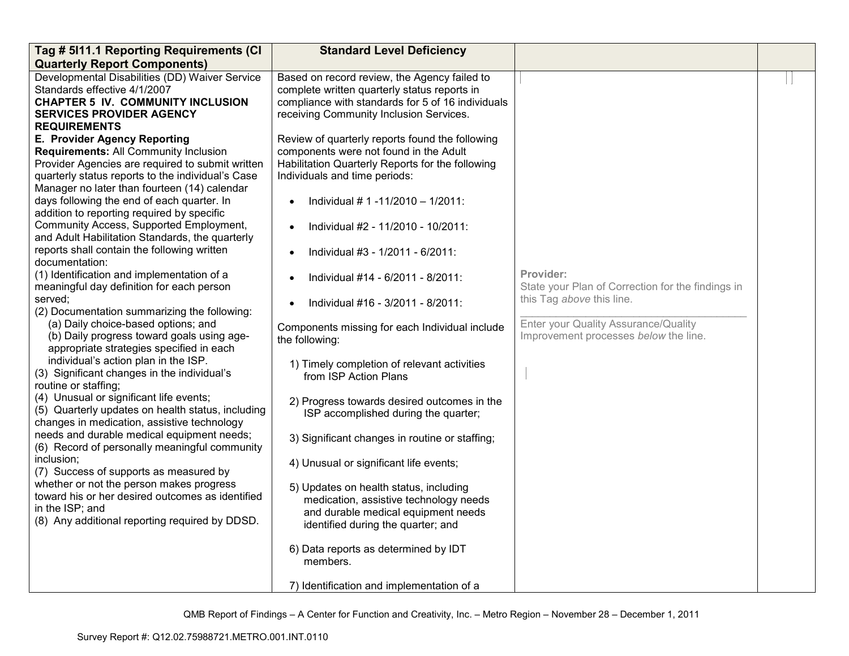| Tag # 5111.1 Reporting Requirements (CI           | <b>Standard Level Deficiency</b>                  |                                                   |  |
|---------------------------------------------------|---------------------------------------------------|---------------------------------------------------|--|
| <b>Quarterly Report Components)</b>               |                                                   |                                                   |  |
| Developmental Disabilities (DD) Waiver Service    | Based on record review, the Agency failed to      |                                                   |  |
| Standards effective 4/1/2007                      | complete written quarterly status reports in      |                                                   |  |
| <b>CHAPTER 5 IV. COMMUNITY INCLUSION</b>          | compliance with standards for 5 of 16 individuals |                                                   |  |
| <b>SERVICES PROVIDER AGENCY</b>                   | receiving Community Inclusion Services.           |                                                   |  |
| <b>REQUIREMENTS</b>                               |                                                   |                                                   |  |
| E. Provider Agency Reporting                      | Review of quarterly reports found the following   |                                                   |  |
| Requirements: All Community Inclusion             | components were not found in the Adult            |                                                   |  |
| Provider Agencies are required to submit written  | Habilitation Quarterly Reports for the following  |                                                   |  |
| quarterly status reports to the individual's Case | Individuals and time periods:                     |                                                   |  |
| Manager no later than fourteen (14) calendar      |                                                   |                                                   |  |
| days following the end of each quarter. In        | Individual # 1 -11/2010 - 1/2011:                 |                                                   |  |
| addition to reporting required by specific        |                                                   |                                                   |  |
| Community Access, Supported Employment,           | Individual #2 - 11/2010 - 10/2011:                |                                                   |  |
| and Adult Habilitation Standards, the quarterly   |                                                   |                                                   |  |
| reports shall contain the following written       | Individual #3 - 1/2011 - 6/2011:                  |                                                   |  |
| documentation:                                    |                                                   |                                                   |  |
| (1) Identification and implementation of a        | Individual #14 - 6/2011 - 8/2011:                 | Provider:                                         |  |
| meaningful day definition for each person         |                                                   | State your Plan of Correction for the findings in |  |
| served;                                           | Individual #16 - 3/2011 - 8/2011:                 | this Tag above this line.                         |  |
| (2) Documentation summarizing the following:      |                                                   |                                                   |  |
| (a) Daily choice-based options; and               | Components missing for each Individual include    | Enter your Quality Assurance/Quality              |  |
| (b) Daily progress toward goals using age-        | the following:                                    | Improvement processes below the line.             |  |
| appropriate strategies specified in each          |                                                   |                                                   |  |
| individual's action plan in the ISP.              | 1) Timely completion of relevant activities       |                                                   |  |
| (3) Significant changes in the individual's       | from ISP Action Plans                             |                                                   |  |
| routine or staffing;                              |                                                   |                                                   |  |
| (4) Unusual or significant life events;           | 2) Progress towards desired outcomes in the       |                                                   |  |
| (5) Quarterly updates on health status, including | ISP accomplished during the quarter;              |                                                   |  |
| changes in medication, assistive technology       |                                                   |                                                   |  |
| needs and durable medical equipment needs;        | 3) Significant changes in routine or staffing;    |                                                   |  |
| (6) Record of personally meaningful community     |                                                   |                                                   |  |
| inclusion;                                        | 4) Unusual or significant life events;            |                                                   |  |
| (7) Success of supports as measured by            |                                                   |                                                   |  |
| whether or not the person makes progress          | 5) Updates on health status, including            |                                                   |  |
| toward his or her desired outcomes as identified  | medication, assistive technology needs            |                                                   |  |
| in the ISP; and                                   | and durable medical equipment needs               |                                                   |  |
| (8) Any additional reporting required by DDSD.    | identified during the quarter; and                |                                                   |  |
|                                                   |                                                   |                                                   |  |
|                                                   | 6) Data reports as determined by IDT              |                                                   |  |
|                                                   | members.                                          |                                                   |  |
|                                                   |                                                   |                                                   |  |
|                                                   | 7) Identification and implementation of a         |                                                   |  |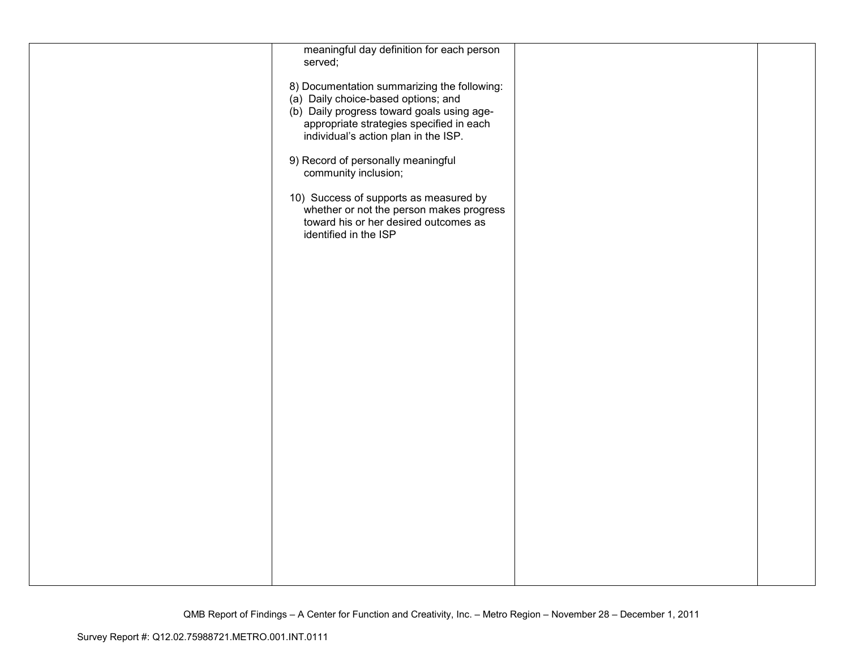| meaningful day definition for each person   |  |
|---------------------------------------------|--|
| served;                                     |  |
|                                             |  |
| 8) Documentation summarizing the following: |  |
|                                             |  |
| (a) Daily choice-based options; and         |  |
| (b) Daily progress toward goals using age-  |  |
| appropriate strategies specified in each    |  |
| individual's action plan in the ISP.        |  |
|                                             |  |
|                                             |  |
| 9) Record of personally meaningful          |  |
| community inclusion;                        |  |
|                                             |  |
|                                             |  |
| 10) Success of supports as measured by      |  |
| whether or not the person makes progress    |  |
| toward his or her desired outcomes as       |  |
| identified in the ISP                       |  |
|                                             |  |
|                                             |  |
|                                             |  |
|                                             |  |
|                                             |  |
|                                             |  |
|                                             |  |
|                                             |  |
|                                             |  |
|                                             |  |
|                                             |  |
|                                             |  |
|                                             |  |
|                                             |  |
|                                             |  |
|                                             |  |
|                                             |  |
|                                             |  |
|                                             |  |
|                                             |  |
|                                             |  |
|                                             |  |
|                                             |  |
|                                             |  |
|                                             |  |
|                                             |  |
|                                             |  |
|                                             |  |
|                                             |  |
|                                             |  |
|                                             |  |
|                                             |  |
|                                             |  |
|                                             |  |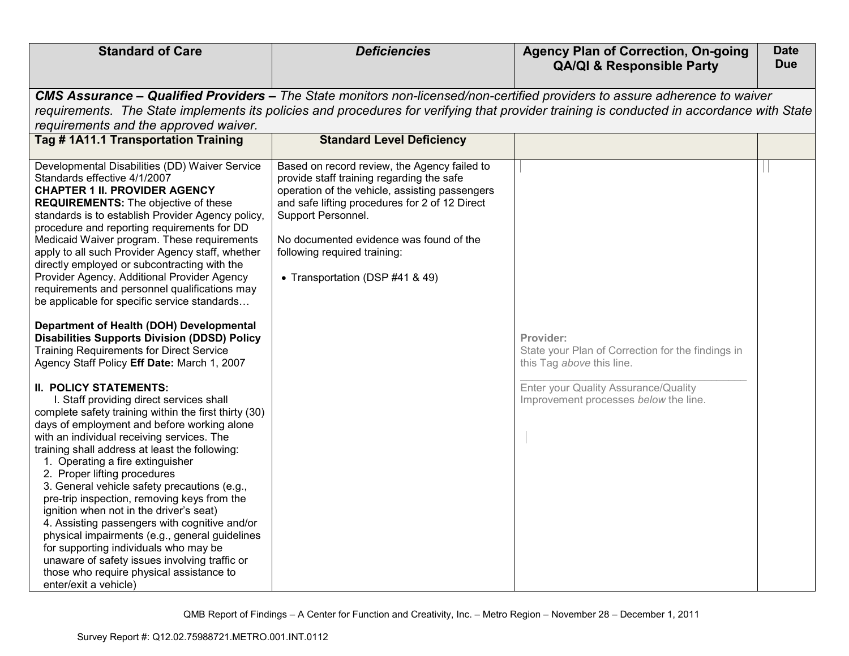| <b>Standard of Care</b>                                                                                                                                                                                                                                                                                                                                                                                                                                                                                                                                                                                                                                                                                                                                                                                                                                                                                                                                                                                                                                                                                                                                                                                                                                                                                                                                                                                                                                                                                                       | <b>Deficiencies</b>                                                                                                                                                                                                                                                                                                               | <b>Agency Plan of Correction, On-going</b><br><b>QA/QI &amp; Responsible Party</b>                                                                                           | <b>Date</b><br><b>Due</b> |  |  |
|-------------------------------------------------------------------------------------------------------------------------------------------------------------------------------------------------------------------------------------------------------------------------------------------------------------------------------------------------------------------------------------------------------------------------------------------------------------------------------------------------------------------------------------------------------------------------------------------------------------------------------------------------------------------------------------------------------------------------------------------------------------------------------------------------------------------------------------------------------------------------------------------------------------------------------------------------------------------------------------------------------------------------------------------------------------------------------------------------------------------------------------------------------------------------------------------------------------------------------------------------------------------------------------------------------------------------------------------------------------------------------------------------------------------------------------------------------------------------------------------------------------------------------|-----------------------------------------------------------------------------------------------------------------------------------------------------------------------------------------------------------------------------------------------------------------------------------------------------------------------------------|------------------------------------------------------------------------------------------------------------------------------------------------------------------------------|---------------------------|--|--|
| requirements and the approved waiver.                                                                                                                                                                                                                                                                                                                                                                                                                                                                                                                                                                                                                                                                                                                                                                                                                                                                                                                                                                                                                                                                                                                                                                                                                                                                                                                                                                                                                                                                                         | CMS Assurance – Qualified Providers – The State monitors non-licensed/non-certified providers to assure adherence to waiver<br>requirements. The State implements its policies and procedures for verifying that provider training is conducted in accordance with State                                                          |                                                                                                                                                                              |                           |  |  |
| Tag #1A11.1 Transportation Training                                                                                                                                                                                                                                                                                                                                                                                                                                                                                                                                                                                                                                                                                                                                                                                                                                                                                                                                                                                                                                                                                                                                                                                                                                                                                                                                                                                                                                                                                           | <b>Standard Level Deficiency</b>                                                                                                                                                                                                                                                                                                  |                                                                                                                                                                              |                           |  |  |
| Developmental Disabilities (DD) Waiver Service<br>Standards effective 4/1/2007<br><b>CHAPTER 1 II. PROVIDER AGENCY</b><br><b>REQUIREMENTS:</b> The objective of these<br>standards is to establish Provider Agency policy,<br>procedure and reporting requirements for DD<br>Medicaid Waiver program. These requirements<br>apply to all such Provider Agency staff, whether<br>directly employed or subcontracting with the<br>Provider Agency. Additional Provider Agency<br>requirements and personnel qualifications may<br>be applicable for specific service standards<br>Department of Health (DOH) Developmental<br><b>Disabilities Supports Division (DDSD) Policy</b><br><b>Training Requirements for Direct Service</b><br>Agency Staff Policy Eff Date: March 1, 2007<br><b>II. POLICY STATEMENTS:</b><br>I. Staff providing direct services shall<br>complete safety training within the first thirty (30)<br>days of employment and before working alone<br>with an individual receiving services. The<br>training shall address at least the following:<br>1. Operating a fire extinguisher<br>2. Proper lifting procedures<br>3. General vehicle safety precautions (e.g.,<br>pre-trip inspection, removing keys from the<br>ignition when not in the driver's seat)<br>4. Assisting passengers with cognitive and/or<br>physical impairments (e.g., general guidelines<br>for supporting individuals who may be<br>unaware of safety issues involving traffic or<br>those who require physical assistance to | Based on record review, the Agency failed to<br>provide staff training regarding the safe<br>operation of the vehicle, assisting passengers<br>and safe lifting procedures for 2 of 12 Direct<br>Support Personnel.<br>No documented evidence was found of the<br>following required training:<br>• Transportation (DSP #41 & 49) | Provider:<br>State your Plan of Correction for the findings in<br>this Tag above this line.<br>Enter your Quality Assurance/Quality<br>Improvement processes below the line. |                           |  |  |
| enter/exit a vehicle)                                                                                                                                                                                                                                                                                                                                                                                                                                                                                                                                                                                                                                                                                                                                                                                                                                                                                                                                                                                                                                                                                                                                                                                                                                                                                                                                                                                                                                                                                                         |                                                                                                                                                                                                                                                                                                                                   |                                                                                                                                                                              |                           |  |  |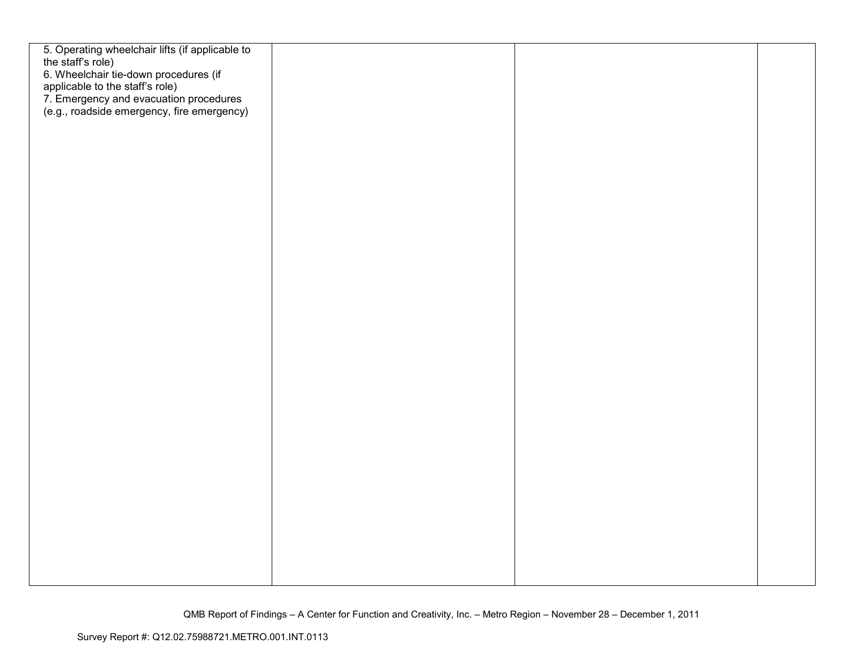| 5. Operating wheelchair lifts (if applicable to<br>the staff's role)                                                                                             |  |  |
|------------------------------------------------------------------------------------------------------------------------------------------------------------------|--|--|
| 6. Wheelchair tie-down procedures (if<br>applicable to the staff's role)<br>7. Emergency and evacuation procedures<br>(e.g., roadside emergency, fire emergency) |  |  |
|                                                                                                                                                                  |  |  |
|                                                                                                                                                                  |  |  |
|                                                                                                                                                                  |  |  |
|                                                                                                                                                                  |  |  |
|                                                                                                                                                                  |  |  |
|                                                                                                                                                                  |  |  |
|                                                                                                                                                                  |  |  |
|                                                                                                                                                                  |  |  |
|                                                                                                                                                                  |  |  |
|                                                                                                                                                                  |  |  |
|                                                                                                                                                                  |  |  |
|                                                                                                                                                                  |  |  |
|                                                                                                                                                                  |  |  |
|                                                                                                                                                                  |  |  |
|                                                                                                                                                                  |  |  |
|                                                                                                                                                                  |  |  |
|                                                                                                                                                                  |  |  |
|                                                                                                                                                                  |  |  |
|                                                                                                                                                                  |  |  |
|                                                                                                                                                                  |  |  |
|                                                                                                                                                                  |  |  |
|                                                                                                                                                                  |  |  |
|                                                                                                                                                                  |  |  |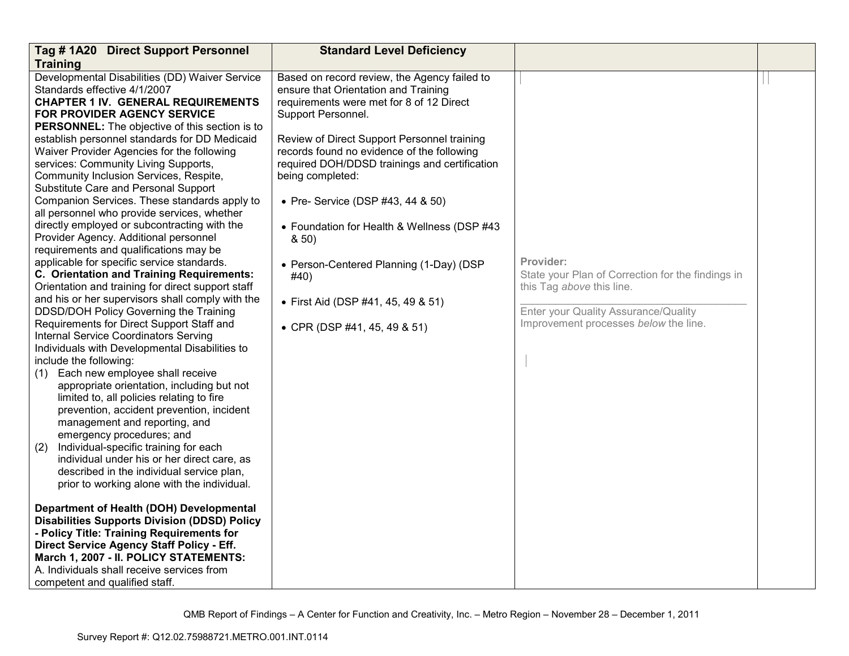| Tag #1A20 Direct Support Personnel                                                                                                                                                                                                                                                                                                                                                                                                                                                                                                                                                                                                                                                                                                                                                                                                                                                                                                                                                                                                                                                                                                       | <b>Standard Level Deficiency</b>                                                                                                                                                                                                                                                                                                                                                                                                                                                                                                               |                                                                                                                                                                              |  |
|------------------------------------------------------------------------------------------------------------------------------------------------------------------------------------------------------------------------------------------------------------------------------------------------------------------------------------------------------------------------------------------------------------------------------------------------------------------------------------------------------------------------------------------------------------------------------------------------------------------------------------------------------------------------------------------------------------------------------------------------------------------------------------------------------------------------------------------------------------------------------------------------------------------------------------------------------------------------------------------------------------------------------------------------------------------------------------------------------------------------------------------|------------------------------------------------------------------------------------------------------------------------------------------------------------------------------------------------------------------------------------------------------------------------------------------------------------------------------------------------------------------------------------------------------------------------------------------------------------------------------------------------------------------------------------------------|------------------------------------------------------------------------------------------------------------------------------------------------------------------------------|--|
| <b>Training</b>                                                                                                                                                                                                                                                                                                                                                                                                                                                                                                                                                                                                                                                                                                                                                                                                                                                                                                                                                                                                                                                                                                                          |                                                                                                                                                                                                                                                                                                                                                                                                                                                                                                                                                |                                                                                                                                                                              |  |
| Developmental Disabilities (DD) Waiver Service<br>Standards effective 4/1/2007<br><b>CHAPTER 1 IV. GENERAL REQUIREMENTS</b><br>FOR PROVIDER AGENCY SERVICE<br><b>PERSONNEL:</b> The objective of this section is to<br>establish personnel standards for DD Medicaid<br>Waiver Provider Agencies for the following<br>services: Community Living Supports,<br>Community Inclusion Services, Respite,<br>Substitute Care and Personal Support<br>Companion Services. These standards apply to<br>all personnel who provide services, whether<br>directly employed or subcontracting with the<br>Provider Agency. Additional personnel<br>requirements and qualifications may be<br>applicable for specific service standards.<br>C. Orientation and Training Requirements:<br>Orientation and training for direct support staff<br>and his or her supervisors shall comply with the<br>DDSD/DOH Policy Governing the Training<br>Requirements for Direct Support Staff and<br>Internal Service Coordinators Serving<br>Individuals with Developmental Disabilities to<br>include the following:<br>Each new employee shall receive<br>(1) | Based on record review, the Agency failed to<br>ensure that Orientation and Training<br>requirements were met for 8 of 12 Direct<br>Support Personnel.<br>Review of Direct Support Personnel training<br>records found no evidence of the following<br>required DOH/DDSD trainings and certification<br>being completed:<br>• Pre- Service (DSP #43, 44 & 50)<br>• Foundation for Health & Wellness (DSP #43<br>8,50)<br>• Person-Centered Planning (1-Day) (DSP<br>#40)<br>• First Aid (DSP #41, 45, 49 & 51)<br>• CPR (DSP #41, 45, 49 & 51) | Provider:<br>State your Plan of Correction for the findings in<br>this Tag above this line.<br>Enter your Quality Assurance/Quality<br>Improvement processes below the line. |  |
| appropriate orientation, including but not<br>limited to, all policies relating to fire<br>prevention, accident prevention, incident<br>management and reporting, and<br>emergency procedures; and<br>Individual-specific training for each<br>(2)<br>individual under his or her direct care, as<br>described in the individual service plan,<br>prior to working alone with the individual.<br>Department of Health (DOH) Developmental<br><b>Disabilities Supports Division (DDSD) Policy</b><br>- Policy Title: Training Requirements for<br>Direct Service Agency Staff Policy - Eff.<br>March 1, 2007 - II. POLICY STATEMENTS:<br>A. Individuals shall receive services from<br>competent and qualified staff.                                                                                                                                                                                                                                                                                                                                                                                                                     |                                                                                                                                                                                                                                                                                                                                                                                                                                                                                                                                                |                                                                                                                                                                              |  |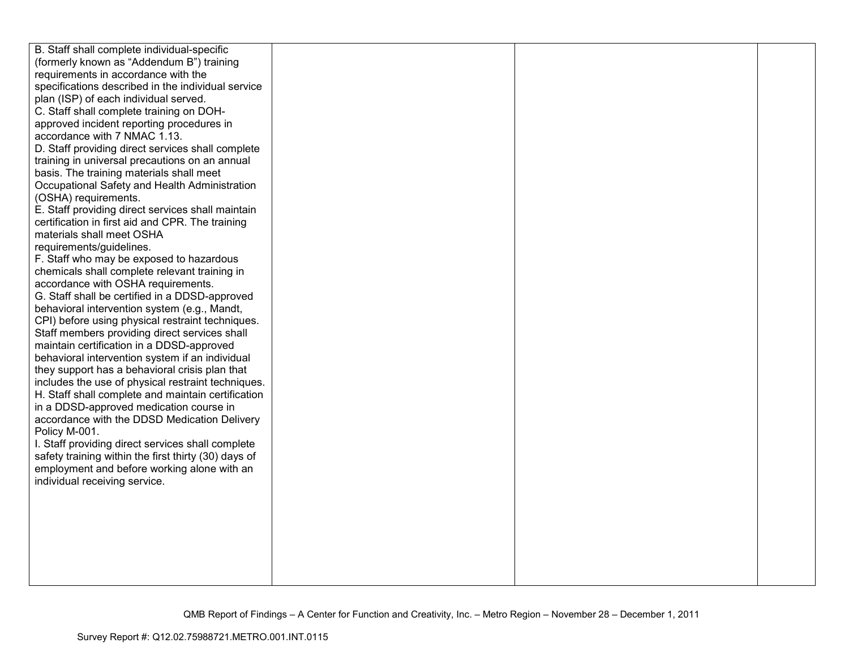| B. Staff shall complete individual-specific          |  |  |
|------------------------------------------------------|--|--|
| (formerly known as "Addendum B") training            |  |  |
| requirements in accordance with the                  |  |  |
| specifications described in the individual service   |  |  |
| plan (ISP) of each individual served.                |  |  |
| C. Staff shall complete training on DOH-             |  |  |
| approved incident reporting procedures in            |  |  |
| accordance with 7 NMAC 1.13.                         |  |  |
| D. Staff providing direct services shall complete    |  |  |
| training in universal precautions on an annual       |  |  |
| basis. The training materials shall meet             |  |  |
| Occupational Safety and Health Administration        |  |  |
| (OSHA) requirements.                                 |  |  |
| E. Staff providing direct services shall maintain    |  |  |
| certification in first aid and CPR. The training     |  |  |
| materials shall meet OSHA                            |  |  |
| requirements/guidelines.                             |  |  |
| F. Staff who may be exposed to hazardous             |  |  |
| chemicals shall complete relevant training in        |  |  |
| accordance with OSHA requirements.                   |  |  |
| G. Staff shall be certified in a DDSD-approved       |  |  |
| behavioral intervention system (e.g., Mandt,         |  |  |
| CPI) before using physical restraint techniques.     |  |  |
| Staff members providing direct services shall        |  |  |
| maintain certification in a DDSD-approved            |  |  |
| behavioral intervention system if an individual      |  |  |
| they support has a behavioral crisis plan that       |  |  |
| includes the use of physical restraint techniques.   |  |  |
| H. Staff shall complete and maintain certification   |  |  |
| in a DDSD-approved medication course in              |  |  |
| accordance with the DDSD Medication Delivery         |  |  |
| Policy M-001.                                        |  |  |
| I. Staff providing direct services shall complete    |  |  |
| safety training within the first thirty (30) days of |  |  |
| employment and before working alone with an          |  |  |
| individual receiving service.                        |  |  |
|                                                      |  |  |
|                                                      |  |  |
|                                                      |  |  |
|                                                      |  |  |
|                                                      |  |  |
|                                                      |  |  |
|                                                      |  |  |
|                                                      |  |  |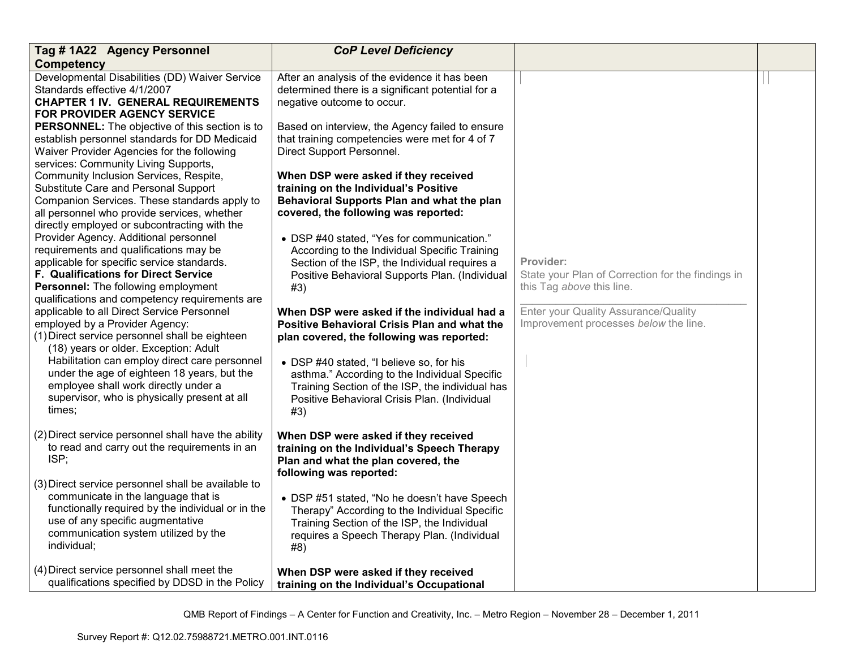| Tag #1A22 Agency Personnel                                                                                                                                                                                                                                                                                                                                                | <b>CoP Level Deficiency</b>                                                                                                                                                                                                                                                                                                                            |                                                                                             |  |
|---------------------------------------------------------------------------------------------------------------------------------------------------------------------------------------------------------------------------------------------------------------------------------------------------------------------------------------------------------------------------|--------------------------------------------------------------------------------------------------------------------------------------------------------------------------------------------------------------------------------------------------------------------------------------------------------------------------------------------------------|---------------------------------------------------------------------------------------------|--|
| <b>Competency</b>                                                                                                                                                                                                                                                                                                                                                         |                                                                                                                                                                                                                                                                                                                                                        |                                                                                             |  |
| Developmental Disabilities (DD) Waiver Service<br>Standards effective 4/1/2007<br><b>CHAPTER 1 IV. GENERAL REQUIREMENTS</b><br>FOR PROVIDER AGENCY SERVICE<br><b>PERSONNEL:</b> The objective of this section is to                                                                                                                                                       | After an analysis of the evidence it has been<br>determined there is a significant potential for a<br>negative outcome to occur.<br>Based on interview, the Agency failed to ensure                                                                                                                                                                    |                                                                                             |  |
| establish personnel standards for DD Medicaid<br>Waiver Provider Agencies for the following<br>services: Community Living Supports,                                                                                                                                                                                                                                       | that training competencies were met for 4 of 7<br>Direct Support Personnel.                                                                                                                                                                                                                                                                            |                                                                                             |  |
| Community Inclusion Services, Respite,<br>Substitute Care and Personal Support<br>Companion Services. These standards apply to<br>all personnel who provide services, whether<br>directly employed or subcontracting with the                                                                                                                                             | When DSP were asked if they received<br>training on the Individual's Positive<br>Behavioral Supports Plan and what the plan<br>covered, the following was reported:                                                                                                                                                                                    |                                                                                             |  |
| Provider Agency. Additional personnel<br>requirements and qualifications may be<br>applicable for specific service standards.<br>F. Qualifications for Direct Service<br>Personnel: The following employment<br>qualifications and competency requirements are                                                                                                            | • DSP #40 stated, "Yes for communication."<br>According to the Individual Specific Training<br>Section of the ISP, the Individual requires a<br>Positive Behavioral Supports Plan. (Individual<br>#3)                                                                                                                                                  | Provider:<br>State your Plan of Correction for the findings in<br>this Tag above this line. |  |
| applicable to all Direct Service Personnel<br>employed by a Provider Agency:<br>(1) Direct service personnel shall be eighteen<br>(18) years or older. Exception: Adult<br>Habilitation can employ direct care personnel<br>under the age of eighteen 18 years, but the<br>employee shall work directly under a<br>supervisor, who is physically present at all<br>times; | When DSP were asked if the individual had a<br><b>Positive Behavioral Crisis Plan and what the</b><br>plan covered, the following was reported:<br>• DSP #40 stated, "I believe so, for his<br>asthma." According to the Individual Specific<br>Training Section of the ISP, the individual has<br>Positive Behavioral Crisis Plan. (Individual<br>#3) | Enter your Quality Assurance/Quality<br>Improvement processes below the line.               |  |
| (2) Direct service personnel shall have the ability<br>to read and carry out the requirements in an<br>ISP;                                                                                                                                                                                                                                                               | When DSP were asked if they received<br>training on the Individual's Speech Therapy<br>Plan and what the plan covered, the<br>following was reported:                                                                                                                                                                                                  |                                                                                             |  |
| (3) Direct service personnel shall be available to<br>communicate in the language that is<br>functionally required by the individual or in the<br>use of any specific augmentative<br>communication system utilized by the<br>individual;                                                                                                                                 | • DSP #51 stated, "No he doesn't have Speech<br>Therapy" According to the Individual Specific<br>Training Section of the ISP, the Individual<br>requires a Speech Therapy Plan. (Individual<br>#8)                                                                                                                                                     |                                                                                             |  |
| (4) Direct service personnel shall meet the<br>qualifications specified by DDSD in the Policy                                                                                                                                                                                                                                                                             | When DSP were asked if they received<br>training on the Individual's Occupational                                                                                                                                                                                                                                                                      |                                                                                             |  |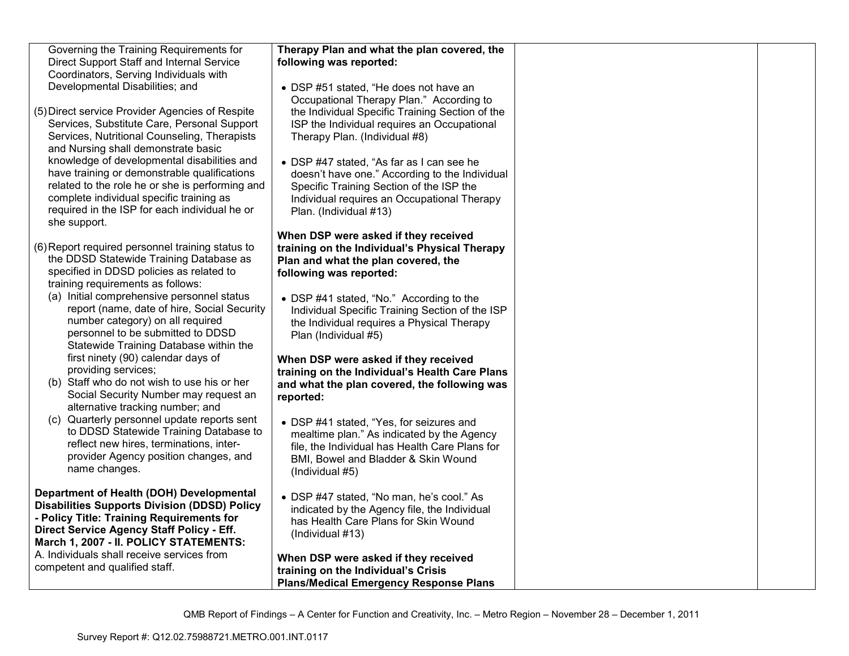| Governing the Training Requirements for             | Therapy Plan and what the plan covered, the     |  |
|-----------------------------------------------------|-------------------------------------------------|--|
| Direct Support Staff and Internal Service           | following was reported:                         |  |
| Coordinators, Serving Individuals with              |                                                 |  |
| Developmental Disabilities; and                     | • DSP #51 stated, "He does not have an          |  |
|                                                     | Occupational Therapy Plan." According to        |  |
| (5) Direct service Provider Agencies of Respite     | the Individual Specific Training Section of the |  |
|                                                     |                                                 |  |
| Services, Substitute Care, Personal Support         | ISP the Individual requires an Occupational     |  |
| Services, Nutritional Counseling, Therapists        | Therapy Plan. (Individual #8)                   |  |
| and Nursing shall demonstrate basic                 |                                                 |  |
| knowledge of developmental disabilities and         | • DSP #47 stated, "As far as I can see he       |  |
| have training or demonstrable qualifications        | doesn't have one." According to the Individual  |  |
| related to the role he or she is performing and     | Specific Training Section of the ISP the        |  |
| complete individual specific training as            | Individual requires an Occupational Therapy     |  |
| required in the ISP for each individual he or       |                                                 |  |
|                                                     | Plan. (Individual #13)                          |  |
| she support.                                        |                                                 |  |
|                                                     | When DSP were asked if they received            |  |
| (6) Report required personnel training status to    | training on the Individual's Physical Therapy   |  |
| the DDSD Statewide Training Database as             | Plan and what the plan covered, the             |  |
| specified in DDSD policies as related to            | following was reported:                         |  |
| training requirements as follows:                   |                                                 |  |
| (a) Initial comprehensive personnel status          | • DSP #41 stated, "No." According to the        |  |
| report (name, date of hire, Social Security         | Individual Specific Training Section of the ISP |  |
| number category) on all required                    | the Individual requires a Physical Therapy      |  |
| personnel to be submitted to DDSD                   |                                                 |  |
|                                                     | Plan (Individual #5)                            |  |
| Statewide Training Database within the              |                                                 |  |
| first ninety (90) calendar days of                  | When DSP were asked if they received            |  |
| providing services;                                 | training on the Individual's Health Care Plans  |  |
| (b) Staff who do not wish to use his or her         | and what the plan covered, the following was    |  |
| Social Security Number may request an               | reported:                                       |  |
| alternative tracking number; and                    |                                                 |  |
| (c) Quarterly personnel update reports sent         | • DSP #41 stated, "Yes, for seizures and        |  |
| to DDSD Statewide Training Database to              | mealtime plan." As indicated by the Agency      |  |
| reflect new hires, terminations, inter-             |                                                 |  |
| provider Agency position changes, and               | file, the Individual has Health Care Plans for  |  |
| name changes.                                       | BMI, Bowel and Bladder & Skin Wound             |  |
|                                                     | (Individual #5)                                 |  |
|                                                     |                                                 |  |
| Department of Health (DOH) Developmental            | • DSP #47 stated, "No man, he's cool." As       |  |
| <b>Disabilities Supports Division (DDSD) Policy</b> | indicated by the Agency file, the Individual    |  |
| - Policy Title: Training Requirements for           | has Health Care Plans for Skin Wound            |  |
| Direct Service Agency Staff Policy - Eff.           | (Individual #13)                                |  |
| March 1, 2007 - II. POLICY STATEMENTS:              |                                                 |  |
| A. Individuals shall receive services from          | When DSP were asked if they received            |  |
| competent and qualified staff.                      | training on the Individual's Crisis             |  |
|                                                     |                                                 |  |
|                                                     | <b>Plans/Medical Emergency Response Plans</b>   |  |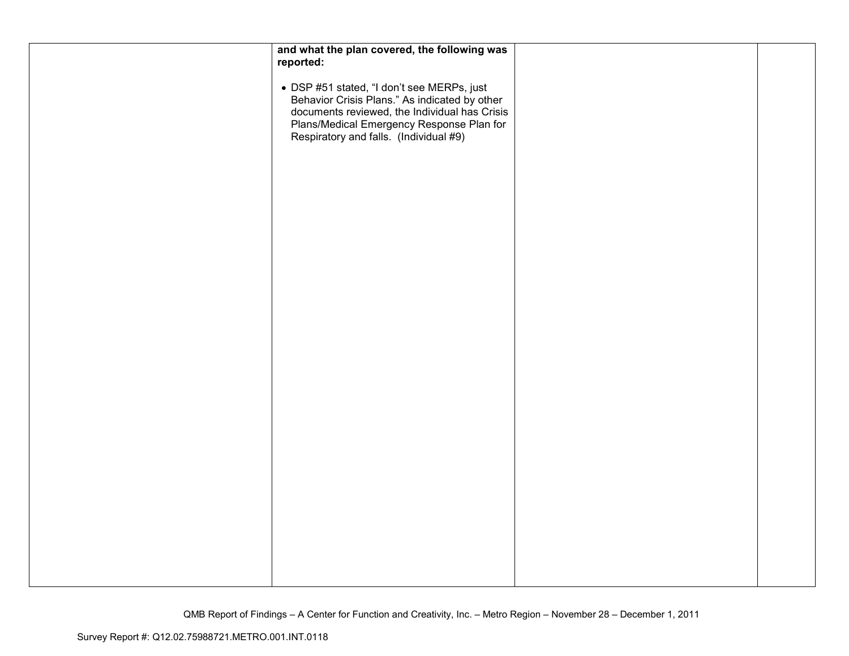| and what the plan covered, the following was                                                                                                                                                                                        |  |
|-------------------------------------------------------------------------------------------------------------------------------------------------------------------------------------------------------------------------------------|--|
| reported:                                                                                                                                                                                                                           |  |
| • DSP #51 stated, "I don't see MERPs, just<br>Behavior Crisis Plans." As indicated by other<br>documents reviewed, the Individual has Crisis<br>Plans/Medical Emergency Response Plan for<br>Respiratory and falls. (Individual #9) |  |
|                                                                                                                                                                                                                                     |  |
|                                                                                                                                                                                                                                     |  |
|                                                                                                                                                                                                                                     |  |
|                                                                                                                                                                                                                                     |  |
|                                                                                                                                                                                                                                     |  |
|                                                                                                                                                                                                                                     |  |
|                                                                                                                                                                                                                                     |  |
|                                                                                                                                                                                                                                     |  |
|                                                                                                                                                                                                                                     |  |
|                                                                                                                                                                                                                                     |  |
|                                                                                                                                                                                                                                     |  |
|                                                                                                                                                                                                                                     |  |
|                                                                                                                                                                                                                                     |  |
|                                                                                                                                                                                                                                     |  |
|                                                                                                                                                                                                                                     |  |
|                                                                                                                                                                                                                                     |  |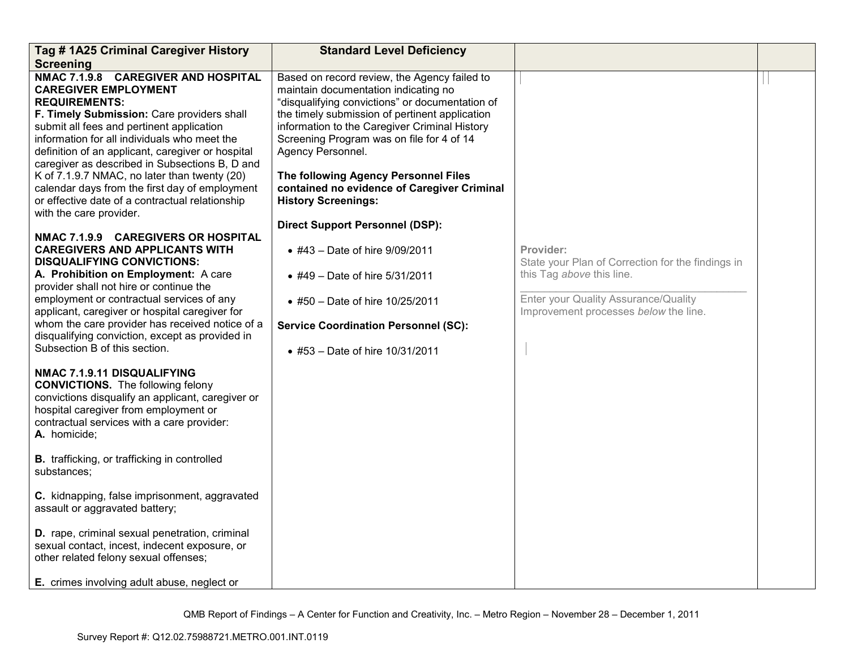| Tag #1A25 Criminal Caregiver History                                                                                                                                                                                                                                                                                                                                                                                                                                                                                                                                                                                                                                                                                                                                                                                                       | <b>Standard Level Deficiency</b>                                                                                                                                                                                                                                                                                                                                                                                                  |                                                                                                                                                                              |  |
|--------------------------------------------------------------------------------------------------------------------------------------------------------------------------------------------------------------------------------------------------------------------------------------------------------------------------------------------------------------------------------------------------------------------------------------------------------------------------------------------------------------------------------------------------------------------------------------------------------------------------------------------------------------------------------------------------------------------------------------------------------------------------------------------------------------------------------------------|-----------------------------------------------------------------------------------------------------------------------------------------------------------------------------------------------------------------------------------------------------------------------------------------------------------------------------------------------------------------------------------------------------------------------------------|------------------------------------------------------------------------------------------------------------------------------------------------------------------------------|--|
| <b>Screening</b>                                                                                                                                                                                                                                                                                                                                                                                                                                                                                                                                                                                                                                                                                                                                                                                                                           |                                                                                                                                                                                                                                                                                                                                                                                                                                   |                                                                                                                                                                              |  |
| NMAC 7.1.9.8 CAREGIVER AND HOSPITAL<br><b>CAREGIVER EMPLOYMENT</b><br><b>REQUIREMENTS:</b><br>F. Timely Submission: Care providers shall<br>submit all fees and pertinent application<br>information for all individuals who meet the<br>definition of an applicant, caregiver or hospital<br>caregiver as described in Subsections B, D and<br>K of 7.1.9.7 NMAC, no later than twenty (20)<br>calendar days from the first day of employment<br>or effective date of a contractual relationship<br>with the care provider.                                                                                                                                                                                                                                                                                                               | Based on record review, the Agency failed to<br>maintain documentation indicating no<br>"disqualifying convictions" or documentation of<br>the timely submission of pertinent application<br>information to the Caregiver Criminal History<br>Screening Program was on file for 4 of 14<br>Agency Personnel.<br>The following Agency Personnel Files<br>contained no evidence of Caregiver Criminal<br><b>History Screenings:</b> |                                                                                                                                                                              |  |
| NMAC 7.1.9.9 CAREGIVERS OR HOSPITAL<br><b>CAREGIVERS AND APPLICANTS WITH</b><br><b>DISQUALIFYING CONVICTIONS:</b><br>A. Prohibition on Employment: A care<br>provider shall not hire or continue the<br>employment or contractual services of any<br>applicant, caregiver or hospital caregiver for<br>whom the care provider has received notice of a<br>disqualifying conviction, except as provided in<br>Subsection B of this section.<br>NMAC 7.1.9.11 DISQUALIFYING<br><b>CONVICTIONS.</b> The following felony<br>convictions disqualify an applicant, caregiver or<br>hospital caregiver from employment or<br>contractual services with a care provider:<br>A. homicide;<br><b>B.</b> trafficking, or trafficking in controlled<br>substances;<br>C. kidnapping, false imprisonment, aggravated<br>assault or aggravated battery; | <b>Direct Support Personnel (DSP):</b><br>• #43 - Date of hire 9/09/2011<br>• #49 - Date of hire 5/31/2011<br>• #50 - Date of hire 10/25/2011<br><b>Service Coordination Personnel (SC):</b><br>• #53 - Date of hire 10/31/2011                                                                                                                                                                                                   | Provider:<br>State your Plan of Correction for the findings in<br>this Tag above this line.<br>Enter your Quality Assurance/Quality<br>Improvement processes below the line. |  |
| D. rape, criminal sexual penetration, criminal<br>sexual contact, incest, indecent exposure, or<br>other related felony sexual offenses;<br>E. crimes involving adult abuse, neglect or                                                                                                                                                                                                                                                                                                                                                                                                                                                                                                                                                                                                                                                    |                                                                                                                                                                                                                                                                                                                                                                                                                                   |                                                                                                                                                                              |  |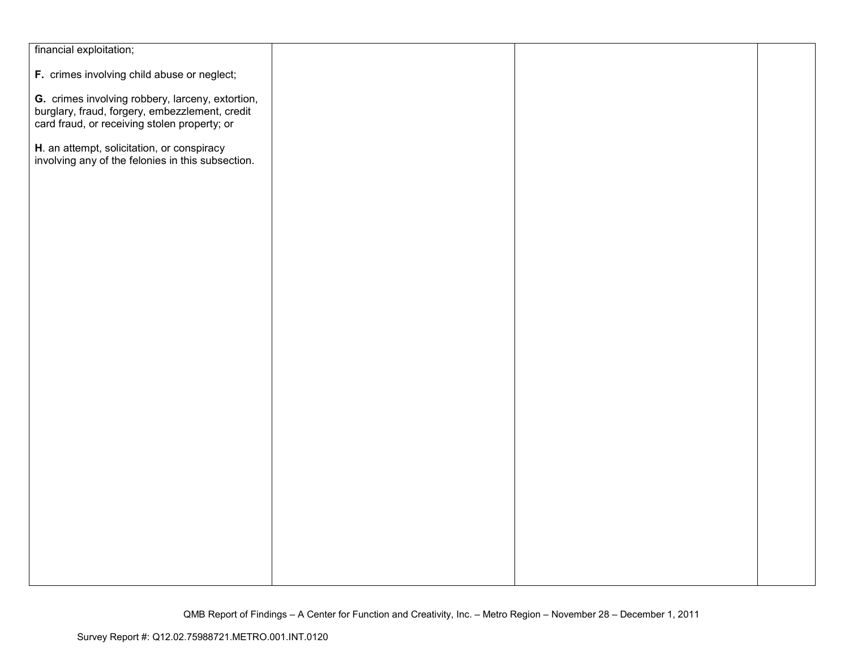| financial exploitation;                                                                                                                            |  |  |
|----------------------------------------------------------------------------------------------------------------------------------------------------|--|--|
| F. crimes involving child abuse or neglect;                                                                                                        |  |  |
|                                                                                                                                                    |  |  |
| G. crimes involving robbery, larceny, extortion,<br>burglary, fraud, forgery, embezzlement, credit<br>card fraud, or receiving stolen property; or |  |  |
|                                                                                                                                                    |  |  |
| H. an attempt, solicitation, or conspiracy<br>involving any of the felonies in this subsection.                                                    |  |  |
|                                                                                                                                                    |  |  |
|                                                                                                                                                    |  |  |
|                                                                                                                                                    |  |  |
|                                                                                                                                                    |  |  |
|                                                                                                                                                    |  |  |
|                                                                                                                                                    |  |  |
|                                                                                                                                                    |  |  |
|                                                                                                                                                    |  |  |
|                                                                                                                                                    |  |  |
|                                                                                                                                                    |  |  |
|                                                                                                                                                    |  |  |
|                                                                                                                                                    |  |  |
|                                                                                                                                                    |  |  |
|                                                                                                                                                    |  |  |
|                                                                                                                                                    |  |  |
|                                                                                                                                                    |  |  |
|                                                                                                                                                    |  |  |
|                                                                                                                                                    |  |  |
|                                                                                                                                                    |  |  |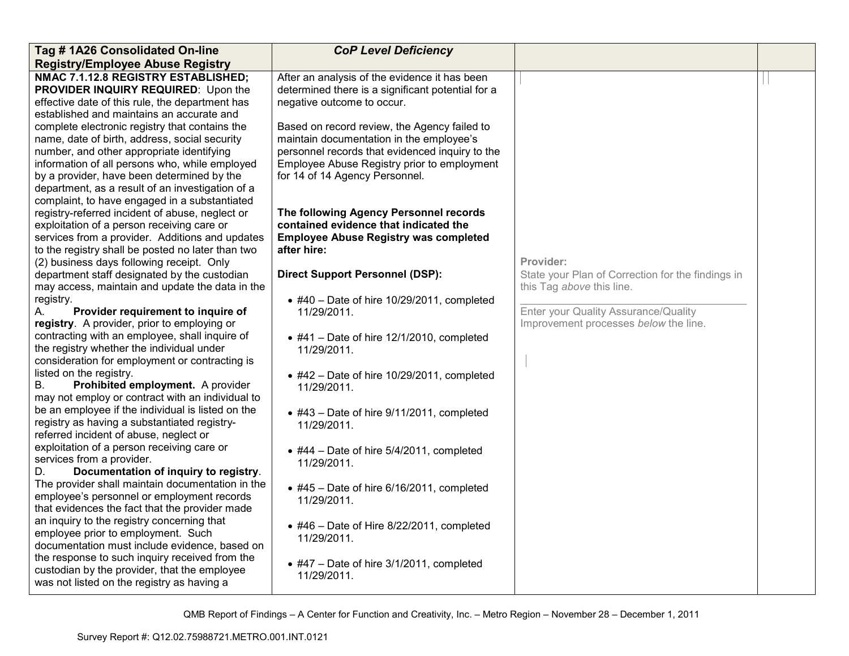| Tag #1A26 Consolidated On-line                                                                                                | <b>CoP Level Deficiency</b>                                                                                                      |                                                   |  |
|-------------------------------------------------------------------------------------------------------------------------------|----------------------------------------------------------------------------------------------------------------------------------|---------------------------------------------------|--|
| <b>Registry/Employee Abuse Registry</b>                                                                                       |                                                                                                                                  |                                                   |  |
| NMAC 7.1.12.8 REGISTRY ESTABLISHED;<br>PROVIDER INQUIRY REQUIRED: Upon the<br>effective date of this rule, the department has | After an analysis of the evidence it has been<br>determined there is a significant potential for a<br>negative outcome to occur. |                                                   |  |
| established and maintains an accurate and                                                                                     |                                                                                                                                  |                                                   |  |
| complete electronic registry that contains the                                                                                | Based on record review, the Agency failed to                                                                                     |                                                   |  |
| name, date of birth, address, social security                                                                                 | maintain documentation in the employee's                                                                                         |                                                   |  |
| number, and other appropriate identifying                                                                                     | personnel records that evidenced inquiry to the                                                                                  |                                                   |  |
| information of all persons who, while employed                                                                                | Employee Abuse Registry prior to employment                                                                                      |                                                   |  |
| by a provider, have been determined by the                                                                                    | for 14 of 14 Agency Personnel.                                                                                                   |                                                   |  |
| department, as a result of an investigation of a                                                                              |                                                                                                                                  |                                                   |  |
| complaint, to have engaged in a substantiated                                                                                 |                                                                                                                                  |                                                   |  |
| registry-referred incident of abuse, neglect or                                                                               | The following Agency Personnel records<br>contained evidence that indicated the                                                  |                                                   |  |
| exploitation of a person receiving care or<br>services from a provider. Additions and updates                                 | <b>Employee Abuse Registry was completed</b>                                                                                     |                                                   |  |
| to the registry shall be posted no later than two                                                                             | after hire:                                                                                                                      |                                                   |  |
| (2) business days following receipt. Only                                                                                     |                                                                                                                                  | Provider:                                         |  |
| department staff designated by the custodian                                                                                  | <b>Direct Support Personnel (DSP):</b>                                                                                           | State your Plan of Correction for the findings in |  |
| may access, maintain and update the data in the                                                                               |                                                                                                                                  | this Tag above this line.                         |  |
| registry.                                                                                                                     | $\bullet$ #40 - Date of hire 10/29/2011, completed                                                                               |                                                   |  |
| А.<br>Provider requirement to inquire of                                                                                      | 11/29/2011.                                                                                                                      | Enter your Quality Assurance/Quality              |  |
| registry. A provider, prior to employing or                                                                                   |                                                                                                                                  | Improvement processes below the line.             |  |
| contracting with an employee, shall inquire of                                                                                | $\bullet$ #41 - Date of hire 12/1/2010, completed                                                                                |                                                   |  |
| the registry whether the individual under                                                                                     | 11/29/2011.                                                                                                                      |                                                   |  |
| consideration for employment or contracting is<br>listed on the registry.                                                     |                                                                                                                                  |                                                   |  |
| В.<br>Prohibited employment. A provider                                                                                       | $\bullet$ #42 - Date of hire 10/29/2011, completed<br>11/29/2011.                                                                |                                                   |  |
| may not employ or contract with an individual to                                                                              |                                                                                                                                  |                                                   |  |
| be an employee if the individual is listed on the                                                                             | $\bullet$ #43 - Date of hire 9/11/2011, completed                                                                                |                                                   |  |
| registry as having a substantiated registry-                                                                                  | 11/29/2011.                                                                                                                      |                                                   |  |
| referred incident of abuse, neglect or                                                                                        |                                                                                                                                  |                                                   |  |
| exploitation of a person receiving care or                                                                                    | $\bullet$ #44 - Date of hire 5/4/2011, completed                                                                                 |                                                   |  |
| services from a provider.<br>Documentation of inquiry to registry.<br>D.                                                      | 11/29/2011.                                                                                                                      |                                                   |  |
| The provider shall maintain documentation in the                                                                              |                                                                                                                                  |                                                   |  |
| employee's personnel or employment records                                                                                    | $\bullet$ #45 - Date of hire 6/16/2011, completed                                                                                |                                                   |  |
| that evidences the fact that the provider made                                                                                | 11/29/2011.                                                                                                                      |                                                   |  |
| an inquiry to the registry concerning that                                                                                    | $\bullet$ #46 - Date of Hire 8/22/2011, completed                                                                                |                                                   |  |
| employee prior to employment. Such                                                                                            | 11/29/2011.                                                                                                                      |                                                   |  |
| documentation must include evidence, based on                                                                                 |                                                                                                                                  |                                                   |  |
| the response to such inquiry received from the                                                                                | $\bullet$ #47 - Date of hire 3/1/2011, completed                                                                                 |                                                   |  |
| custodian by the provider, that the employee                                                                                  | 11/29/2011.                                                                                                                      |                                                   |  |
| was not listed on the registry as having a                                                                                    |                                                                                                                                  |                                                   |  |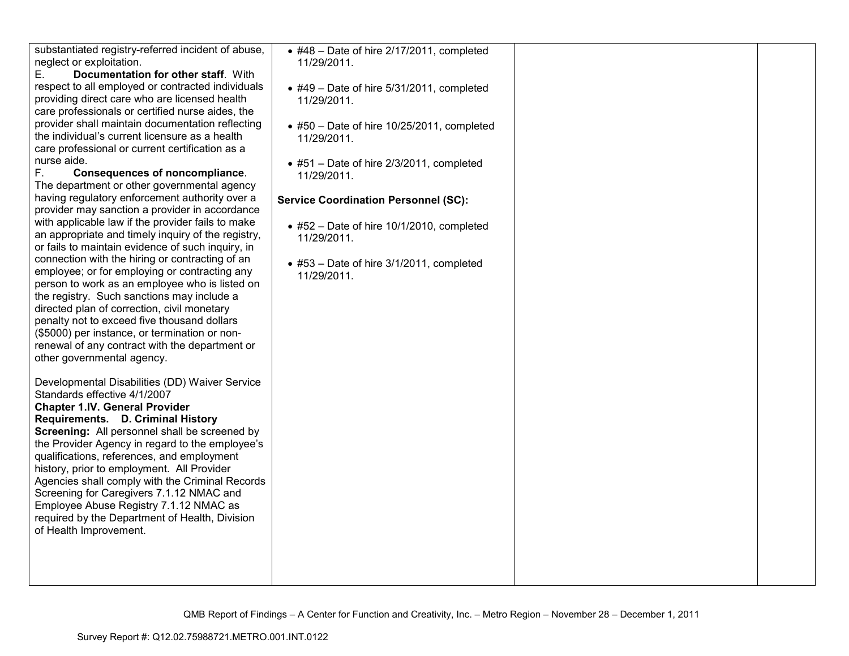substantiated registry-referred incident of abuse, neglect or exploitation.

 E. **Documentation for other staff**. With respect to all employed or contracted individuals providing direct care who are licensed health care professionals or certified nurse aides, the provider shall maintain documentation reflecting the individual's current licensure as a health care professional or current certification as a nurse aide.

 F. **Consequences of noncompliance**. The department or other governmental agency having regulatory enforcement authority over a provider may sanction a provider in accordance with applicable law if the provider fails to make an appropriate and timely inquiry of the registry, or fails to maintain evidence of such inquiry, in connection with the hiring or contracting of an employee; or for employing or contracting any person to work as an employee who is listed on the registry. Such sanctions may include a directed plan of correction, civil monetary penalty not to exceed five thousand dollars (\$5000) per instance, or termination or nonrenewal of any contract with the department or other governmental agency.

Developmental Disabilities (DD) Waiver Service Standards effective 4/1/2007 **Chapter 1.IV. General Provider Requirements. D. Criminal History Screening:** All personnel shall be screened by the Provider Agency in regard to the employee's qualifications, references, and employment history, prior to employment. All Provider Agencies shall comply with the Criminal Records Screening for Caregivers 7.1.12 NMAC and Employee Abuse Registry 7.1.12 NMAC as required by the Department of Health, Division of Health Improvement.

• #48 – Date of hire 2/17/2011, completed 11/29/2011. • #49 – Date of hire 5/31/2011, completed 11/29/2011. • #50 – Date of hire 10/25/2011, completed 11/29/2011. • #51 – Date of hire 2/3/2011, completed 11/29/2011. **Service Coordination Personnel (SC):** • #52 – Date of hire 10/1/2010, completed 11/29/2011. • #53 – Date of hire 3/1/2011, completed 11/29/2011.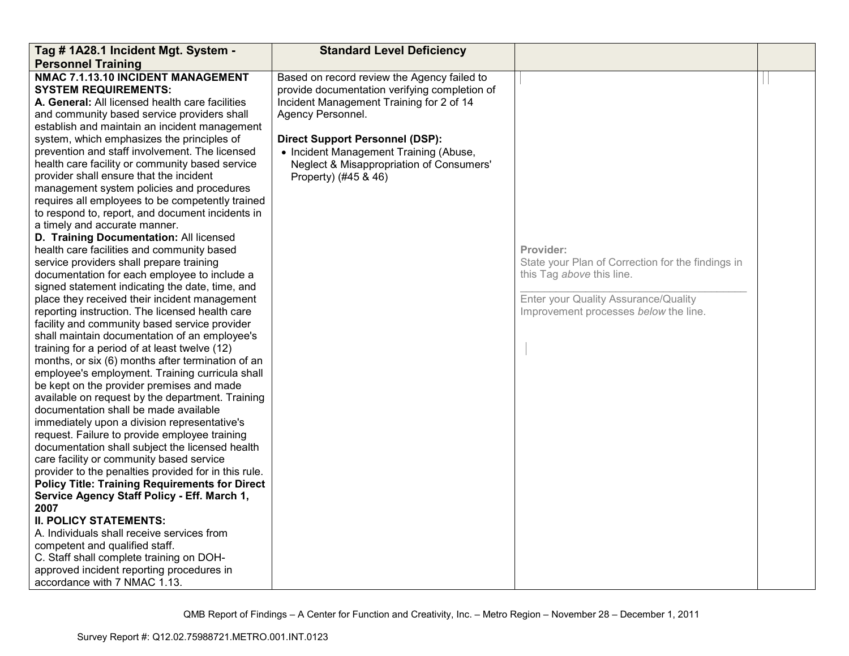| Tag # 1A28.1 Incident Mgt. System -                                                                                                                                                                                                                                                                                                                                                                                                                                                                                                                                                                                                                                                                                                                                                                                                                                                                                                                                                                                                                                                                                                                                                                                                                                                                                                                                                                                                                                                                                                                                                                                                                                                                                                                                                                                                                                                                                                         | <b>Standard Level Deficiency</b>                                                                                                                                                                                                                                                                                      |                                                                                                                                                                              |  |
|---------------------------------------------------------------------------------------------------------------------------------------------------------------------------------------------------------------------------------------------------------------------------------------------------------------------------------------------------------------------------------------------------------------------------------------------------------------------------------------------------------------------------------------------------------------------------------------------------------------------------------------------------------------------------------------------------------------------------------------------------------------------------------------------------------------------------------------------------------------------------------------------------------------------------------------------------------------------------------------------------------------------------------------------------------------------------------------------------------------------------------------------------------------------------------------------------------------------------------------------------------------------------------------------------------------------------------------------------------------------------------------------------------------------------------------------------------------------------------------------------------------------------------------------------------------------------------------------------------------------------------------------------------------------------------------------------------------------------------------------------------------------------------------------------------------------------------------------------------------------------------------------------------------------------------------------|-----------------------------------------------------------------------------------------------------------------------------------------------------------------------------------------------------------------------------------------------------------------------------------------------------------------------|------------------------------------------------------------------------------------------------------------------------------------------------------------------------------|--|
| <b>Personnel Training</b>                                                                                                                                                                                                                                                                                                                                                                                                                                                                                                                                                                                                                                                                                                                                                                                                                                                                                                                                                                                                                                                                                                                                                                                                                                                                                                                                                                                                                                                                                                                                                                                                                                                                                                                                                                                                                                                                                                                   |                                                                                                                                                                                                                                                                                                                       |                                                                                                                                                                              |  |
| NMAC 7.1.13.10 INCIDENT MANAGEMENT<br><b>SYSTEM REQUIREMENTS:</b><br>A. General: All licensed health care facilities<br>and community based service providers shall<br>establish and maintain an incident management<br>system, which emphasizes the principles of<br>prevention and staff involvement. The licensed<br>health care facility or community based service<br>provider shall ensure that the incident<br>management system policies and procedures<br>requires all employees to be competently trained<br>to respond to, report, and document incidents in<br>a timely and accurate manner.<br>D. Training Documentation: All licensed<br>health care facilities and community based<br>service providers shall prepare training<br>documentation for each employee to include a<br>signed statement indicating the date, time, and<br>place they received their incident management<br>reporting instruction. The licensed health care<br>facility and community based service provider<br>shall maintain documentation of an employee's<br>training for a period of at least twelve (12)<br>months, or six (6) months after termination of an<br>employee's employment. Training curricula shall<br>be kept on the provider premises and made<br>available on request by the department. Training<br>documentation shall be made available<br>immediately upon a division representative's<br>request. Failure to provide employee training<br>documentation shall subject the licensed health<br>care facility or community based service<br>provider to the penalties provided for in this rule.<br><b>Policy Title: Training Requirements for Direct</b><br>Service Agency Staff Policy - Eff. March 1,<br>2007<br><b>II. POLICY STATEMENTS:</b><br>A. Individuals shall receive services from<br>competent and qualified staff.<br>C. Staff shall complete training on DOH-<br>approved incident reporting procedures in | Based on record review the Agency failed to<br>provide documentation verifying completion of<br>Incident Management Training for 2 of 14<br>Agency Personnel.<br><b>Direct Support Personnel (DSP):</b><br>• Incident Management Training (Abuse,<br>Neglect & Misappropriation of Consumers'<br>Property) (#45 & 46) | Provider:<br>State your Plan of Correction for the findings in<br>this Tag above this line.<br>Enter your Quality Assurance/Quality<br>Improvement processes below the line. |  |
| accordance with 7 NMAC 1.13.                                                                                                                                                                                                                                                                                                                                                                                                                                                                                                                                                                                                                                                                                                                                                                                                                                                                                                                                                                                                                                                                                                                                                                                                                                                                                                                                                                                                                                                                                                                                                                                                                                                                                                                                                                                                                                                                                                                |                                                                                                                                                                                                                                                                                                                       |                                                                                                                                                                              |  |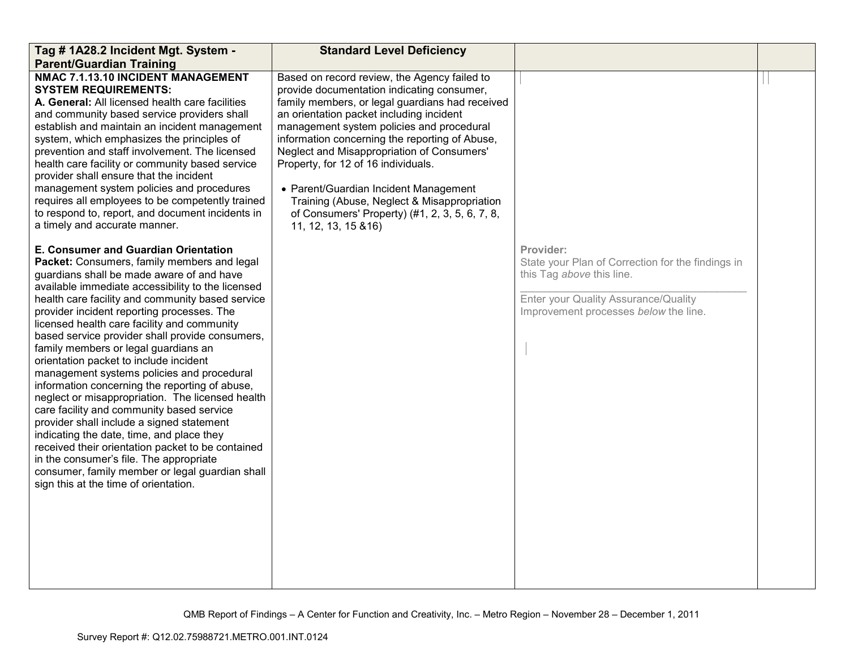| Tag # 1A28.2 Incident Mgt. System -<br><b>Parent/Guardian Training</b>                                                                                                                                                                                                                                                                                                                                                                                                                                                                                                                                                                                                                                                                                                                                                                                                                                                                                             | <b>Standard Level Deficiency</b>                                                                                                                                                                                                                                                                                                                                                                                                                                                                                                                |                                                                                                                                                                              |  |
|--------------------------------------------------------------------------------------------------------------------------------------------------------------------------------------------------------------------------------------------------------------------------------------------------------------------------------------------------------------------------------------------------------------------------------------------------------------------------------------------------------------------------------------------------------------------------------------------------------------------------------------------------------------------------------------------------------------------------------------------------------------------------------------------------------------------------------------------------------------------------------------------------------------------------------------------------------------------|-------------------------------------------------------------------------------------------------------------------------------------------------------------------------------------------------------------------------------------------------------------------------------------------------------------------------------------------------------------------------------------------------------------------------------------------------------------------------------------------------------------------------------------------------|------------------------------------------------------------------------------------------------------------------------------------------------------------------------------|--|
| NMAC 7.1.13.10 INCIDENT MANAGEMENT<br><b>SYSTEM REQUIREMENTS:</b><br>A. General: All licensed health care facilities<br>and community based service providers shall<br>establish and maintain an incident management<br>system, which emphasizes the principles of<br>prevention and staff involvement. The licensed<br>health care facility or community based service<br>provider shall ensure that the incident<br>management system policies and procedures<br>requires all employees to be competently trained<br>to respond to, report, and document incidents in<br>a timely and accurate manner.                                                                                                                                                                                                                                                                                                                                                           | Based on record review, the Agency failed to<br>provide documentation indicating consumer,<br>family members, or legal guardians had received<br>an orientation packet including incident<br>management system policies and procedural<br>information concerning the reporting of Abuse,<br>Neglect and Misappropriation of Consumers'<br>Property, for 12 of 16 individuals.<br>• Parent/Guardian Incident Management<br>Training (Abuse, Neglect & Misappropriation<br>of Consumers' Property) (#1, 2, 3, 5, 6, 7, 8,<br>11, 12, 13, 15 & 16) |                                                                                                                                                                              |  |
| E. Consumer and Guardian Orientation<br>Packet: Consumers, family members and legal<br>guardians shall be made aware of and have<br>available immediate accessibility to the licensed<br>health care facility and community based service<br>provider incident reporting processes. The<br>licensed health care facility and community<br>based service provider shall provide consumers,<br>family members or legal guardians an<br>orientation packet to include incident<br>management systems policies and procedural<br>information concerning the reporting of abuse,<br>neglect or misappropriation. The licensed health<br>care facility and community based service<br>provider shall include a signed statement<br>indicating the date, time, and place they<br>received their orientation packet to be contained<br>in the consumer's file. The appropriate<br>consumer, family member or legal guardian shall<br>sign this at the time of orientation. |                                                                                                                                                                                                                                                                                                                                                                                                                                                                                                                                                 | Provider:<br>State your Plan of Correction for the findings in<br>this Tag above this line.<br>Enter your Quality Assurance/Quality<br>Improvement processes below the line. |  |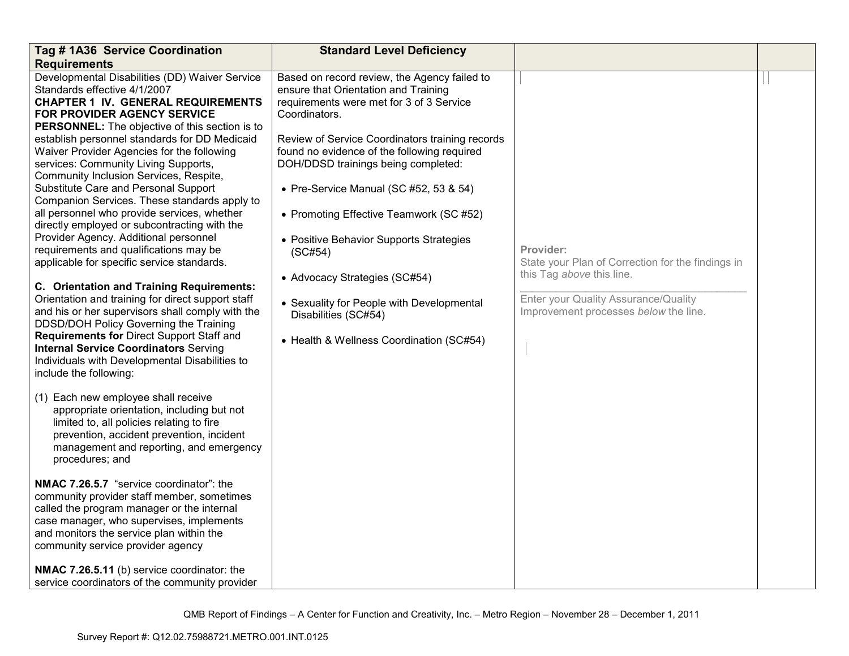| Tag # 1A36 Service Coordination                                                                                                                                                                                                                                                                                    | <b>Standard Level Deficiency</b>                                                                                                                                                                                                                    |                                                                               |  |
|--------------------------------------------------------------------------------------------------------------------------------------------------------------------------------------------------------------------------------------------------------------------------------------------------------------------|-----------------------------------------------------------------------------------------------------------------------------------------------------------------------------------------------------------------------------------------------------|-------------------------------------------------------------------------------|--|
| <b>Requirements</b>                                                                                                                                                                                                                                                                                                |                                                                                                                                                                                                                                                     |                                                                               |  |
| Developmental Disabilities (DD) Waiver Service<br>Standards effective 4/1/2007<br><b>CHAPTER 1 IV. GENERAL REQUIREMENTS</b><br>FOR PROVIDER AGENCY SERVICE<br><b>PERSONNEL:</b> The objective of this section is to<br>establish personnel standards for DD Medicaid<br>Waiver Provider Agencies for the following | Based on record review, the Agency failed to<br>ensure that Orientation and Training<br>requirements were met for 3 of 3 Service<br>Coordinators.<br>Review of Service Coordinators training records<br>found no evidence of the following required |                                                                               |  |
| services: Community Living Supports,<br>Community Inclusion Services, Respite,<br>Substitute Care and Personal Support<br>Companion Services. These standards apply to                                                                                                                                             | DOH/DDSD trainings being completed:<br>• Pre-Service Manual (SC #52, 53 & 54)                                                                                                                                                                       |                                                                               |  |
| all personnel who provide services, whether<br>directly employed or subcontracting with the                                                                                                                                                                                                                        | • Promoting Effective Teamwork (SC #52)                                                                                                                                                                                                             |                                                                               |  |
| Provider Agency. Additional personnel<br>requirements and qualifications may be<br>applicable for specific service standards.                                                                                                                                                                                      | • Positive Behavior Supports Strategies<br>(SC#54)                                                                                                                                                                                                  | Provider:<br>State your Plan of Correction for the findings in                |  |
| C. Orientation and Training Requirements:                                                                                                                                                                                                                                                                          | • Advocacy Strategies (SC#54)                                                                                                                                                                                                                       | this Tag above this line.                                                     |  |
| Orientation and training for direct support staff<br>and his or her supervisors shall comply with the<br>DDSD/DOH Policy Governing the Training                                                                                                                                                                    | • Sexuality for People with Developmental<br>Disabilities (SC#54)                                                                                                                                                                                   | Enter your Quality Assurance/Quality<br>Improvement processes below the line. |  |
| Requirements for Direct Support Staff and<br><b>Internal Service Coordinators Serving</b><br>Individuals with Developmental Disabilities to<br>include the following:                                                                                                                                              | • Health & Wellness Coordination (SC#54)                                                                                                                                                                                                            |                                                                               |  |
| (1) Each new employee shall receive<br>appropriate orientation, including but not<br>limited to, all policies relating to fire<br>prevention, accident prevention, incident<br>management and reporting, and emergency<br>procedures; and                                                                          |                                                                                                                                                                                                                                                     |                                                                               |  |
| NMAC 7.26.5.7 "service coordinator": the<br>community provider staff member, sometimes<br>called the program manager or the internal<br>case manager, who supervises, implements<br>and monitors the service plan within the<br>community service provider agency                                                  |                                                                                                                                                                                                                                                     |                                                                               |  |
| NMAC 7.26.5.11 (b) service coordinator: the<br>service coordinators of the community provider                                                                                                                                                                                                                      |                                                                                                                                                                                                                                                     |                                                                               |  |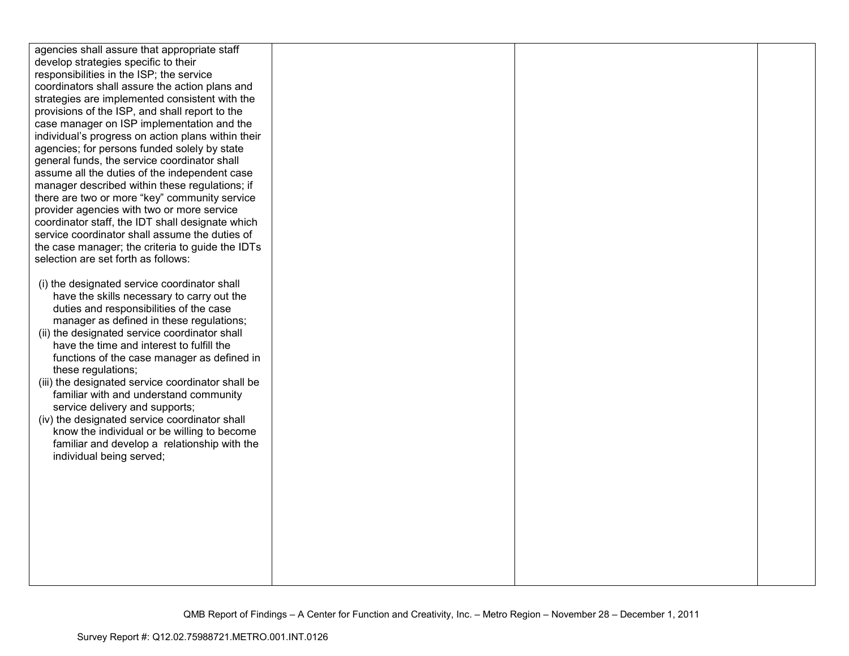| agencies shall assure that appropriate staff       |  |  |
|----------------------------------------------------|--|--|
| develop strategies specific to their               |  |  |
| responsibilities in the ISP; the service           |  |  |
| coordinators shall assure the action plans and     |  |  |
| strategies are implemented consistent with the     |  |  |
| provisions of the ISP, and shall report to the     |  |  |
|                                                    |  |  |
| case manager on ISP implementation and the         |  |  |
| individual's progress on action plans within their |  |  |
| agencies; for persons funded solely by state       |  |  |
| general funds, the service coordinator shall       |  |  |
| assume all the duties of the independent case      |  |  |
| manager described within these regulations; if     |  |  |
| there are two or more "key" community service      |  |  |
| provider agencies with two or more service         |  |  |
| coordinator staff, the IDT shall designate which   |  |  |
| service coordinator shall assume the duties of     |  |  |
| the case manager; the criteria to guide the IDTs   |  |  |
| selection are set forth as follows:                |  |  |
|                                                    |  |  |
| (i) the designated service coordinator shall       |  |  |
| have the skills necessary to carry out the         |  |  |
| duties and responsibilities of the case            |  |  |
| manager as defined in these regulations;           |  |  |
| (ii) the designated service coordinator shall      |  |  |
| have the time and interest to fulfill the          |  |  |
| functions of the case manager as defined in        |  |  |
| these regulations;                                 |  |  |
| (iii) the designated service coordinator shall be  |  |  |
| familiar with and understand community             |  |  |
| service delivery and supports;                     |  |  |
| (iv) the designated service coordinator shall      |  |  |
| know the individual or be willing to become        |  |  |
| familiar and develop a relationship with the       |  |  |
| individual being served;                           |  |  |
|                                                    |  |  |
|                                                    |  |  |
|                                                    |  |  |
|                                                    |  |  |
|                                                    |  |  |
|                                                    |  |  |
|                                                    |  |  |
|                                                    |  |  |
|                                                    |  |  |
|                                                    |  |  |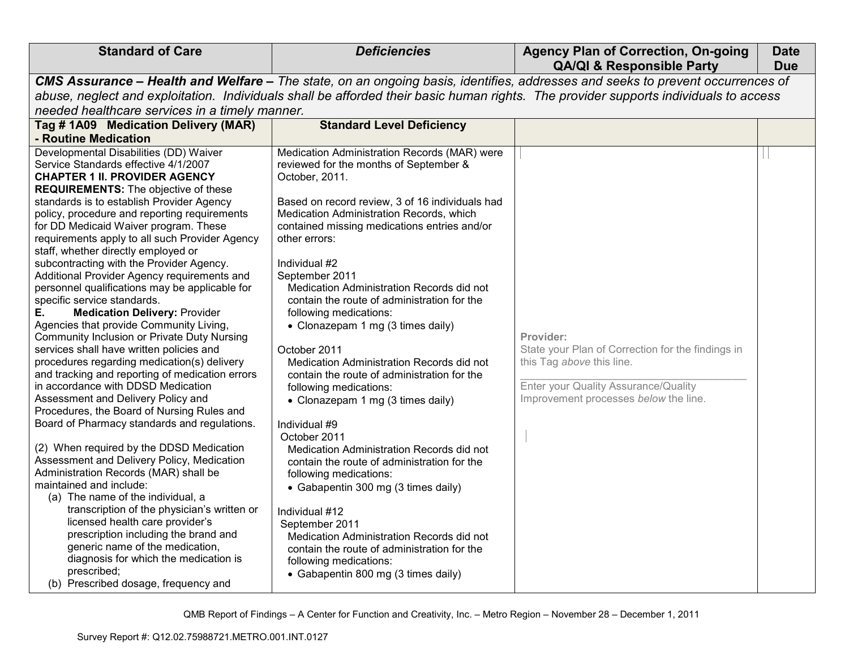| <b>Standard of Care</b>                                                                                                                                                                                                                                                                                                                                                                                                                                                                                                                                                                                                                                                                                                                                                                                                                                                                                                                                                                                                                                                                                                                                                                                                                                                                                                                                                                                                                                                                                          | <b>Deficiencies</b>                                                                                                                                                                                                                                                                                                                                                                                                                                                                                                                                                                                                                                                                                                                                                                                                                                                                                                                                                                                                                              | <b>Agency Plan of Correction, On-going</b><br><b>QA/QI &amp; Responsible Party</b>                                                                                           | <b>Date</b><br><b>Due</b> |
|------------------------------------------------------------------------------------------------------------------------------------------------------------------------------------------------------------------------------------------------------------------------------------------------------------------------------------------------------------------------------------------------------------------------------------------------------------------------------------------------------------------------------------------------------------------------------------------------------------------------------------------------------------------------------------------------------------------------------------------------------------------------------------------------------------------------------------------------------------------------------------------------------------------------------------------------------------------------------------------------------------------------------------------------------------------------------------------------------------------------------------------------------------------------------------------------------------------------------------------------------------------------------------------------------------------------------------------------------------------------------------------------------------------------------------------------------------------------------------------------------------------|--------------------------------------------------------------------------------------------------------------------------------------------------------------------------------------------------------------------------------------------------------------------------------------------------------------------------------------------------------------------------------------------------------------------------------------------------------------------------------------------------------------------------------------------------------------------------------------------------------------------------------------------------------------------------------------------------------------------------------------------------------------------------------------------------------------------------------------------------------------------------------------------------------------------------------------------------------------------------------------------------------------------------------------------------|------------------------------------------------------------------------------------------------------------------------------------------------------------------------------|---------------------------|
| CMS Assurance - Health and Welfare - The state, on an ongoing basis, identifies, addresses and seeks to prevent occurrences of<br>abuse, neglect and exploitation. Individuals shall be afforded their basic human rights. The provider supports individuals to access<br>needed healthcare services in a timely manner.                                                                                                                                                                                                                                                                                                                                                                                                                                                                                                                                                                                                                                                                                                                                                                                                                                                                                                                                                                                                                                                                                                                                                                                         |                                                                                                                                                                                                                                                                                                                                                                                                                                                                                                                                                                                                                                                                                                                                                                                                                                                                                                                                                                                                                                                  |                                                                                                                                                                              |                           |
| Tag #1A09 Medication Delivery (MAR)<br>- Routine Medication                                                                                                                                                                                                                                                                                                                                                                                                                                                                                                                                                                                                                                                                                                                                                                                                                                                                                                                                                                                                                                                                                                                                                                                                                                                                                                                                                                                                                                                      | <b>Standard Level Deficiency</b>                                                                                                                                                                                                                                                                                                                                                                                                                                                                                                                                                                                                                                                                                                                                                                                                                                                                                                                                                                                                                 |                                                                                                                                                                              |                           |
| Developmental Disabilities (DD) Waiver<br>Service Standards effective 4/1/2007<br><b>CHAPTER 1 II. PROVIDER AGENCY</b><br><b>REQUIREMENTS:</b> The objective of these<br>standards is to establish Provider Agency<br>policy, procedure and reporting requirements<br>for DD Medicaid Waiver program. These<br>requirements apply to all such Provider Agency<br>staff, whether directly employed or<br>subcontracting with the Provider Agency.<br>Additional Provider Agency requirements and<br>personnel qualifications may be applicable for<br>specific service standards.<br>Е.<br><b>Medication Delivery: Provider</b><br>Agencies that provide Community Living,<br>Community Inclusion or Private Duty Nursing<br>services shall have written policies and<br>procedures regarding medication(s) delivery<br>and tracking and reporting of medication errors<br>in accordance with DDSD Medication<br>Assessment and Delivery Policy and<br>Procedures, the Board of Nursing Rules and<br>Board of Pharmacy standards and regulations.<br>(2) When required by the DDSD Medication<br>Assessment and Delivery Policy, Medication<br>Administration Records (MAR) shall be<br>maintained and include:<br>(a) The name of the individual, a<br>transcription of the physician's written or<br>licensed health care provider's<br>prescription including the brand and<br>generic name of the medication,<br>diagnosis for which the medication is<br>prescribed;<br>(b) Prescribed dosage, frequency and | Medication Administration Records (MAR) were<br>reviewed for the months of September &<br>October, 2011.<br>Based on record review, 3 of 16 individuals had<br>Medication Administration Records, which<br>contained missing medications entries and/or<br>other errors:<br>Individual #2<br>September 2011<br>Medication Administration Records did not<br>contain the route of administration for the<br>following medications:<br>• Clonazepam 1 mg (3 times daily)<br>October 2011<br>Medication Administration Records did not<br>contain the route of administration for the<br>following medications:<br>• Clonazepam 1 mg (3 times daily)<br>Individual #9<br>October 2011<br>Medication Administration Records did not<br>contain the route of administration for the<br>following medications:<br>• Gabapentin 300 mg (3 times daily)<br>Individual #12<br>September 2011<br>Medication Administration Records did not<br>contain the route of administration for the<br>following medications:<br>• Gabapentin 800 mg (3 times daily) | Provider:<br>State your Plan of Correction for the findings in<br>this Tag above this line.<br>Enter your Quality Assurance/Quality<br>Improvement processes below the line. |                           |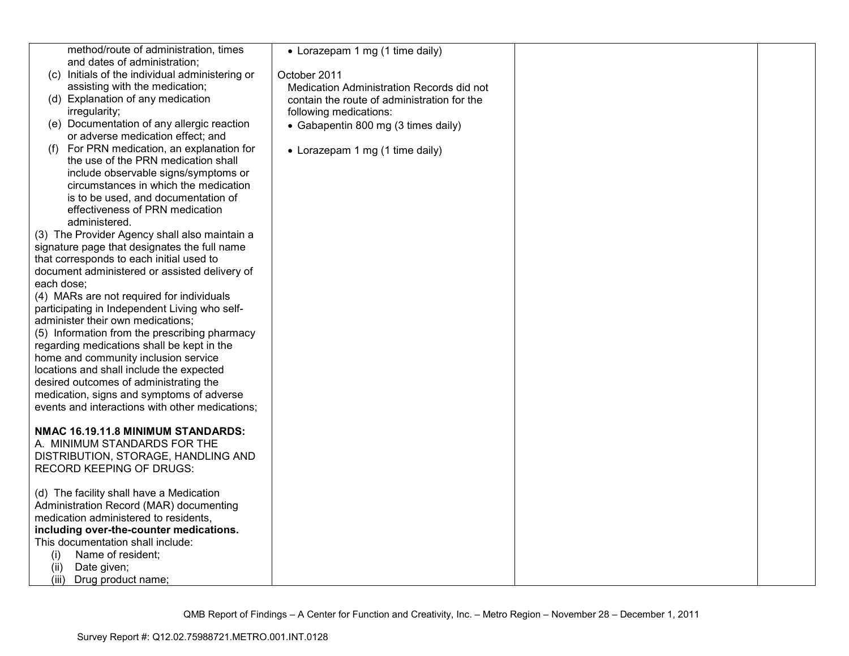| method/route of administration, times                                        | • Lorazepam 1 mg (1 time daily)             |  |
|------------------------------------------------------------------------------|---------------------------------------------|--|
| and dates of administration;                                                 |                                             |  |
| (c) Initials of the individual administering or                              | October 2011                                |  |
| assisting with the medication;                                               | Medication Administration Records did not   |  |
| (d) Explanation of any medication                                            | contain the route of administration for the |  |
| irregularity;                                                                | following medications:                      |  |
| (e) Documentation of any allergic reaction                                   | • Gabapentin 800 mg (3 times daily)         |  |
| or adverse medication effect; and                                            |                                             |  |
| For PRN medication, an explanation for<br>(f)                                | • Lorazepam 1 mg (1 time daily)             |  |
| the use of the PRN medication shall                                          |                                             |  |
| include observable signs/symptoms or                                         |                                             |  |
| circumstances in which the medication                                        |                                             |  |
| is to be used, and documentation of                                          |                                             |  |
| effectiveness of PRN medication                                              |                                             |  |
| administered.                                                                |                                             |  |
| (3) The Provider Agency shall also maintain a                                |                                             |  |
| signature page that designates the full name                                 |                                             |  |
| that corresponds to each initial used to                                     |                                             |  |
| document administered or assisted delivery of                                |                                             |  |
| each dose:                                                                   |                                             |  |
| (4) MARs are not required for individuals                                    |                                             |  |
| participating in Independent Living who self-                                |                                             |  |
| administer their own medications;                                            |                                             |  |
| (5) Information from the prescribing pharmacy                                |                                             |  |
| regarding medications shall be kept in the                                   |                                             |  |
| home and community inclusion service                                         |                                             |  |
| locations and shall include the expected                                     |                                             |  |
| desired outcomes of administrating the                                       |                                             |  |
| medication, signs and symptoms of adverse                                    |                                             |  |
| events and interactions with other medications;                              |                                             |  |
|                                                                              |                                             |  |
| NMAC 16.19.11.8 MINIMUM STANDARDS:                                           |                                             |  |
| A. MINIMUM STANDARDS FOR THE                                                 |                                             |  |
| DISTRIBUTION, STORAGE, HANDLING AND                                          |                                             |  |
| <b>RECORD KEEPING OF DRUGS:</b>                                              |                                             |  |
|                                                                              |                                             |  |
| (d) The facility shall have a Medication                                     |                                             |  |
| Administration Record (MAR) documenting                                      |                                             |  |
| medication administered to residents,                                        |                                             |  |
| including over-the-counter medications.<br>This documentation shall include: |                                             |  |
|                                                                              |                                             |  |
| (i)<br>Name of resident;                                                     |                                             |  |
| Date given;<br>(ii)                                                          |                                             |  |
| (iii) Drug product name;                                                     |                                             |  |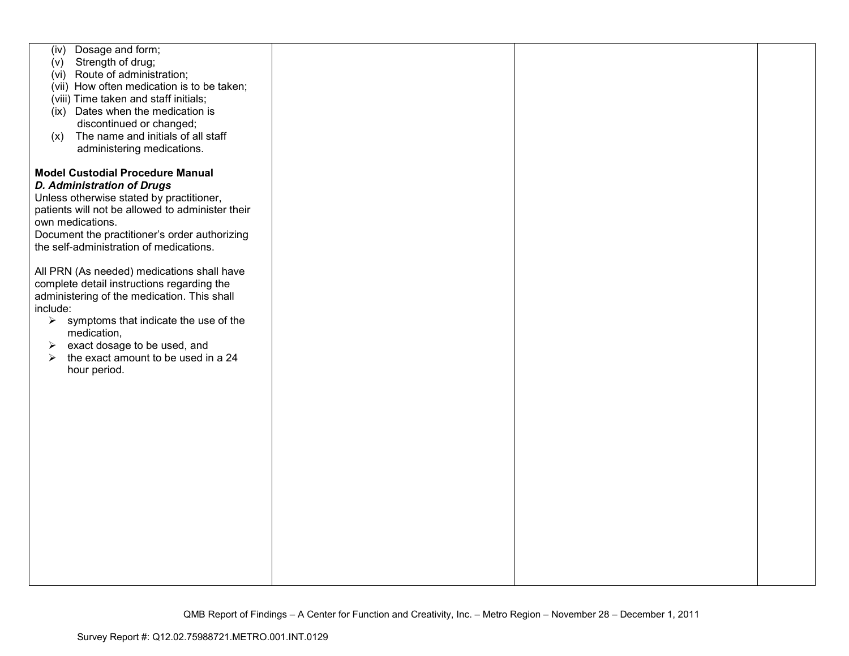| Dosage and form;<br>(iv)<br>Strength of drug;<br>(v)<br>(vi) Route of administration;<br>(vii) How often medication is to be taken;<br>(viii) Time taken and staff initials;<br>(ix) Dates when the medication is<br>discontinued or changed;<br>The name and initials of all staff<br>(x)<br>administering medications.              |  |  |
|---------------------------------------------------------------------------------------------------------------------------------------------------------------------------------------------------------------------------------------------------------------------------------------------------------------------------------------|--|--|
| <b>Model Custodial Procedure Manual</b><br><b>D. Administration of Drugs</b><br>Unless otherwise stated by practitioner,<br>patients will not be allowed to administer their<br>own medications.<br>Document the practitioner's order authorizing<br>the self-administration of medications.                                          |  |  |
| All PRN (As needed) medications shall have<br>complete detail instructions regarding the<br>administering of the medication. This shall<br>include:<br>symptoms that indicate the use of the<br>$\blacktriangleright$<br>medication,<br>exact dosage to be used, and<br>➤<br>the exact amount to be used in a 24<br>➤<br>hour period. |  |  |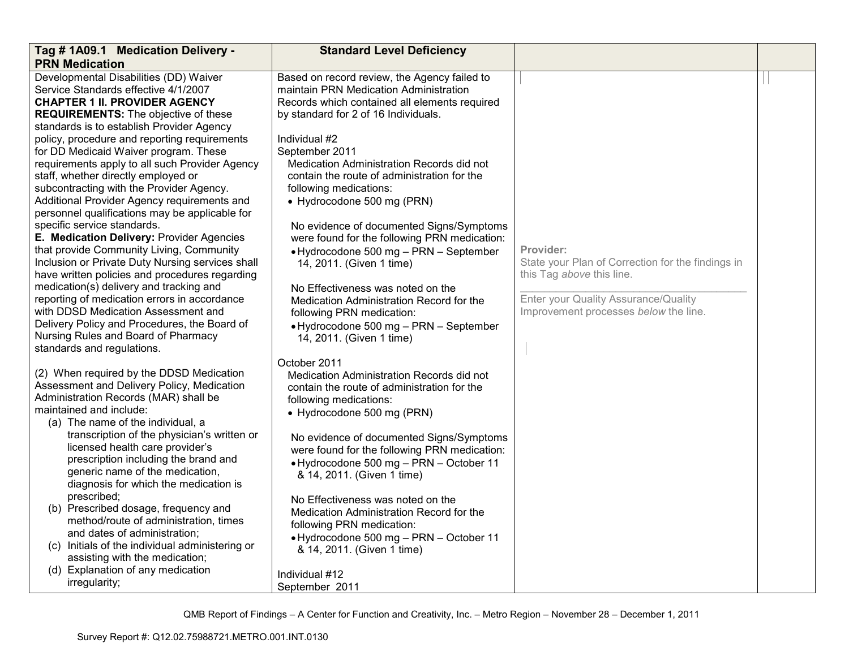| Tag # 1A09.1 Medication Delivery -                                                                                                                                                                                                                                                                                                                                                                                                                                                                                                                                                                                                                                                                                                                                                                                                                                                                                                                                                                       | <b>Standard Level Deficiency</b>                                                                                                                                                                                                                                                                                                                                                                                                                                                                                                                                                                                                                                                                                             |                                                                                                                                                                              |  |
|----------------------------------------------------------------------------------------------------------------------------------------------------------------------------------------------------------------------------------------------------------------------------------------------------------------------------------------------------------------------------------------------------------------------------------------------------------------------------------------------------------------------------------------------------------------------------------------------------------------------------------------------------------------------------------------------------------------------------------------------------------------------------------------------------------------------------------------------------------------------------------------------------------------------------------------------------------------------------------------------------------|------------------------------------------------------------------------------------------------------------------------------------------------------------------------------------------------------------------------------------------------------------------------------------------------------------------------------------------------------------------------------------------------------------------------------------------------------------------------------------------------------------------------------------------------------------------------------------------------------------------------------------------------------------------------------------------------------------------------------|------------------------------------------------------------------------------------------------------------------------------------------------------------------------------|--|
| <b>PRN Medication</b>                                                                                                                                                                                                                                                                                                                                                                                                                                                                                                                                                                                                                                                                                                                                                                                                                                                                                                                                                                                    |                                                                                                                                                                                                                                                                                                                                                                                                                                                                                                                                                                                                                                                                                                                              |                                                                                                                                                                              |  |
| Developmental Disabilities (DD) Waiver<br>Service Standards effective 4/1/2007<br><b>CHAPTER 1 II. PROVIDER AGENCY</b><br><b>REQUIREMENTS:</b> The objective of these<br>standards is to establish Provider Agency<br>policy, procedure and reporting requirements<br>for DD Medicaid Waiver program. These<br>requirements apply to all such Provider Agency<br>staff, whether directly employed or<br>subcontracting with the Provider Agency.<br>Additional Provider Agency requirements and<br>personnel qualifications may be applicable for<br>specific service standards.<br>E. Medication Delivery: Provider Agencies<br>that provide Community Living, Community<br>Inclusion or Private Duty Nursing services shall<br>have written policies and procedures regarding<br>medication(s) delivery and tracking and<br>reporting of medication errors in accordance<br>with DDSD Medication Assessment and<br>Delivery Policy and Procedures, the Board of<br>Nursing Rules and Board of Pharmacy | Based on record review, the Agency failed to<br>maintain PRN Medication Administration<br>Records which contained all elements required<br>by standard for 2 of 16 Individuals.<br>Individual #2<br>September 2011<br>Medication Administration Records did not<br>contain the route of administration for the<br>following medications:<br>• Hydrocodone 500 mg (PRN)<br>No evidence of documented Signs/Symptoms<br>were found for the following PRN medication:<br>• Hydrocodone 500 mg - PRN - September<br>14, 2011. (Given 1 time)<br>No Effectiveness was noted on the<br>Medication Administration Record for the<br>following PRN medication:<br>· Hydrocodone 500 mg - PRN - September<br>14, 2011. (Given 1 time) | Provider:<br>State your Plan of Correction for the findings in<br>this Tag above this line.<br>Enter your Quality Assurance/Quality<br>Improvement processes below the line. |  |
| standards and regulations.<br>(2) When required by the DDSD Medication<br>Assessment and Delivery Policy, Medication<br>Administration Records (MAR) shall be<br>maintained and include:<br>(a) The name of the individual, a<br>transcription of the physician's written or<br>licensed health care provider's<br>prescription including the brand and<br>generic name of the medication,<br>diagnosis for which the medication is<br>prescribed;<br>(b) Prescribed dosage, frequency and<br>method/route of administration, times<br>and dates of administration;<br>(c) Initials of the individual administering or<br>assisting with the medication;<br>(d) Explanation of any medication<br>irregularity;                                                                                                                                                                                                                                                                                           | October 2011<br>Medication Administration Records did not<br>contain the route of administration for the<br>following medications:<br>• Hydrocodone 500 mg (PRN)<br>No evidence of documented Signs/Symptoms<br>were found for the following PRN medication:<br>• Hydrocodone 500 mg - PRN - October 11<br>& 14, 2011. (Given 1 time)<br>No Effectiveness was noted on the<br>Medication Administration Record for the<br>following PRN medication:<br>• Hydrocodone 500 mg - PRN - October 11<br>& 14, 2011. (Given 1 time)<br>Individual #12<br>September 2011                                                                                                                                                             |                                                                                                                                                                              |  |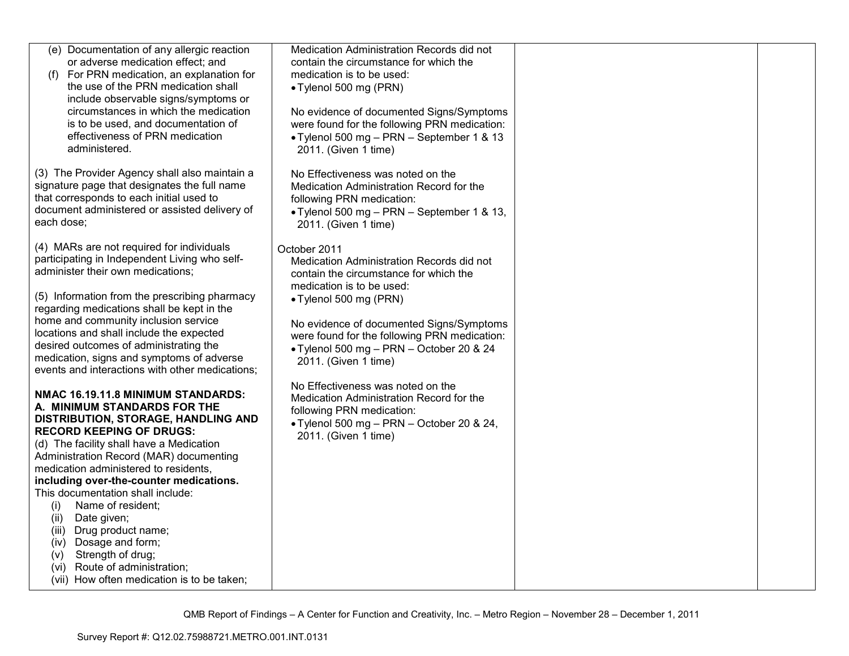| (e) Documentation of any allergic reaction<br>or adverse medication effect; and<br>(f) For PRN medication, an explanation for<br>the use of the PRN medication shall<br>include observable signs/symptoms or<br>circumstances in which the medication<br>is to be used, and documentation of<br>effectiveness of PRN medication<br>administered.                                                                                                                                                                                                                                   | Medication Administration Records did not<br>contain the circumstance for which the<br>medication is to be used:<br>• Tylenol 500 mg (PRN)<br>No evidence of documented Signs/Symptoms<br>were found for the following PRN medication:<br>• Tylenol 500 mg - PRN - September 1 & 13<br>2011. (Given 1 time) |  |
|------------------------------------------------------------------------------------------------------------------------------------------------------------------------------------------------------------------------------------------------------------------------------------------------------------------------------------------------------------------------------------------------------------------------------------------------------------------------------------------------------------------------------------------------------------------------------------|-------------------------------------------------------------------------------------------------------------------------------------------------------------------------------------------------------------------------------------------------------------------------------------------------------------|--|
| (3) The Provider Agency shall also maintain a<br>signature page that designates the full name<br>that corresponds to each initial used to<br>document administered or assisted delivery of<br>each dose;                                                                                                                                                                                                                                                                                                                                                                           | No Effectiveness was noted on the<br>Medication Administration Record for the<br>following PRN medication:<br>• Tylenol 500 mg - PRN - September 1 & 13,<br>2011. (Given 1 time)                                                                                                                            |  |
| (4) MARs are not required for individuals<br>participating in Independent Living who self-<br>administer their own medications;                                                                                                                                                                                                                                                                                                                                                                                                                                                    | October 2011<br>Medication Administration Records did not<br>contain the circumstance for which the                                                                                                                                                                                                         |  |
| (5) Information from the prescribing pharmacy<br>regarding medications shall be kept in the<br>home and community inclusion service<br>locations and shall include the expected<br>desired outcomes of administrating the<br>medication, signs and symptoms of adverse<br>events and interactions with other medications;                                                                                                                                                                                                                                                          | medication is to be used:<br>• Tylenol 500 mg (PRN)<br>No evidence of documented Signs/Symptoms<br>were found for the following PRN medication:<br>• Tylenol 500 mg - PRN - October 20 & 24<br>2011. (Given 1 time)                                                                                         |  |
| NMAC 16.19.11.8 MINIMUM STANDARDS:<br>A. MINIMUM STANDARDS FOR THE<br>DISTRIBUTION, STORAGE, HANDLING AND<br><b>RECORD KEEPING OF DRUGS:</b><br>(d) The facility shall have a Medication<br>Administration Record (MAR) documenting<br>medication administered to residents,<br>including over-the-counter medications.<br>This documentation shall include:<br>Name of resident;<br>(i)<br>Date given;<br>(ii)<br>Drug product name;<br>(iii)<br>(iv) Dosage and form;<br>Strength of drug;<br>(v)<br>(vi) Route of administration;<br>(vii) How often medication is to be taken; | No Effectiveness was noted on the<br>Medication Administration Record for the<br>following PRN medication:<br>• Tylenol 500 mg - PRN - October 20 & 24,<br>2011. (Given 1 time)                                                                                                                             |  |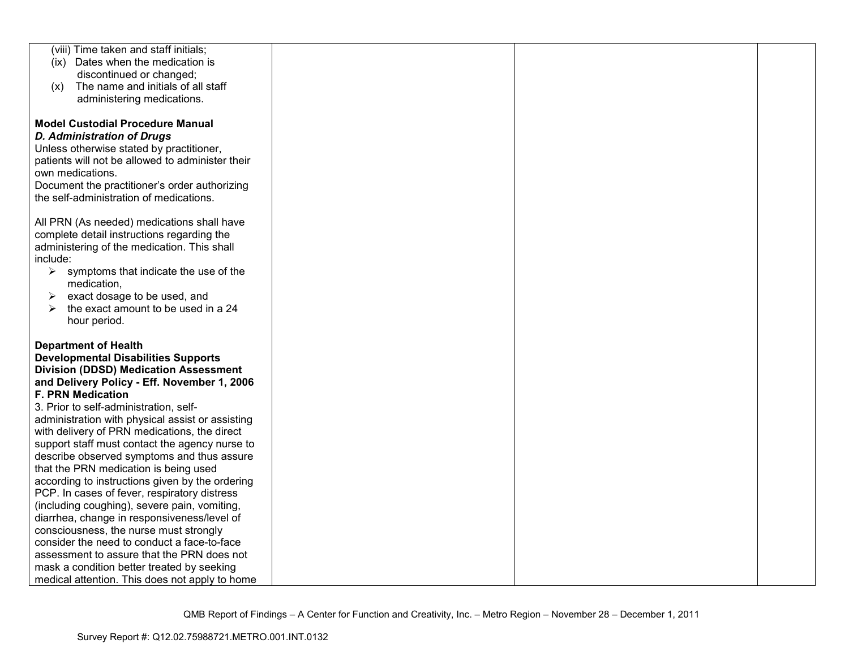| (viii) Time taken and staff initials;                                                       |  |
|---------------------------------------------------------------------------------------------|--|
| (ix) Dates when the medication is                                                           |  |
| discontinued or changed;                                                                    |  |
| The name and initials of all staff<br>(x)                                                   |  |
| administering medications.                                                                  |  |
|                                                                                             |  |
| <b>Model Custodial Procedure Manual</b>                                                     |  |
| <b>D. Administration of Drugs</b>                                                           |  |
| Unless otherwise stated by practitioner,                                                    |  |
| patients will not be allowed to administer their                                            |  |
| own medications.                                                                            |  |
| Document the practitioner's order authorizing                                               |  |
| the self-administration of medications.                                                     |  |
|                                                                                             |  |
| All PRN (As needed) medications shall have<br>complete detail instructions regarding the    |  |
| administering of the medication. This shall                                                 |  |
| include:                                                                                    |  |
| $\blacktriangleright$<br>symptoms that indicate the use of the                              |  |
| medication,                                                                                 |  |
| exact dosage to be used, and<br>➤                                                           |  |
| the exact amount to be used in a 24                                                         |  |
| hour period.                                                                                |  |
|                                                                                             |  |
| <b>Department of Health</b>                                                                 |  |
| <b>Developmental Disabilities Supports</b>                                                  |  |
| <b>Division (DDSD) Medication Assessment</b>                                                |  |
| and Delivery Policy - Eff. November 1, 2006                                                 |  |
| <b>F. PRN Medication</b>                                                                    |  |
| 3. Prior to self-administration, self-                                                      |  |
| administration with physical assist or assisting                                            |  |
| with delivery of PRN medications, the direct                                                |  |
| support staff must contact the agency nurse to                                              |  |
| describe observed symptoms and thus assure                                                  |  |
| that the PRN medication is being used                                                       |  |
| according to instructions given by the ordering                                             |  |
| PCP. In cases of fever, respiratory distress                                                |  |
| (including coughing), severe pain, vomiting,<br>diarrhea, change in responsiveness/level of |  |
| consciousness, the nurse must strongly                                                      |  |
| consider the need to conduct a face-to-face                                                 |  |
| assessment to assure that the PRN does not                                                  |  |
| mask a condition better treated by seeking                                                  |  |
|                                                                                             |  |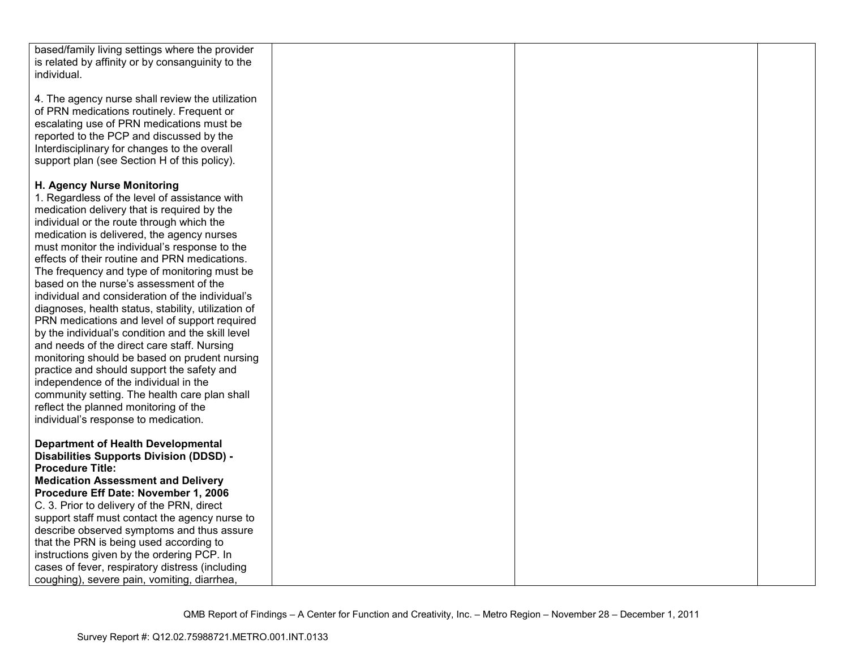| based/family living settings where the provider     |  |  |
|-----------------------------------------------------|--|--|
| is related by affinity or by consanguinity to the   |  |  |
| individual.                                         |  |  |
|                                                     |  |  |
|                                                     |  |  |
| 4. The agency nurse shall review the utilization    |  |  |
| of PRN medications routinely. Frequent or           |  |  |
| escalating use of PRN medications must be           |  |  |
| reported to the PCP and discussed by the            |  |  |
| Interdisciplinary for changes to the overall        |  |  |
|                                                     |  |  |
| support plan (see Section H of this policy).        |  |  |
|                                                     |  |  |
| H. Agency Nurse Monitoring                          |  |  |
| 1. Regardless of the level of assistance with       |  |  |
| medication delivery that is required by the         |  |  |
| individual or the route through which the           |  |  |
|                                                     |  |  |
| medication is delivered, the agency nurses          |  |  |
| must monitor the individual's response to the       |  |  |
| effects of their routine and PRN medications.       |  |  |
| The frequency and type of monitoring must be        |  |  |
| based on the nurse's assessment of the              |  |  |
| individual and consideration of the individual's    |  |  |
| diagnoses, health status, stability, utilization of |  |  |
|                                                     |  |  |
| PRN medications and level of support required       |  |  |
| by the individual's condition and the skill level   |  |  |
| and needs of the direct care staff. Nursing         |  |  |
| monitoring should be based on prudent nursing       |  |  |
| practice and should support the safety and          |  |  |
| independence of the individual in the               |  |  |
| community setting. The health care plan shall       |  |  |
| reflect the planned monitoring of the               |  |  |
|                                                     |  |  |
| individual's response to medication.                |  |  |
|                                                     |  |  |
| <b>Department of Health Developmental</b>           |  |  |
| <b>Disabilities Supports Division (DDSD) -</b>      |  |  |
| <b>Procedure Title:</b>                             |  |  |
| <b>Medication Assessment and Delivery</b>           |  |  |
| Procedure Eff Date: November 1, 2006                |  |  |
| C. 3. Prior to delivery of the PRN, direct          |  |  |
|                                                     |  |  |
| support staff must contact the agency nurse to      |  |  |
| describe observed symptoms and thus assure          |  |  |
| that the PRN is being used according to             |  |  |
| instructions given by the ordering PCP. In          |  |  |
| cases of fever, respiratory distress (including     |  |  |
| coughing), severe pain, vomiting, diarrhea,         |  |  |
|                                                     |  |  |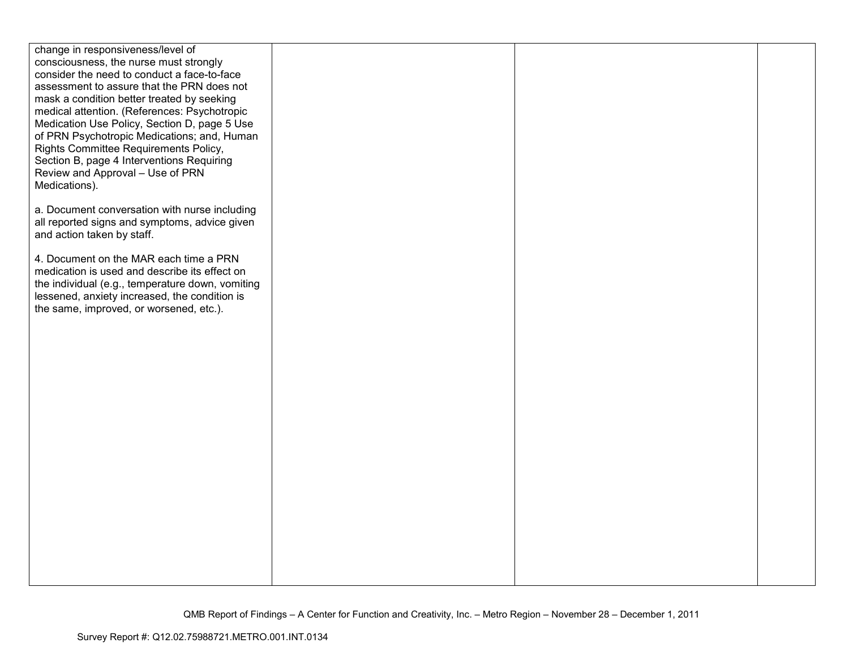| change in responsiveness/level of                |  |  |
|--------------------------------------------------|--|--|
| consciousness, the nurse must strongly           |  |  |
| consider the need to conduct a face-to-face      |  |  |
| assessment to assure that the PRN does not       |  |  |
| mask a condition better treated by seeking       |  |  |
| medical attention. (References: Psychotropic     |  |  |
| Medication Use Policy, Section D, page 5 Use     |  |  |
| of PRN Psychotropic Medications; and, Human      |  |  |
| Rights Committee Requirements Policy,            |  |  |
| Section B, page 4 Interventions Requiring        |  |  |
| Review and Approval - Use of PRN                 |  |  |
| Medications).                                    |  |  |
|                                                  |  |  |
| a. Document conversation with nurse including    |  |  |
| all reported signs and symptoms, advice given    |  |  |
| and action taken by staff.                       |  |  |
| 4. Document on the MAR each time a PRN           |  |  |
| medication is used and describe its effect on    |  |  |
| the individual (e.g., temperature down, vomiting |  |  |
| lessened, anxiety increased, the condition is    |  |  |
| the same, improved, or worsened, etc.).          |  |  |
|                                                  |  |  |
|                                                  |  |  |
|                                                  |  |  |
|                                                  |  |  |
|                                                  |  |  |
|                                                  |  |  |
|                                                  |  |  |
|                                                  |  |  |
|                                                  |  |  |
|                                                  |  |  |
|                                                  |  |  |
|                                                  |  |  |
|                                                  |  |  |
|                                                  |  |  |
|                                                  |  |  |
|                                                  |  |  |
|                                                  |  |  |
|                                                  |  |  |
|                                                  |  |  |
|                                                  |  |  |
|                                                  |  |  |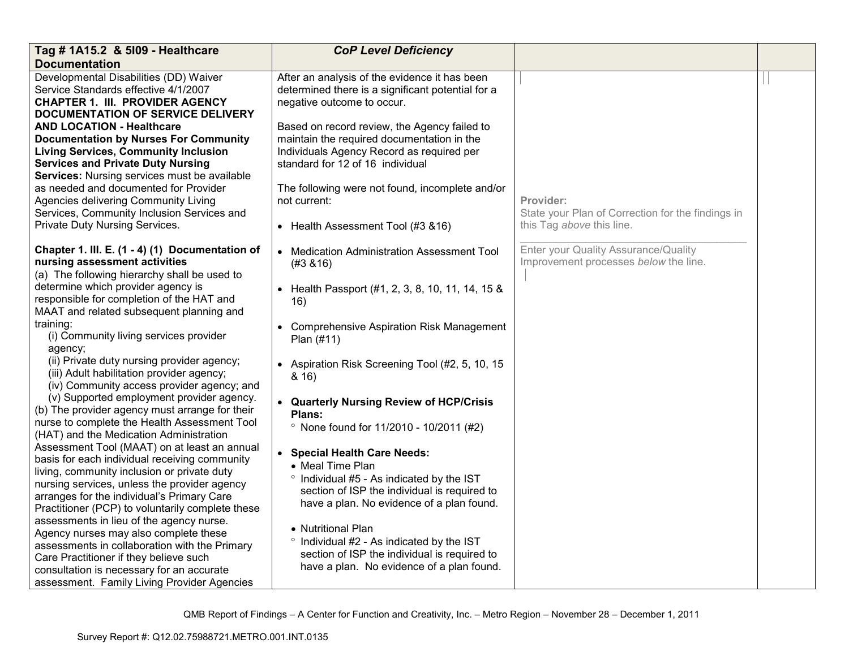| Tag # 1A15.2 & 5109 - Healthcare                                                                                                                                                                                                                                                               | <b>CoP Level Deficiency</b>                                                                                                                                                                |                                                                               |  |
|------------------------------------------------------------------------------------------------------------------------------------------------------------------------------------------------------------------------------------------------------------------------------------------------|--------------------------------------------------------------------------------------------------------------------------------------------------------------------------------------------|-------------------------------------------------------------------------------|--|
| <b>Documentation</b>                                                                                                                                                                                                                                                                           |                                                                                                                                                                                            |                                                                               |  |
| Developmental Disabilities (DD) Waiver<br>Service Standards effective 4/1/2007<br><b>CHAPTER 1. III. PROVIDER AGENCY</b><br>DOCUMENTATION OF SERVICE DELIVERY                                                                                                                                  | After an analysis of the evidence it has been<br>determined there is a significant potential for a<br>negative outcome to occur.                                                           |                                                                               |  |
| <b>AND LOCATION - Healthcare</b><br><b>Documentation by Nurses For Community</b><br><b>Living Services, Community Inclusion</b><br><b>Services and Private Duty Nursing</b><br>Services: Nursing services must be available                                                                    | Based on record review, the Agency failed to<br>maintain the required documentation in the<br>Individuals Agency Record as required per<br>standard for 12 of 16 individual                |                                                                               |  |
| as needed and documented for Provider<br>Agencies delivering Community Living<br>Services, Community Inclusion Services and                                                                                                                                                                    | The following were not found, incomplete and/or<br>not current:                                                                                                                            | Provider:<br>State your Plan of Correction for the findings in                |  |
| Private Duty Nursing Services.                                                                                                                                                                                                                                                                 | • Health Assessment Tool (#3 & 16)                                                                                                                                                         | this Tag above this line.                                                     |  |
| Chapter 1. III. E. (1 - 4) (1) Documentation of<br>nursing assessment activities<br>(a) The following hierarchy shall be used to                                                                                                                                                               | • Medication Administration Assessment Tool<br>(#3, 8, 16)                                                                                                                                 | Enter your Quality Assurance/Quality<br>Improvement processes below the line. |  |
| determine which provider agency is<br>responsible for completion of the HAT and<br>MAAT and related subsequent planning and                                                                                                                                                                    | Health Passport (#1, 2, 3, 8, 10, 11, 14, 15 &<br>16)                                                                                                                                      |                                                                               |  |
| training:<br>(i) Community living services provider<br>agency;                                                                                                                                                                                                                                 | <b>Comprehensive Aspiration Risk Management</b><br>Plan (#11)                                                                                                                              |                                                                               |  |
| (ii) Private duty nursing provider agency;<br>(iii) Adult habilitation provider agency;<br>(iv) Community access provider agency; and                                                                                                                                                          | • Aspiration Risk Screening Tool (#2, 5, 10, 15<br>8.16                                                                                                                                    |                                                                               |  |
| (v) Supported employment provider agency.<br>(b) The provider agency must arrange for their<br>nurse to complete the Health Assessment Tool<br>(HAT) and the Medication Administration                                                                                                         | • Quarterly Nursing Review of HCP/Crisis<br>Plans:<br><sup>o</sup> None found for 11/2010 - 10/2011 (#2)                                                                                   |                                                                               |  |
| Assessment Tool (MAAT) on at least an annual<br>basis for each individual receiving community<br>living, community inclusion or private duty<br>nursing services, unless the provider agency<br>arranges for the individual's Primary Care<br>Practitioner (PCP) to voluntarily complete these | • Special Health Care Needs:<br>• Meal Time Plan<br>° Individual #5 - As indicated by the IST<br>section of ISP the individual is required to<br>have a plan. No evidence of a plan found. |                                                                               |  |
| assessments in lieu of the agency nurse.<br>Agency nurses may also complete these<br>assessments in collaboration with the Primary<br>Care Practitioner if they believe such<br>consultation is necessary for an accurate<br>assessment. Family Living Provider Agencies                       | • Nutritional Plan<br>° Individual #2 - As indicated by the IST<br>section of ISP the individual is required to<br>have a plan. No evidence of a plan found.                               |                                                                               |  |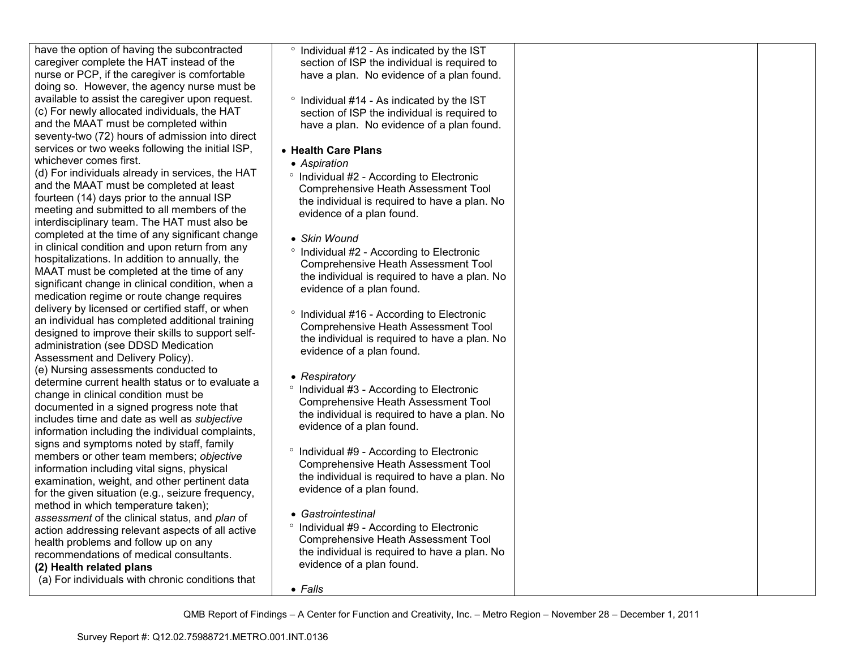| have the option of having the subcontracted       | ° Individual #12 - As indicated by the IST            |  |
|---------------------------------------------------|-------------------------------------------------------|--|
| caregiver complete the HAT instead of the         | section of ISP the individual is required to          |  |
| nurse or PCP, if the caregiver is comfortable     | have a plan. No evidence of a plan found.             |  |
| doing so. However, the agency nurse must be       |                                                       |  |
| available to assist the caregiver upon request.   | ° Individual #14 - As indicated by the IST            |  |
| (c) For newly allocated individuals, the HAT      | section of ISP the individual is required to          |  |
| and the MAAT must be completed within             | have a plan. No evidence of a plan found.             |  |
| seventy-two (72) hours of admission into direct   |                                                       |  |
| services or two weeks following the initial ISP,  | • Health Care Plans                                   |  |
| whichever comes first.                            | • Aspiration                                          |  |
| (d) For individuals already in services, the HAT  | ° Individual #2 - According to Electronic             |  |
| and the MAAT must be completed at least           | <b>Comprehensive Heath Assessment Tool</b>            |  |
| fourteen (14) days prior to the annual ISP        | the individual is required to have a plan. No         |  |
| meeting and submitted to all members of the       | evidence of a plan found.                             |  |
| interdisciplinary team. The HAT must also be      |                                                       |  |
| completed at the time of any significant change   | • Skin Wound                                          |  |
| in clinical condition and upon return from any    | <sup>o</sup> Individual #2 - According to Electronic  |  |
| hospitalizations. In addition to annually, the    | <b>Comprehensive Heath Assessment Tool</b>            |  |
| MAAT must be completed at the time of any         | the individual is required to have a plan. No         |  |
| significant change in clinical condition, when a  | evidence of a plan found.                             |  |
| medication regime or route change requires        |                                                       |  |
| delivery by licensed or certified staff, or when  | <sup>o</sup> Individual #16 - According to Electronic |  |
| an individual has completed additional training   | Comprehensive Heath Assessment Tool                   |  |
| designed to improve their skills to support self- | the individual is required to have a plan. No         |  |
| administration (see DDSD Medication               | evidence of a plan found.                             |  |
| Assessment and Delivery Policy).                  |                                                       |  |
| (e) Nursing assessments conducted to              |                                                       |  |
| determine current health status or to evaluate a  | • Respiratory                                         |  |
| change in clinical condition must be              | ° Individual #3 - According to Electronic             |  |
| documented in a signed progress note that         | <b>Comprehensive Heath Assessment Tool</b>            |  |
| includes time and date as well as subjective      | the individual is required to have a plan. No         |  |
| information including the individual complaints,  | evidence of a plan found.                             |  |
| signs and symptoms noted by staff, family         |                                                       |  |
| members or other team members; objective          | <sup>o</sup> Individual #9 - According to Electronic  |  |
| information including vital signs, physical       | <b>Comprehensive Heath Assessment Tool</b>            |  |
| examination, weight, and other pertinent data     | the individual is required to have a plan. No         |  |
| for the given situation (e.g., seizure frequency, | evidence of a plan found.                             |  |
| method in which temperature taken);               |                                                       |  |
| assessment of the clinical status, and plan of    | • Gastrointestinal                                    |  |
| action addressing relevant aspects of all active  | <sup>o</sup> Individual #9 - According to Electronic  |  |
| health problems and follow up on any              | <b>Comprehensive Heath Assessment Tool</b>            |  |
| recommendations of medical consultants.           | the individual is required to have a plan. No         |  |
| (2) Health related plans                          | evidence of a plan found.                             |  |
| (a) For individuals with chronic conditions that  |                                                       |  |
|                                                   | $\bullet$ Falls                                       |  |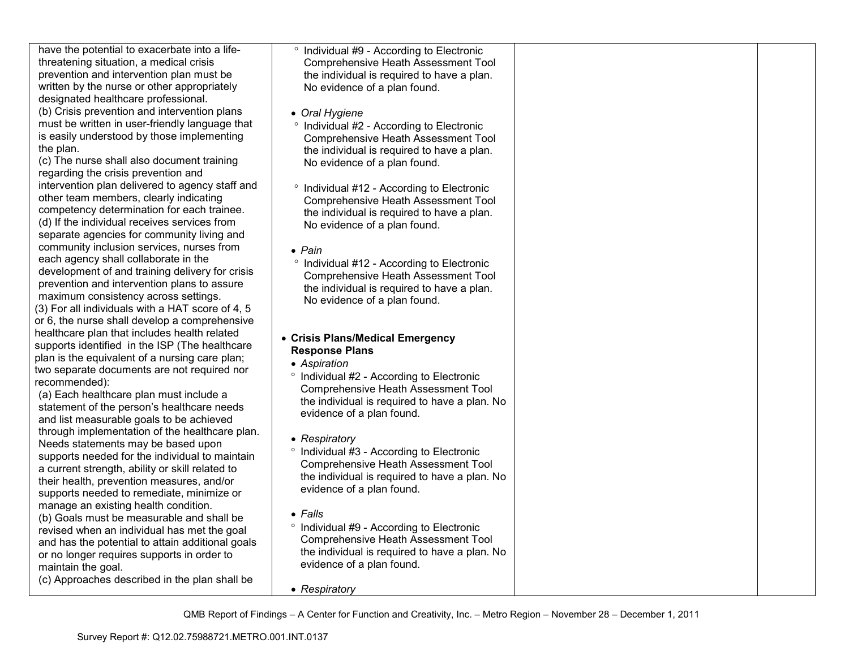have the potential to exacerbate into a lifethreatening situation, a medical crisis prevention and intervention plan must be written by the nurse or other appropriately designated healthcare professional. (b) Crisis prevention and intervention plans must be written in user-friendly language that is easily understood by those implementing the plan. (c) The nurse shall also document training regarding the crisis prevention and intervention plan delivered to agency staff and

other team members, clearly indicating competency determination for each trainee. (d) If the individual receives services from separate agencies for community living and community inclusion services, nurses from each agency shall collaborate in the development of and training delivery for crisis prevention and intervention plans to assure maximum consistency across settings. (3) For all individuals with a HAT score of 4, 5 or 6, the nurse shall develop a comprehensive healthcare plan that includes health related supports identified in the ISP (The healthcare plan is the equivalent of a nursing care plan; two separate documents are not required nor recommended):

 (a) Each healthcare plan must include a statement of the person's healthcare needs and list measurable goals to be achieved through implementation of the healthcare plan. Needs statements may be based upon supports needed for the individual to maintain a current strength, ability or skill related to their health, prevention measures, and/or supports needed to remediate, minimize or manage an existing health condition.

 (b) Goals must be measurable and shall be revised when an individual has met the goal and has the potential to attain additional goals or no longer requires supports in order to maintain the goal.

(c) Approaches described in the plan shall be

° Individual #9 - According to Electronic Comprehensive Heath Assessment Tool the individual is required to have a plan. No evidence of a plan found.

- *Oral Hygiene*
- ° Individual #2 According to Electronic Comprehensive Heath Assessment Tool the individual is required to have a plan. No evidence of a plan found.
- ° Individual #12 According to Electronic Comprehensive Heath Assessment Tool the individual is required to have a plan. No evidence of a plan found.
- *Pain*
- ° Individual #12 According to Electronic Comprehensive Heath Assessment Tool the individual is required to have a plan. No evidence of a plan found.

#### • **Crisis Plans/Medical Emergency Response Plans**

- *Aspiration*
- ° Individual #2 According to Electronic Comprehensive Heath Assessment Tool the individual is required to have a plan. No evidence of a plan found.
- *Respiratory*
- ° Individual #3 According to Electronic Comprehensive Heath Assessment Tool the individual is required to have a plan. No evidence of a plan found.
- *Falls*
- ° Individual #9 According to Electronic Comprehensive Heath Assessment Tool the individual is required to have a plan. No evidence of a plan found.

• *Respiratory*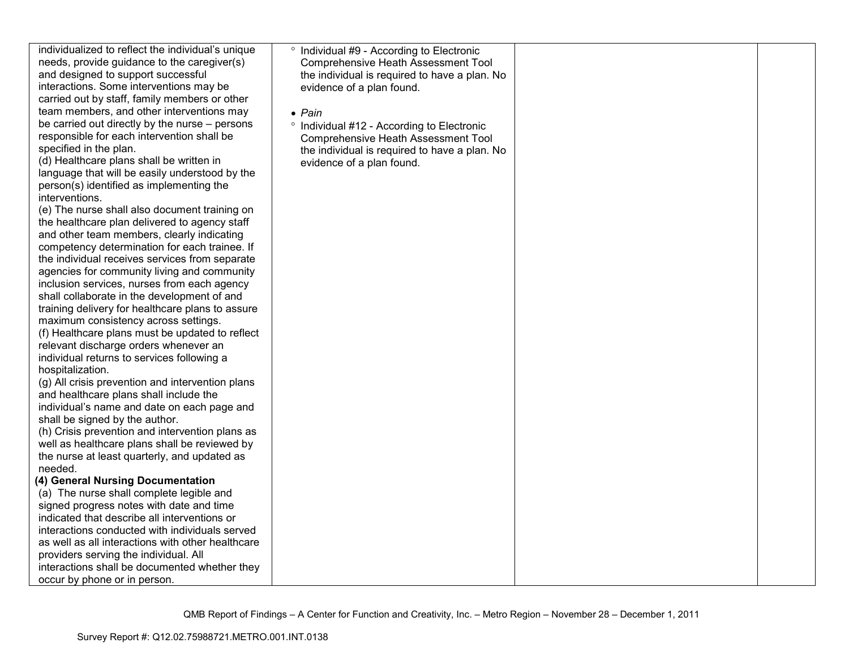| individualized to reflect the individual's unique | <sup>o</sup> Individual #9 - According to Electronic |  |
|---------------------------------------------------|------------------------------------------------------|--|
| needs, provide guidance to the caregiver(s)       | <b>Comprehensive Heath Assessment Tool</b>           |  |
| and designed to support successful                | the individual is required to have a plan. No        |  |
| interactions. Some interventions may be           | evidence of a plan found.                            |  |
| carried out by staff, family members or other     |                                                      |  |
|                                                   |                                                      |  |
| team members, and other interventions may         | $\bullet$ Pain                                       |  |
| be carried out directly by the nurse – persons    | ° Individual #12 - According to Electronic           |  |
| responsible for each intervention shall be        | <b>Comprehensive Heath Assessment Tool</b>           |  |
| specified in the plan.                            | the individual is required to have a plan. No        |  |
| (d) Healthcare plans shall be written in          | evidence of a plan found.                            |  |
| language that will be easily understood by the    |                                                      |  |
| person(s) identified as implementing the          |                                                      |  |
| interventions.                                    |                                                      |  |
| (e) The nurse shall also document training on     |                                                      |  |
| the healthcare plan delivered to agency staff     |                                                      |  |
| and other team members, clearly indicating        |                                                      |  |
| competency determination for each trainee. If     |                                                      |  |
| the individual receives services from separate    |                                                      |  |
| agencies for community living and community       |                                                      |  |
| inclusion services, nurses from each agency       |                                                      |  |
| shall collaborate in the development of and       |                                                      |  |
| training delivery for healthcare plans to assure  |                                                      |  |
| maximum consistency across settings.              |                                                      |  |
| (f) Healthcare plans must be updated to reflect   |                                                      |  |
| relevant discharge orders whenever an             |                                                      |  |
| individual returns to services following a        |                                                      |  |
| hospitalization.                                  |                                                      |  |
| (g) All crisis prevention and intervention plans  |                                                      |  |
| and healthcare plans shall include the            |                                                      |  |
| individual's name and date on each page and       |                                                      |  |
| shall be signed by the author.                    |                                                      |  |
| (h) Crisis prevention and intervention plans as   |                                                      |  |
| well as healthcare plans shall be reviewed by     |                                                      |  |
| the nurse at least quarterly, and updated as      |                                                      |  |
| needed.                                           |                                                      |  |
| (4) General Nursing Documentation                 |                                                      |  |
| (a) The nurse shall complete legible and          |                                                      |  |
| signed progress notes with date and time          |                                                      |  |
| indicated that describe all interventions or      |                                                      |  |
| interactions conducted with individuals served    |                                                      |  |
| as well as all interactions with other healthcare |                                                      |  |
| providers serving the individual. All             |                                                      |  |
| interactions shall be documented whether they     |                                                      |  |
| occur by phone or in person.                      |                                                      |  |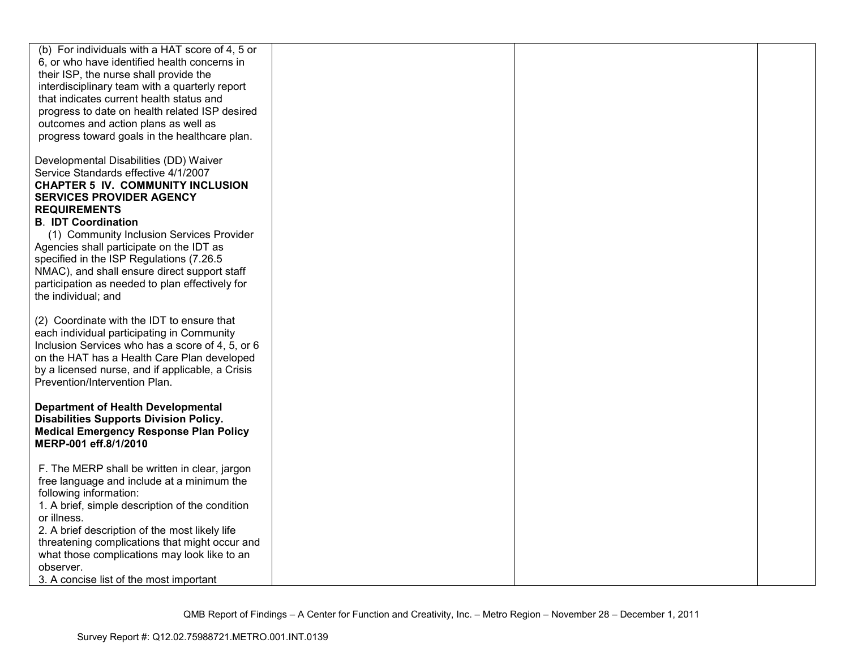| (b) For individuals with a HAT score of 4, 5 or<br>6, or who have identified health concerns in<br>their ISP, the nurse shall provide the<br>interdisciplinary team with a quarterly report<br>that indicates current health status and<br>progress to date on health related ISP desired<br>outcomes and action plans as well as<br>progress toward goals in the healthcare plan.                                                                                                |  |  |
|-----------------------------------------------------------------------------------------------------------------------------------------------------------------------------------------------------------------------------------------------------------------------------------------------------------------------------------------------------------------------------------------------------------------------------------------------------------------------------------|--|--|
| Developmental Disabilities (DD) Waiver<br>Service Standards effective 4/1/2007<br><b>CHAPTER 5 IV. COMMUNITY INCLUSION</b><br><b>SERVICES PROVIDER AGENCY</b><br><b>REQUIREMENTS</b><br><b>B. IDT Coordination</b><br>(1) Community Inclusion Services Provider<br>Agencies shall participate on the IDT as<br>specified in the ISP Regulations (7.26.5<br>NMAC), and shall ensure direct support staff<br>participation as needed to plan effectively for<br>the individual; and |  |  |
| (2) Coordinate with the IDT to ensure that<br>each individual participating in Community<br>Inclusion Services who has a score of 4, 5, or 6<br>on the HAT has a Health Care Plan developed<br>by a licensed nurse, and if applicable, a Crisis<br>Prevention/Intervention Plan.                                                                                                                                                                                                  |  |  |
| <b>Department of Health Developmental</b><br><b>Disabilities Supports Division Policy.</b><br><b>Medical Emergency Response Plan Policy</b><br>MERP-001 eff.8/1/2010                                                                                                                                                                                                                                                                                                              |  |  |
| F. The MERP shall be written in clear, jargon<br>free language and include at a minimum the<br>following information:<br>1. A brief, simple description of the condition<br>or illness.<br>2. A brief description of the most likely life<br>threatening complications that might occur and<br>what those complications may look like to an<br>observer.<br>3. A concise list of the most important                                                                               |  |  |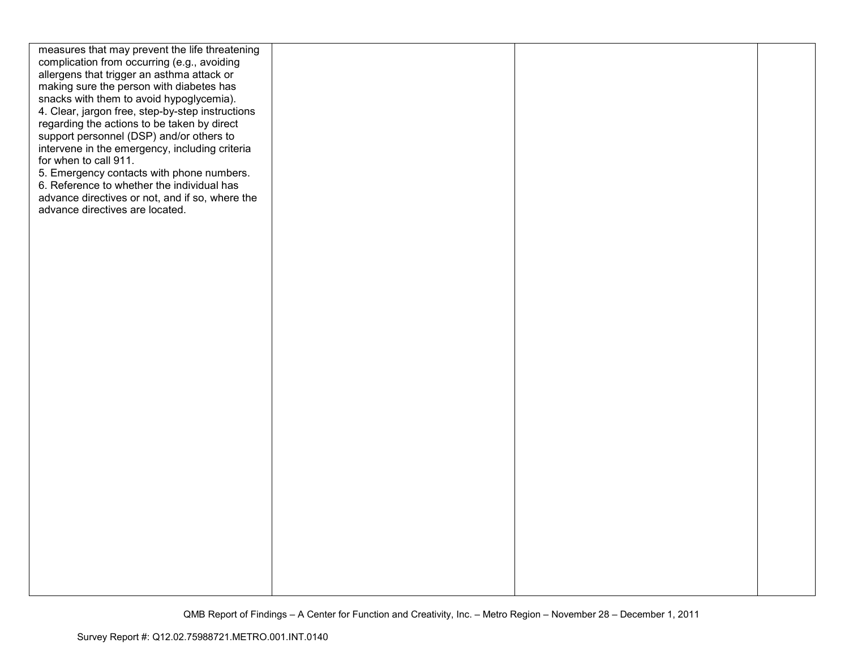| measures that may prevent the life threatening   |  |  |
|--------------------------------------------------|--|--|
| complication from occurring (e.g., avoiding      |  |  |
| allergens that trigger an asthma attack or       |  |  |
| making sure the person with diabetes has         |  |  |
| snacks with them to avoid hypoglycemia).         |  |  |
| 4. Clear, jargon free, step-by-step instructions |  |  |
| regarding the actions to be taken by direct      |  |  |
| support personnel (DSP) and/or others to         |  |  |
| intervene in the emergency, including criteria   |  |  |
| for when to call 911.                            |  |  |
| 5. Emergency contacts with phone numbers.        |  |  |
| 6. Reference to whether the individual has       |  |  |
| advance directives or not, and if so, where the  |  |  |
| advance directives are located.                  |  |  |
|                                                  |  |  |
|                                                  |  |  |
|                                                  |  |  |
|                                                  |  |  |
|                                                  |  |  |
|                                                  |  |  |
|                                                  |  |  |
|                                                  |  |  |
|                                                  |  |  |
|                                                  |  |  |
|                                                  |  |  |
|                                                  |  |  |
|                                                  |  |  |
|                                                  |  |  |
|                                                  |  |  |
|                                                  |  |  |
|                                                  |  |  |
|                                                  |  |  |
|                                                  |  |  |
|                                                  |  |  |
|                                                  |  |  |
|                                                  |  |  |
|                                                  |  |  |
|                                                  |  |  |
|                                                  |  |  |
|                                                  |  |  |
|                                                  |  |  |
|                                                  |  |  |
|                                                  |  |  |
|                                                  |  |  |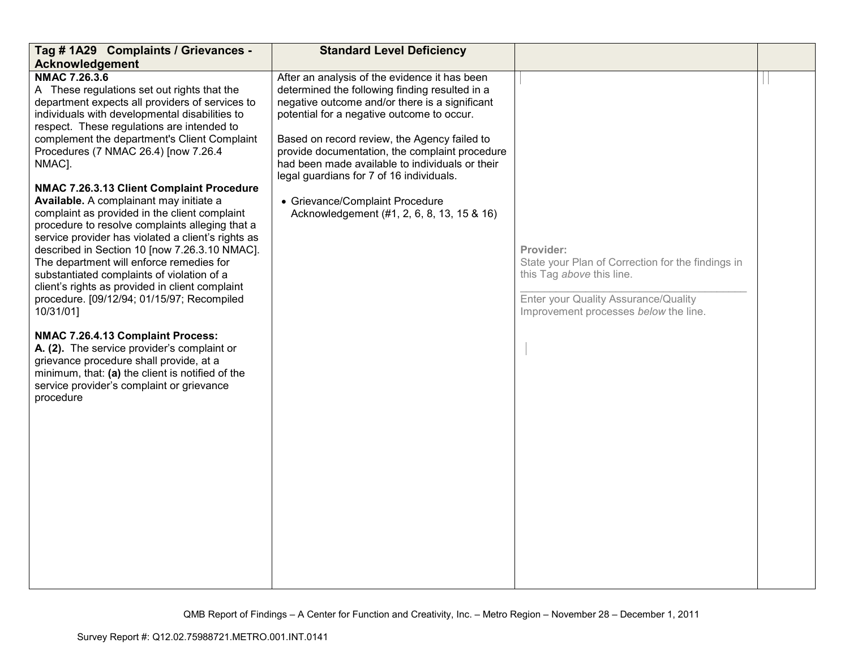| Tag # 1A29 Complaints / Grievances -                                                                                                                                                                                                                                                                                                                                                                                                                                                                                                                                                                                                                                                                                                                                                                                                                                                                                                                                                                                               | <b>Standard Level Deficiency</b>                                                                                                                                                                                                                                                                                                                                                                                                                                                  |                                                                                                                                                                              |  |
|------------------------------------------------------------------------------------------------------------------------------------------------------------------------------------------------------------------------------------------------------------------------------------------------------------------------------------------------------------------------------------------------------------------------------------------------------------------------------------------------------------------------------------------------------------------------------------------------------------------------------------------------------------------------------------------------------------------------------------------------------------------------------------------------------------------------------------------------------------------------------------------------------------------------------------------------------------------------------------------------------------------------------------|-----------------------------------------------------------------------------------------------------------------------------------------------------------------------------------------------------------------------------------------------------------------------------------------------------------------------------------------------------------------------------------------------------------------------------------------------------------------------------------|------------------------------------------------------------------------------------------------------------------------------------------------------------------------------|--|
|                                                                                                                                                                                                                                                                                                                                                                                                                                                                                                                                                                                                                                                                                                                                                                                                                                                                                                                                                                                                                                    |                                                                                                                                                                                                                                                                                                                                                                                                                                                                                   |                                                                                                                                                                              |  |
| Acknowledgement<br>NMAC 7.26.3.6<br>A These regulations set out rights that the<br>department expects all providers of services to<br>individuals with developmental disabilities to<br>respect. These regulations are intended to<br>complement the department's Client Complaint<br>Procedures (7 NMAC 26.4) [now 7.26.4<br>NMAC].<br>NMAC 7.26.3.13 Client Complaint Procedure<br>Available. A complainant may initiate a<br>complaint as provided in the client complaint<br>procedure to resolve complaints alleging that a<br>service provider has violated a client's rights as<br>described in Section 10 [now 7.26.3.10 NMAC].<br>The department will enforce remedies for<br>substantiated complaints of violation of a<br>client's rights as provided in client complaint<br>procedure. [09/12/94; 01/15/97; Recompiled<br>10/31/01]<br>NMAC 7.26.4.13 Complaint Process:<br>A. (2). The service provider's complaint or<br>grievance procedure shall provide, at a<br>minimum, that: (a) the client is notified of the | After an analysis of the evidence it has been<br>determined the following finding resulted in a<br>negative outcome and/or there is a significant<br>potential for a negative outcome to occur.<br>Based on record review, the Agency failed to<br>provide documentation, the complaint procedure<br>had been made available to individuals or their<br>legal guardians for 7 of 16 individuals.<br>• Grievance/Complaint Procedure<br>Acknowledgement (#1, 2, 6, 8, 13, 15 & 16) | Provider:<br>State your Plan of Correction for the findings in<br>this Tag above this line.<br>Enter your Quality Assurance/Quality<br>Improvement processes below the line. |  |
| service provider's complaint or grievance<br>procedure                                                                                                                                                                                                                                                                                                                                                                                                                                                                                                                                                                                                                                                                                                                                                                                                                                                                                                                                                                             |                                                                                                                                                                                                                                                                                                                                                                                                                                                                                   |                                                                                                                                                                              |  |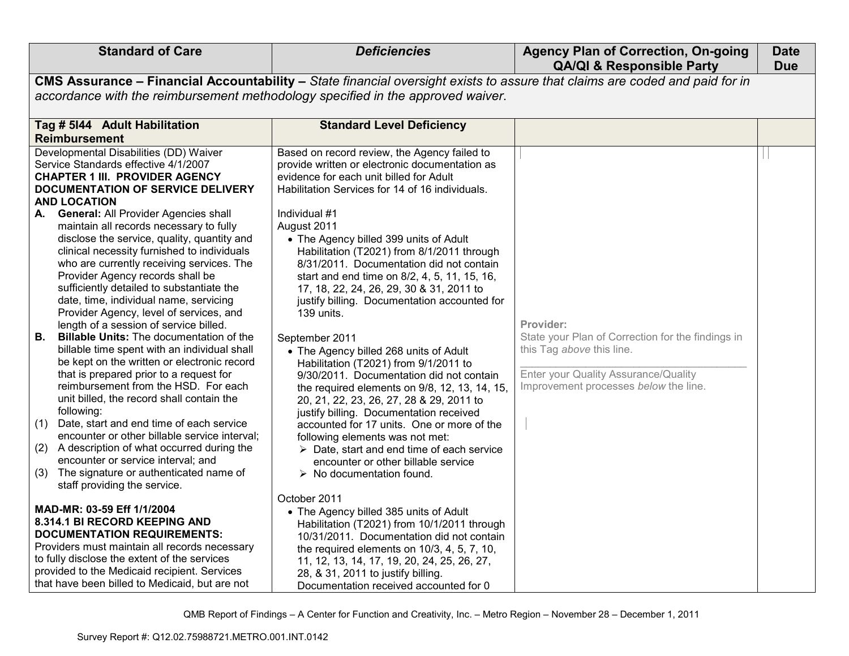| <b>Standard of Care</b>                                                                                                                                                                                                                                                                                                                                                                                                                                                                                                                                                                                                                                                                                                                                                                                                                                                                                                                              | <b>Deficiencies</b>                                                                                                                                                                                                                                                                                                                                                                                                                                                                                                                                                                                                                                                                                                                                                                                                 | <b>Agency Plan of Correction, On-going</b><br><b>QA/QI &amp; Responsible Party</b>                                                                                           | <b>Date</b><br><b>Due</b> |
|------------------------------------------------------------------------------------------------------------------------------------------------------------------------------------------------------------------------------------------------------------------------------------------------------------------------------------------------------------------------------------------------------------------------------------------------------------------------------------------------------------------------------------------------------------------------------------------------------------------------------------------------------------------------------------------------------------------------------------------------------------------------------------------------------------------------------------------------------------------------------------------------------------------------------------------------------|---------------------------------------------------------------------------------------------------------------------------------------------------------------------------------------------------------------------------------------------------------------------------------------------------------------------------------------------------------------------------------------------------------------------------------------------------------------------------------------------------------------------------------------------------------------------------------------------------------------------------------------------------------------------------------------------------------------------------------------------------------------------------------------------------------------------|------------------------------------------------------------------------------------------------------------------------------------------------------------------------------|---------------------------|
|                                                                                                                                                                                                                                                                                                                                                                                                                                                                                                                                                                                                                                                                                                                                                                                                                                                                                                                                                      | CMS Assurance - Financial Accountability - State financial oversight exists to assure that claims are coded and paid for in                                                                                                                                                                                                                                                                                                                                                                                                                                                                                                                                                                                                                                                                                         |                                                                                                                                                                              |                           |
|                                                                                                                                                                                                                                                                                                                                                                                                                                                                                                                                                                                                                                                                                                                                                                                                                                                                                                                                                      | accordance with the reimbursement methodology specified in the approved waiver.                                                                                                                                                                                                                                                                                                                                                                                                                                                                                                                                                                                                                                                                                                                                     |                                                                                                                                                                              |                           |
| Tag # 5144 Adult Habilitation                                                                                                                                                                                                                                                                                                                                                                                                                                                                                                                                                                                                                                                                                                                                                                                                                                                                                                                        | <b>Standard Level Deficiency</b>                                                                                                                                                                                                                                                                                                                                                                                                                                                                                                                                                                                                                                                                                                                                                                                    |                                                                                                                                                                              |                           |
| Reimbursement                                                                                                                                                                                                                                                                                                                                                                                                                                                                                                                                                                                                                                                                                                                                                                                                                                                                                                                                        |                                                                                                                                                                                                                                                                                                                                                                                                                                                                                                                                                                                                                                                                                                                                                                                                                     |                                                                                                                                                                              |                           |
| Developmental Disabilities (DD) Waiver<br>Service Standards effective 4/1/2007<br><b>CHAPTER 1 III. PROVIDER AGENCY</b><br>DOCUMENTATION OF SERVICE DELIVERY<br><b>AND LOCATION</b><br><b>General: All Provider Agencies shall</b><br>А.<br>maintain all records necessary to fully<br>disclose the service, quality, quantity and<br>clinical necessity furnished to individuals<br>who are currently receiving services. The<br>Provider Agency records shall be<br>sufficiently detailed to substantiate the<br>date, time, individual name, servicing<br>Provider Agency, level of services, and<br>length of a session of service billed.<br><b>Billable Units: The documentation of the</b><br>В.<br>billable time spent with an individual shall<br>be kept on the written or electronic record<br>that is prepared prior to a request for<br>reimbursement from the HSD. For each<br>unit billed, the record shall contain the<br>following: | Based on record review, the Agency failed to<br>provide written or electronic documentation as<br>evidence for each unit billed for Adult<br>Habilitation Services for 14 of 16 individuals.<br>Individual #1<br>August 2011<br>• The Agency billed 399 units of Adult<br>Habilitation (T2021) from 8/1/2011 through<br>8/31/2011. Documentation did not contain<br>start and end time on 8/2, 4, 5, 11, 15, 16,<br>17, 18, 22, 24, 26, 29, 30 & 31, 2011 to<br>justify billing. Documentation accounted for<br>139 units.<br>September 2011<br>• The Agency billed 268 units of Adult<br>Habilitation (T2021) from 9/1/2011 to<br>9/30/2011. Documentation did not contain<br>the required elements on 9/8, 12, 13, 14, 15,<br>20, 21, 22, 23, 26, 27, 28 & 29, 2011 to<br>justify billing. Documentation received | Provider:<br>State your Plan of Correction for the findings in<br>this Tag above this line.<br>Enter your Quality Assurance/Quality<br>Improvement processes below the line. |                           |
| Date, start and end time of each service<br>(1)<br>encounter or other billable service interval;                                                                                                                                                                                                                                                                                                                                                                                                                                                                                                                                                                                                                                                                                                                                                                                                                                                     | accounted for 17 units. One or more of the<br>following elements was not met:                                                                                                                                                                                                                                                                                                                                                                                                                                                                                                                                                                                                                                                                                                                                       |                                                                                                                                                                              |                           |
| (2) A description of what occurred during the<br>encounter or service interval; and<br>The signature or authenticated name of<br>(3)<br>staff providing the service.                                                                                                                                                                                                                                                                                                                                                                                                                                                                                                                                                                                                                                                                                                                                                                                 | $\triangleright$ Date, start and end time of each service<br>encounter or other billable service<br>$\triangleright$ No documentation found.                                                                                                                                                                                                                                                                                                                                                                                                                                                                                                                                                                                                                                                                        |                                                                                                                                                                              |                           |
| MAD-MR: 03-59 Eff 1/1/2004<br>8.314.1 BI RECORD KEEPING AND<br><b>DOCUMENTATION REQUIREMENTS:</b><br>Providers must maintain all records necessary<br>to fully disclose the extent of the services<br>provided to the Medicaid recipient. Services<br>that have been billed to Medicaid, but are not                                                                                                                                                                                                                                                                                                                                                                                                                                                                                                                                                                                                                                                 | October 2011<br>• The Agency billed 385 units of Adult<br>Habilitation (T2021) from 10/1/2011 through<br>10/31/2011. Documentation did not contain<br>the required elements on 10/3, 4, 5, 7, 10,<br>11, 12, 13, 14, 17, 19, 20, 24, 25, 26, 27,<br>28, & 31, 2011 to justify billing.<br>Documentation received accounted for 0                                                                                                                                                                                                                                                                                                                                                                                                                                                                                    |                                                                                                                                                                              |                           |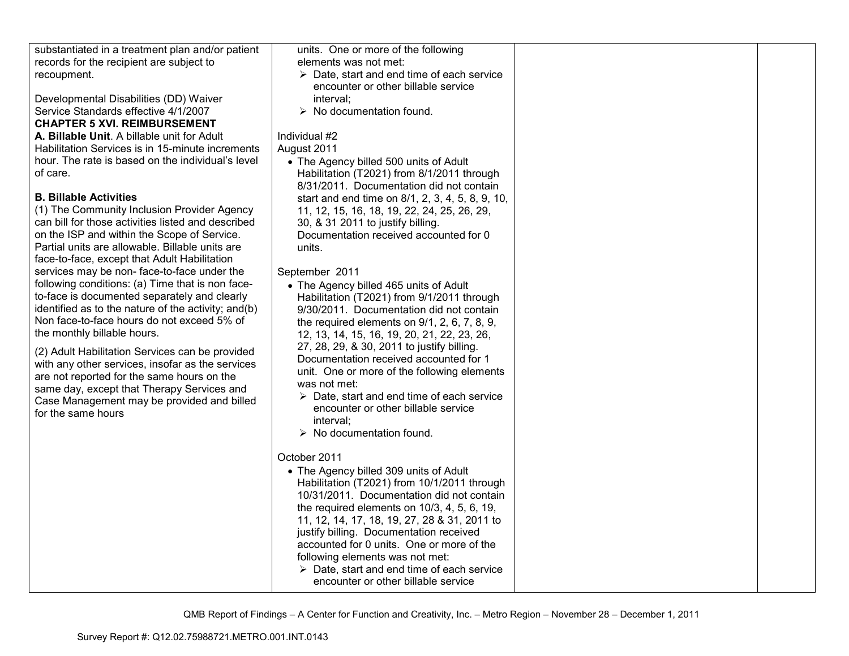| substantiated in a treatment plan and/or patient    | units. One or more of the following                            |  |
|-----------------------------------------------------|----------------------------------------------------------------|--|
| records for the recipient are subject to            | elements was not met:                                          |  |
| recoupment.                                         | $\triangleright$ Date, start and end time of each service      |  |
|                                                     | encounter or other billable service                            |  |
| Developmental Disabilities (DD) Waiver              | interval;                                                      |  |
| Service Standards effective 4/1/2007                | $\triangleright$ No documentation found.                       |  |
| <b>CHAPTER 5 XVI. REIMBURSEMENT</b>                 |                                                                |  |
| A. Billable Unit. A billable unit for Adult         | Individual #2                                                  |  |
| Habilitation Services is in 15-minute increments    | August 2011                                                    |  |
| hour. The rate is based on the individual's level   | • The Agency billed 500 units of Adult                         |  |
| of care.                                            | Habilitation (T2021) from 8/1/2011 through                     |  |
|                                                     | 8/31/2011. Documentation did not contain                       |  |
| <b>B. Billable Activities</b>                       | start and end time on 8/1, 2, 3, 4, 5, 8, 9, 10,               |  |
| (1) The Community Inclusion Provider Agency         | 11, 12, 15, 16, 18, 19, 22, 24, 25, 26, 29,                    |  |
| can bill for those activities listed and described  | 30, & 31 2011 to justify billing.                              |  |
| on the ISP and within the Scope of Service.         | Documentation received accounted for 0                         |  |
| Partial units are allowable. Billable units are     | units.                                                         |  |
| face-to-face, except that Adult Habilitation        |                                                                |  |
| services may be non-face-to-face under the          | September 2011                                                 |  |
| following conditions: (a) Time that is non face-    | • The Agency billed 465 units of Adult                         |  |
| to-face is documented separately and clearly        | Habilitation (T2021) from 9/1/2011 through                     |  |
| identified as to the nature of the activity; and(b) | 9/30/2011. Documentation did not contain                       |  |
| Non face-to-face hours do not exceed 5% of          | the required elements on $9/1$ , $2$ , $6$ , $7$ , $8$ , $9$ , |  |
| the monthly billable hours.                         | 12, 13, 14, 15, 16, 19, 20, 21, 22, 23, 26,                    |  |
|                                                     | 27, 28, 29, & 30, 2011 to justify billing.                     |  |
| (2) Adult Habilitation Services can be provided     | Documentation received accounted for 1                         |  |
| with any other services, insofar as the services    | unit. One or more of the following elements                    |  |
| are not reported for the same hours on the          | was not met:                                                   |  |
| same day, except that Therapy Services and          | $\triangleright$ Date, start and end time of each service      |  |
| Case Management may be provided and billed          | encounter or other billable service                            |  |
| for the same hours                                  | interval;                                                      |  |
|                                                     | $\triangleright$ No documentation found.                       |  |
|                                                     |                                                                |  |
|                                                     | October 2011                                                   |  |
|                                                     |                                                                |  |
|                                                     | • The Agency billed 309 units of Adult                         |  |
|                                                     | Habilitation (T2021) from 10/1/2011 through                    |  |
|                                                     | 10/31/2011. Documentation did not contain                      |  |
|                                                     | the required elements on $10/3$ , $4$ , $5$ , $6$ , $19$ ,     |  |
|                                                     | 11, 12, 14, 17, 18, 19, 27, 28 & 31, 2011 to                   |  |
|                                                     | justify billing. Documentation received                        |  |
|                                                     | accounted for 0 units. One or more of the                      |  |
|                                                     | following elements was not met:                                |  |
|                                                     | $\triangleright$ Date, start and end time of each service      |  |
|                                                     | encounter or other billable service                            |  |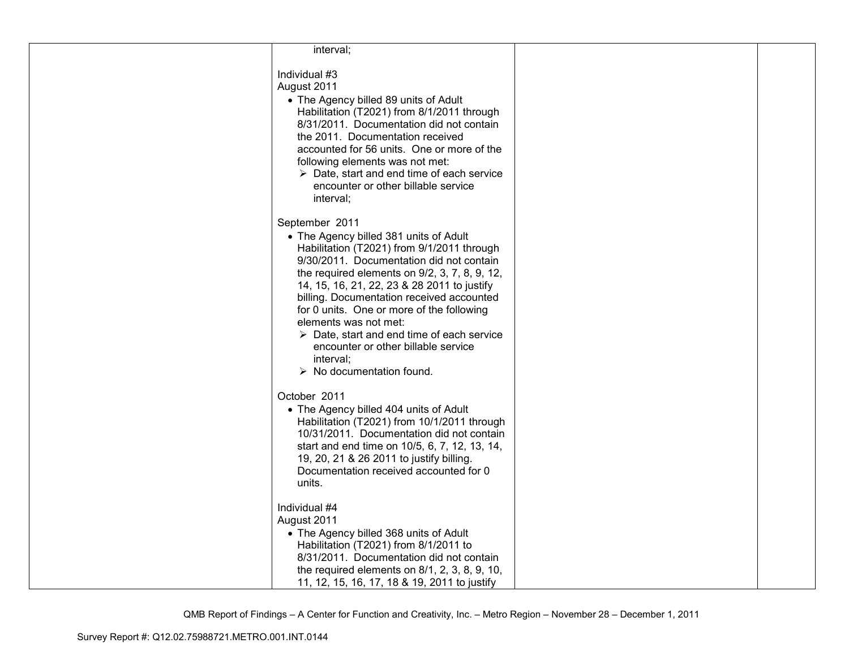| interval;                                                                                                                                                                                                                                                                                                                                                                                                                                                                                                                          |  |
|------------------------------------------------------------------------------------------------------------------------------------------------------------------------------------------------------------------------------------------------------------------------------------------------------------------------------------------------------------------------------------------------------------------------------------------------------------------------------------------------------------------------------------|--|
| Individual #3<br>August 2011<br>• The Agency billed 89 units of Adult<br>Habilitation (T2021) from 8/1/2011 through<br>8/31/2011. Documentation did not contain<br>the 2011. Documentation received<br>accounted for 56 units. One or more of the<br>following elements was not met:<br>$\triangleright$ Date, start and end time of each service<br>encounter or other billable service<br>interval;                                                                                                                              |  |
| September 2011<br>• The Agency billed 381 units of Adult<br>Habilitation (T2021) from 9/1/2011 through<br>9/30/2011. Documentation did not contain<br>the required elements on 9/2, 3, 7, 8, 9, 12,<br>14, 15, 16, 21, 22, 23 & 28 2011 to justify<br>billing. Documentation received accounted<br>for 0 units. One or more of the following<br>elements was not met:<br>$\triangleright$ Date, start and end time of each service<br>encounter or other billable service<br>interval;<br>$\triangleright$ No documentation found. |  |
| October 2011<br>• The Agency billed 404 units of Adult<br>Habilitation (T2021) from 10/1/2011 through<br>10/31/2011. Documentation did not contain<br>start and end time on 10/5, 6, 7, 12, 13, 14,<br>19, 20, 21 & 26 2011 to justify billing.<br>Documentation received accounted for 0<br>units.                                                                                                                                                                                                                                |  |
| Individual #4<br>August 2011<br>• The Agency billed 368 units of Adult<br>Habilitation (T2021) from 8/1/2011 to<br>8/31/2011. Documentation did not contain<br>the required elements on $8/1$ , $2$ , $3$ , $8$ , $9$ , $10$ ,<br>11, 12, 15, 16, 17, 18 & 19, 2011 to justify                                                                                                                                                                                                                                                     |  |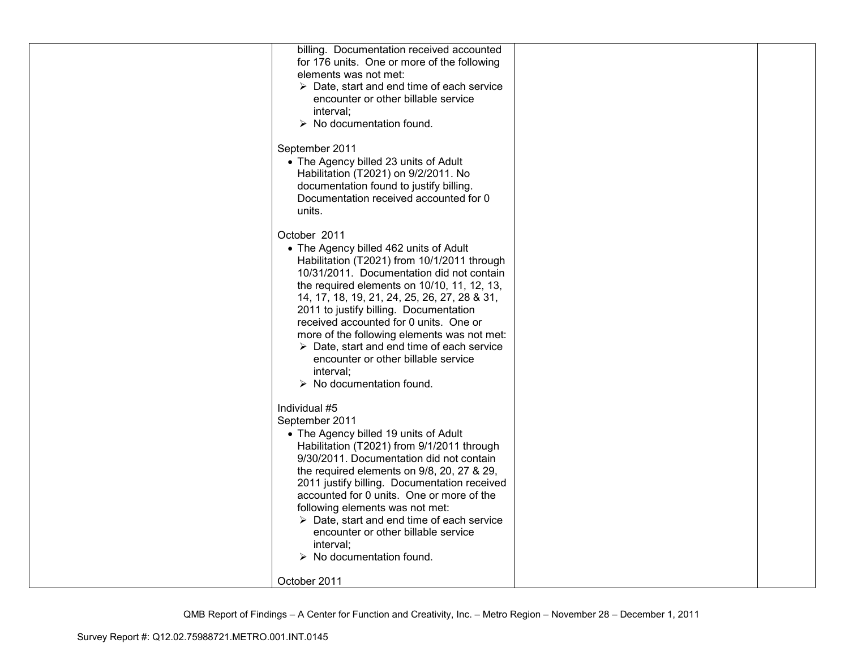| billing. Documentation received accounted                 |  |
|-----------------------------------------------------------|--|
|                                                           |  |
| for 176 units. One or more of the following               |  |
| elements was not met:                                     |  |
| $\triangleright$ Date, start and end time of each service |  |
| encounter or other billable service                       |  |
| interval:                                                 |  |
| $\triangleright$ No documentation found.                  |  |
|                                                           |  |
| September 2011                                            |  |
|                                                           |  |
| • The Agency billed 23 units of Adult                     |  |
| Habilitation (T2021) on 9/2/2011. No                      |  |
| documentation found to justify billing.                   |  |
| Documentation received accounted for 0                    |  |
| units.                                                    |  |
|                                                           |  |
| October 2011                                              |  |
| • The Agency billed 462 units of Adult                    |  |
|                                                           |  |
| Habilitation (T2021) from 10/1/2011 through               |  |
| 10/31/2011. Documentation did not contain                 |  |
| the required elements on 10/10, 11, 12, 13,               |  |
| 14, 17, 18, 19, 21, 24, 25, 26, 27, 28 & 31,              |  |
| 2011 to justify billing. Documentation                    |  |
| received accounted for 0 units. One or                    |  |
| more of the following elements was not met:               |  |
| $\triangleright$ Date, start and end time of each service |  |
| encounter or other billable service                       |  |
| interval;                                                 |  |
|                                                           |  |
| $\triangleright$ No documentation found.                  |  |
|                                                           |  |
| Individual #5                                             |  |
| September 2011                                            |  |
| • The Agency billed 19 units of Adult                     |  |
| Habilitation (T2021) from 9/1/2011 through                |  |
| 9/30/2011. Documentation did not contain                  |  |
| the required elements on 9/8, 20, 27 & 29,                |  |
| 2011 justify billing. Documentation received              |  |
| accounted for 0 units. One or more of the                 |  |
|                                                           |  |
| following elements was not met:                           |  |
| $\triangleright$ Date, start and end time of each service |  |
| encounter or other billable service                       |  |
| interval;                                                 |  |
| $\triangleright$ No documentation found.                  |  |
|                                                           |  |
| October 2011                                              |  |
|                                                           |  |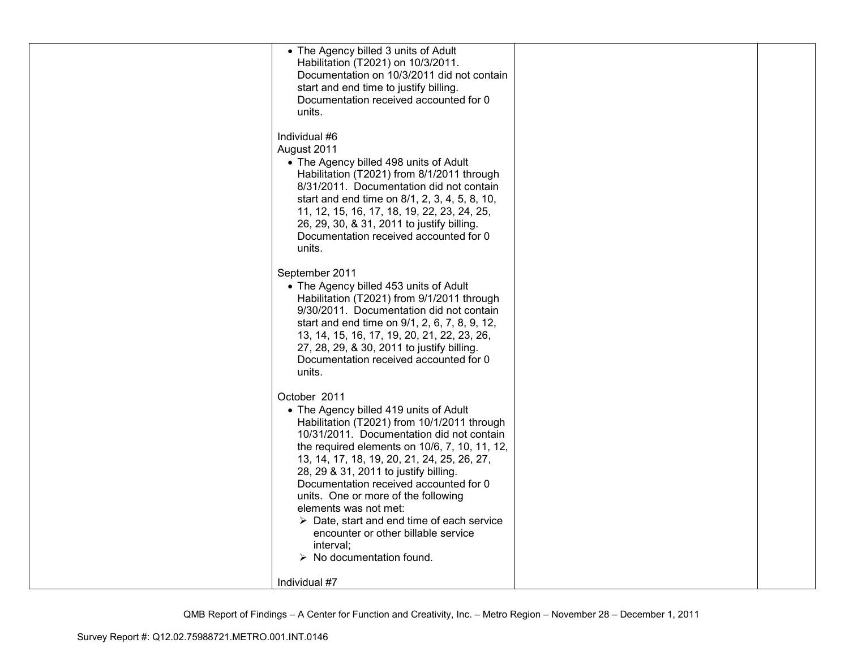| units.                                 | • The Agency billed 3 units of Adult<br>Habilitation (T2021) on 10/3/2011.<br>Documentation on 10/3/2011 did not contain<br>start and end time to justify billing.<br>Documentation received accounted for 0                                                                                                                                                                                                                                                                                                                                       |  |
|----------------------------------------|----------------------------------------------------------------------------------------------------------------------------------------------------------------------------------------------------------------------------------------------------------------------------------------------------------------------------------------------------------------------------------------------------------------------------------------------------------------------------------------------------------------------------------------------------|--|
| Individual #6<br>August 2011<br>units. | • The Agency billed 498 units of Adult<br>Habilitation (T2021) from 8/1/2011 through<br>8/31/2011. Documentation did not contain<br>start and end time on 8/1, 2, 3, 4, 5, 8, 10,<br>11, 12, 15, 16, 17, 18, 19, 22, 23, 24, 25,<br>26, 29, 30, & 31, 2011 to justify billing.<br>Documentation received accounted for 0                                                                                                                                                                                                                           |  |
| units.                                 | September 2011<br>• The Agency billed 453 units of Adult<br>Habilitation (T2021) from 9/1/2011 through<br>9/30/2011. Documentation did not contain<br>start and end time on 9/1, 2, 6, 7, 8, 9, 12,<br>13, 14, 15, 16, 17, 19, 20, 21, 22, 23, 26,<br>27, 28, 29, & 30, 2011 to justify billing.<br>Documentation received accounted for 0                                                                                                                                                                                                         |  |
| October 2011                           | • The Agency billed 419 units of Adult<br>Habilitation (T2021) from 10/1/2011 through<br>10/31/2011. Documentation did not contain<br>the required elements on 10/6, 7, 10, 11, 12,<br>13, 14, 17, 18, 19, 20, 21, 24, 25, 26, 27,<br>28, 29 & 31, 2011 to justify billing.<br>Documentation received accounted for 0<br>units. One or more of the following<br>elements was not met:<br>$\triangleright$ Date, start and end time of each service<br>encounter or other billable service<br>interval;<br>$\triangleright$ No documentation found. |  |
| Individual #7                          |                                                                                                                                                                                                                                                                                                                                                                                                                                                                                                                                                    |  |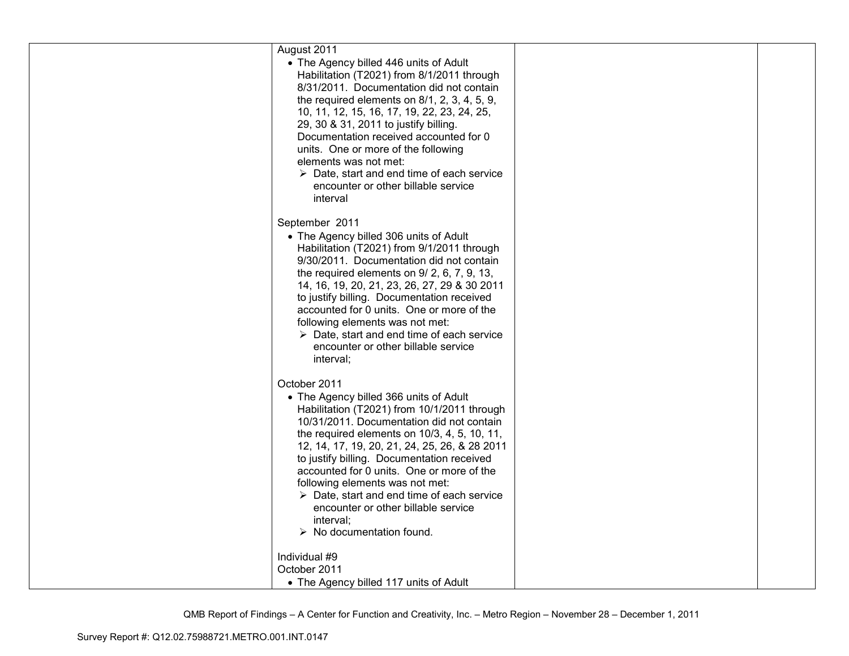| August 2011<br>• The Agency billed 446 units of Adult<br>Habilitation (T2021) from 8/1/2011 through<br>8/31/2011. Documentation did not contain<br>the required elements on 8/1, 2, 3, 4, 5, 9,<br>10, 11, 12, 15, 16, 17, 19, 22, 23, 24, 25,                                                                                                                                                                                                                                                                                                 |  |
|------------------------------------------------------------------------------------------------------------------------------------------------------------------------------------------------------------------------------------------------------------------------------------------------------------------------------------------------------------------------------------------------------------------------------------------------------------------------------------------------------------------------------------------------|--|
| 29, 30 & 31, 2011 to justify billing.<br>Documentation received accounted for 0<br>units. One or more of the following<br>elements was not met:<br>$\triangleright$ Date, start and end time of each service<br>encounter or other billable service<br>interval                                                                                                                                                                                                                                                                                |  |
| September 2011<br>• The Agency billed 306 units of Adult<br>Habilitation (T2021) from 9/1/2011 through<br>9/30/2011. Documentation did not contain<br>the required elements on 9/2, 6, 7, 9, 13,<br>14, 16, 19, 20, 21, 23, 26, 27, 29 & 30 2011<br>to justify billing. Documentation received<br>accounted for 0 units. One or more of the<br>following elements was not met:<br>$\triangleright$ Date, start and end time of each service<br>encounter or other billable service<br>interval;                                                |  |
| October 2011<br>• The Agency billed 366 units of Adult<br>Habilitation (T2021) from 10/1/2011 through<br>10/31/2011. Documentation did not contain<br>the required elements on 10/3, 4, 5, 10, 11,<br>12, 14, 17, 19, 20, 21, 24, 25, 26, & 28 2011<br>to justify billing. Documentation received<br>accounted for 0 units. One or more of the<br>following elements was not met:<br>$\triangleright$ Date, start and end time of each service<br>encounter or other billable service<br>interval;<br>$\triangleright$ No documentation found. |  |
| Individual #9<br>October 2011<br>• The Agency billed 117 units of Adult                                                                                                                                                                                                                                                                                                                                                                                                                                                                        |  |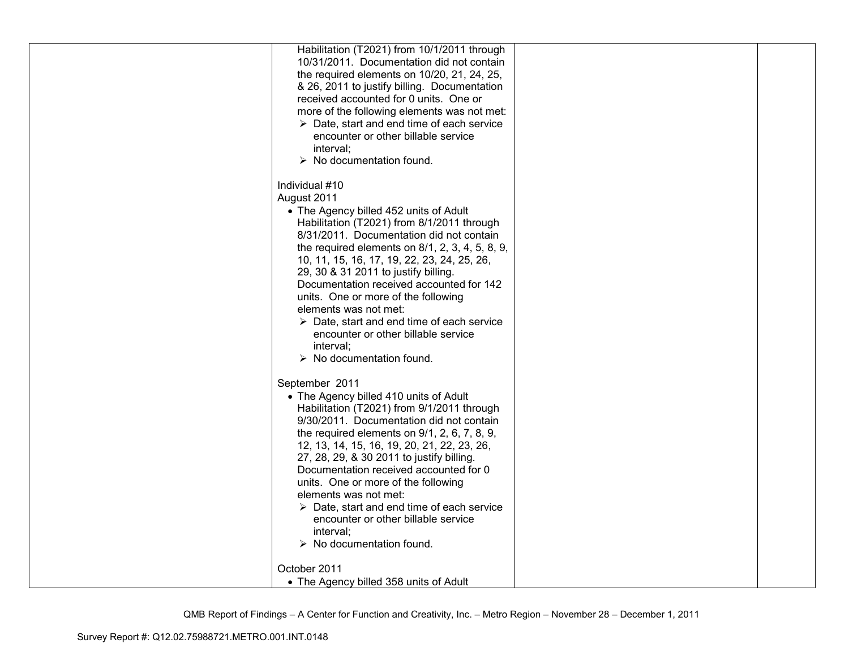| Habilitation (T2021) from 10/1/2011 through                          |  |
|----------------------------------------------------------------------|--|
| 10/31/2011. Documentation did not contain                            |  |
| the required elements on 10/20, 21, 24, 25,                          |  |
| & 26, 2011 to justify billing. Documentation                         |  |
|                                                                      |  |
| received accounted for 0 units. One or                               |  |
| more of the following elements was not met:                          |  |
| $\triangleright$ Date, start and end time of each service            |  |
| encounter or other billable service                                  |  |
| interval;                                                            |  |
| $\triangleright$ No documentation found.                             |  |
| Individual #10                                                       |  |
| August 2011                                                          |  |
| • The Agency billed 452 units of Adult                               |  |
| Habilitation (T2021) from 8/1/2011 through                           |  |
|                                                                      |  |
| 8/31/2011. Documentation did not contain                             |  |
| the required elements on $8/1$ , $2$ , $3$ , $4$ , $5$ , $8$ , $9$ , |  |
| 10, 11, 15, 16, 17, 19, 22, 23, 24, 25, 26,                          |  |
| 29, 30 & 31 2011 to justify billing.                                 |  |
| Documentation received accounted for 142                             |  |
| units. One or more of the following                                  |  |
| elements was not met:                                                |  |
| $\triangleright$ Date, start and end time of each service            |  |
| encounter or other billable service                                  |  |
| interval;                                                            |  |
| $\triangleright$ No documentation found.                             |  |
| September 2011                                                       |  |
|                                                                      |  |
| • The Agency billed 410 units of Adult                               |  |
| Habilitation (T2021) from 9/1/2011 through                           |  |
| 9/30/2011. Documentation did not contain                             |  |
| the required elements on $9/1$ , $2$ , $6$ , $7$ , $8$ , $9$ ,       |  |
| 12, 13, 14, 15, 16, 19, 20, 21, 22, 23, 26,                          |  |
| 27, 28, 29, & 30 2011 to justify billing.                            |  |
| Documentation received accounted for 0                               |  |
| units. One or more of the following                                  |  |
| elements was not met:                                                |  |
| $\triangleright$ Date, start and end time of each service            |  |
| encounter or other billable service                                  |  |
| interval;                                                            |  |
| $\triangleright$ No documentation found.                             |  |
| October 2011                                                         |  |
|                                                                      |  |
| • The Agency billed 358 units of Adult                               |  |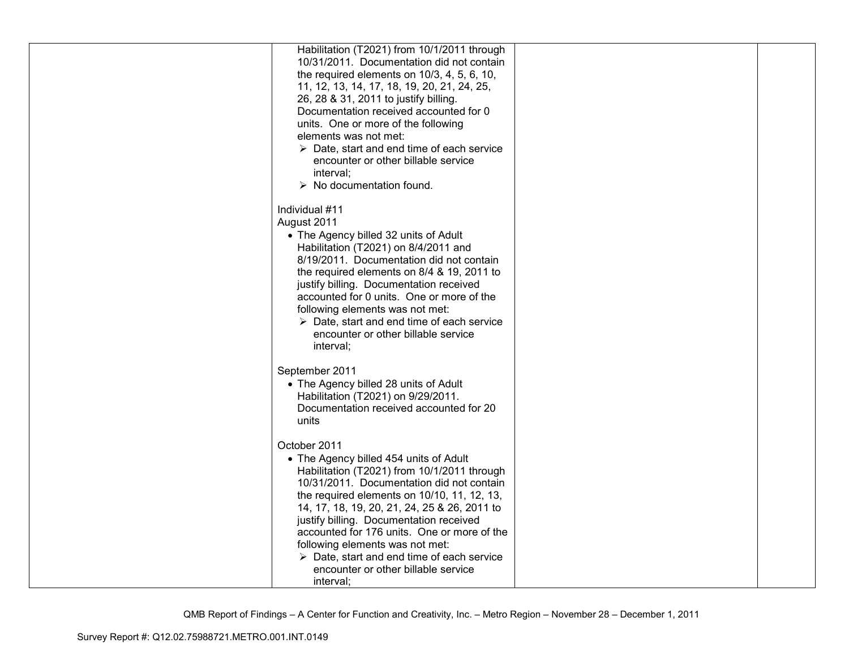| Habilitation (T2021) from 10/1/2011 through               |  |
|-----------------------------------------------------------|--|
| 10/31/2011. Documentation did not contain                 |  |
| the required elements on 10/3, 4, 5, 6, 10,               |  |
| 11, 12, 13, 14, 17, 18, 19, 20, 21, 24, 25,               |  |
| 26, 28 & 31, 2011 to justify billing.                     |  |
| Documentation received accounted for 0                    |  |
| units. One or more of the following                       |  |
| elements was not met:                                     |  |
| $\triangleright$ Date, start and end time of each service |  |
| encounter or other billable service                       |  |
| interval;                                                 |  |
| $\triangleright$ No documentation found.                  |  |
|                                                           |  |
| Individual #11                                            |  |
| August 2011                                               |  |
| • The Agency billed 32 units of Adult                     |  |
| Habilitation (T2021) on 8/4/2011 and                      |  |
| 8/19/2011. Documentation did not contain                  |  |
| the required elements on 8/4 & 19, 2011 to                |  |
| justify billing. Documentation received                   |  |
| accounted for 0 units. One or more of the                 |  |
| following elements was not met:                           |  |
| $\triangleright$ Date, start and end time of each service |  |
| encounter or other billable service                       |  |
| interval;                                                 |  |
|                                                           |  |
| September 2011                                            |  |
| • The Agency billed 28 units of Adult                     |  |
| Habilitation (T2021) on 9/29/2011.                        |  |
| Documentation received accounted for 20                   |  |
| units                                                     |  |
|                                                           |  |
| October 2011                                              |  |
| • The Agency billed 454 units of Adult                    |  |
| Habilitation (T2021) from 10/1/2011 through               |  |
| 10/31/2011. Documentation did not contain                 |  |
| the required elements on 10/10, 11, 12, 13,               |  |
| 14, 17, 18, 19, 20, 21, 24, 25 & 26, 2011 to              |  |
| justify billing. Documentation received                   |  |
| accounted for 176 units. One or more of the               |  |
| following elements was not met:                           |  |
| $\triangleright$ Date, start and end time of each service |  |
| encounter or other billable service                       |  |
| interval;                                                 |  |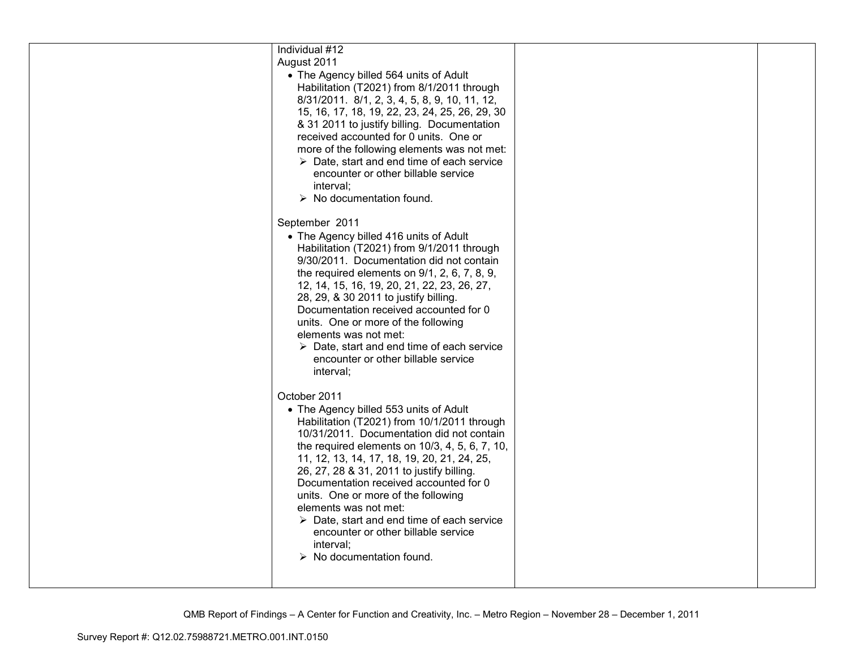| Individual #12<br>August 2011<br>• The Agency billed 564 units of Adult<br>Habilitation (T2021) from 8/1/2011 through<br>8/31/2011. 8/1, 2, 3, 4, 5, 8, 9, 10, 11, 12,<br>15, 16, 17, 18, 19, 22, 23, 24, 25, 26, 29, 30<br>& 31 2011 to justify billing. Documentation<br>received accounted for 0 units. One or<br>more of the following elements was not met:<br>$\triangleright$ Date, start and end time of each service<br>encounter or other billable service<br>interval;<br>$\triangleright$ No documentation found.                                           |  |
|-------------------------------------------------------------------------------------------------------------------------------------------------------------------------------------------------------------------------------------------------------------------------------------------------------------------------------------------------------------------------------------------------------------------------------------------------------------------------------------------------------------------------------------------------------------------------|--|
| September 2011<br>• The Agency billed 416 units of Adult<br>Habilitation (T2021) from 9/1/2011 through<br>9/30/2011. Documentation did not contain<br>the required elements on $9/1$ , $2$ , $6$ , $7$ , $8$ , $9$ ,<br>12, 14, 15, 16, 19, 20, 21, 22, 23, 26, 27,<br>28, 29, & 30 2011 to justify billing.<br>Documentation received accounted for 0<br>units. One or more of the following<br>elements was not met:<br>$\triangleright$ Date, start and end time of each service<br>encounter or other billable service<br>interval;                                 |  |
| October 2011<br>• The Agency billed 553 units of Adult<br>Habilitation (T2021) from 10/1/2011 through<br>10/31/2011. Documentation did not contain<br>the required elements on 10/3, 4, 5, 6, 7, 10,<br>11, 12, 13, 14, 17, 18, 19, 20, 21, 24, 25,<br>26, 27, 28 & 31, 2011 to justify billing.<br>Documentation received accounted for 0<br>units. One or more of the following<br>elements was not met:<br>$\triangleright$ Date, start and end time of each service<br>encounter or other billable service<br>interval;<br>$\triangleright$ No documentation found. |  |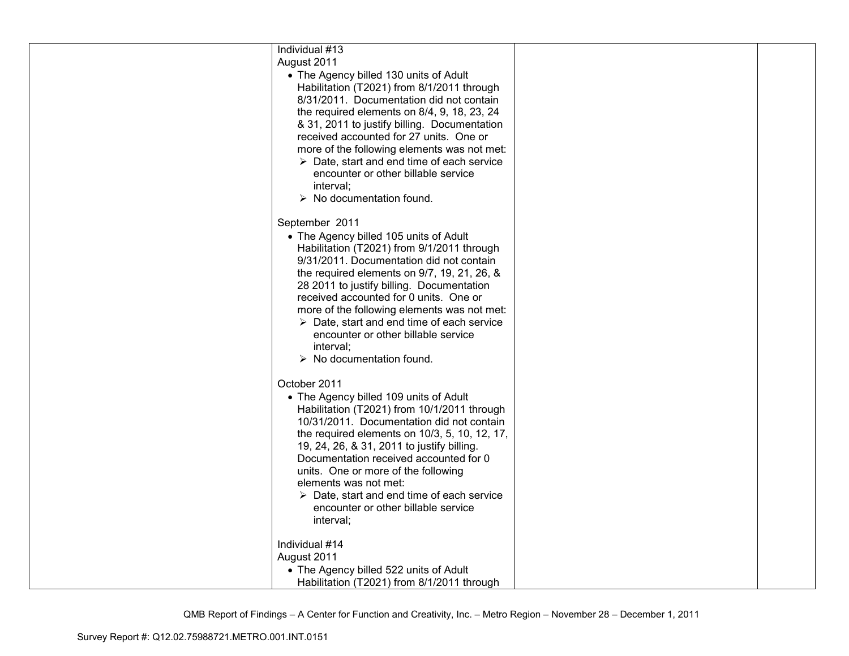| Individual #13                                            |  |
|-----------------------------------------------------------|--|
| August 2011                                               |  |
| • The Agency billed 130 units of Adult                    |  |
| Habilitation (T2021) from 8/1/2011 through                |  |
| 8/31/2011. Documentation did not contain                  |  |
| the required elements on 8/4, 9, 18, 23, 24               |  |
| & 31, 2011 to justify billing. Documentation              |  |
| received accounted for 27 units. One or                   |  |
|                                                           |  |
| more of the following elements was not met:               |  |
| $\triangleright$ Date, start and end time of each service |  |
| encounter or other billable service                       |  |
| interval;                                                 |  |
| $\triangleright$ No documentation found.                  |  |
| September 2011                                            |  |
| • The Agency billed 105 units of Adult                    |  |
| Habilitation (T2021) from 9/1/2011 through                |  |
| 9/31/2011. Documentation did not contain                  |  |
| the required elements on 9/7, 19, 21, 26, &               |  |
| 28 2011 to justify billing. Documentation                 |  |
| received accounted for 0 units. One or                    |  |
|                                                           |  |
| more of the following elements was not met:               |  |
| $\triangleright$ Date, start and end time of each service |  |
| encounter or other billable service                       |  |
| interval;                                                 |  |
| $\triangleright$ No documentation found.                  |  |
| October 2011                                              |  |
| • The Agency billed 109 units of Adult                    |  |
| Habilitation (T2021) from 10/1/2011 through               |  |
| 10/31/2011. Documentation did not contain                 |  |
|                                                           |  |
| the required elements on 10/3, 5, 10, 12, 17,             |  |
| 19, 24, 26, & 31, 2011 to justify billing.                |  |
| Documentation received accounted for 0                    |  |
| units. One or more of the following                       |  |
| elements was not met:                                     |  |
| $\triangleright$ Date, start and end time of each service |  |
| encounter or other billable service                       |  |
| interval;                                                 |  |
| Individual #14                                            |  |
| August 2011                                               |  |
| • The Agency billed 522 units of Adult                    |  |
|                                                           |  |
| Habilitation (T2021) from 8/1/2011 through                |  |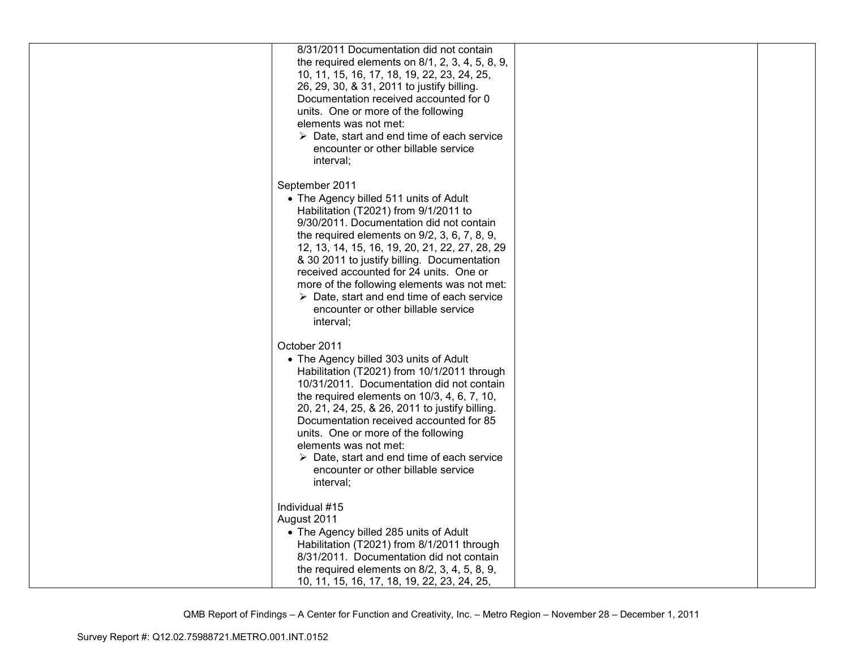| 8/31/2011 Documentation did not contain<br>the required elements on $8/1$ , $2$ , $3$ , $4$ , $5$ , $8$ , $9$ ,<br>10, 11, 15, 16, 17, 18, 19, 22, 23, 24, 25,<br>26, 29, 30, & 31, 2011 to justify billing.<br>Documentation received accounted for 0<br>units. One or more of the following<br>elements was not met:<br>$\triangleright$ Date, start and end time of each service<br>encounter or other billable service<br>interval;                                                                      |  |
|--------------------------------------------------------------------------------------------------------------------------------------------------------------------------------------------------------------------------------------------------------------------------------------------------------------------------------------------------------------------------------------------------------------------------------------------------------------------------------------------------------------|--|
| September 2011<br>• The Agency billed 511 units of Adult<br>Habilitation (T2021) from 9/1/2011 to<br>9/30/2011. Documentation did not contain<br>the required elements on $9/2$ , 3, 6, 7, 8, 9,<br>12, 13, 14, 15, 16, 19, 20, 21, 22, 27, 28, 29<br>& 30 2011 to justify billing. Documentation<br>received accounted for 24 units. One or<br>more of the following elements was not met:<br>$\triangleright$ Date, start and end time of each service<br>encounter or other billable service<br>interval; |  |
| October 2011<br>• The Agency billed 303 units of Adult<br>Habilitation (T2021) from 10/1/2011 through<br>10/31/2011. Documentation did not contain<br>the required elements on $10/3$ , $4$ , $6$ , $7$ , $10$ ,<br>20, 21, 24, 25, & 26, 2011 to justify billing.<br>Documentation received accounted for 85<br>units. One or more of the following<br>elements was not met:<br>$\triangleright$ Date, start and end time of each service<br>encounter or other billable service<br>interval;               |  |
| Individual #15<br>August 2011<br>• The Agency billed 285 units of Adult<br>Habilitation (T2021) from 8/1/2011 through<br>8/31/2011. Documentation did not contain<br>the required elements on $8/2$ , 3, 4, 5, 8, 9,<br>10, 11, 15, 16, 17, 18, 19, 22, 23, 24, 25,                                                                                                                                                                                                                                          |  |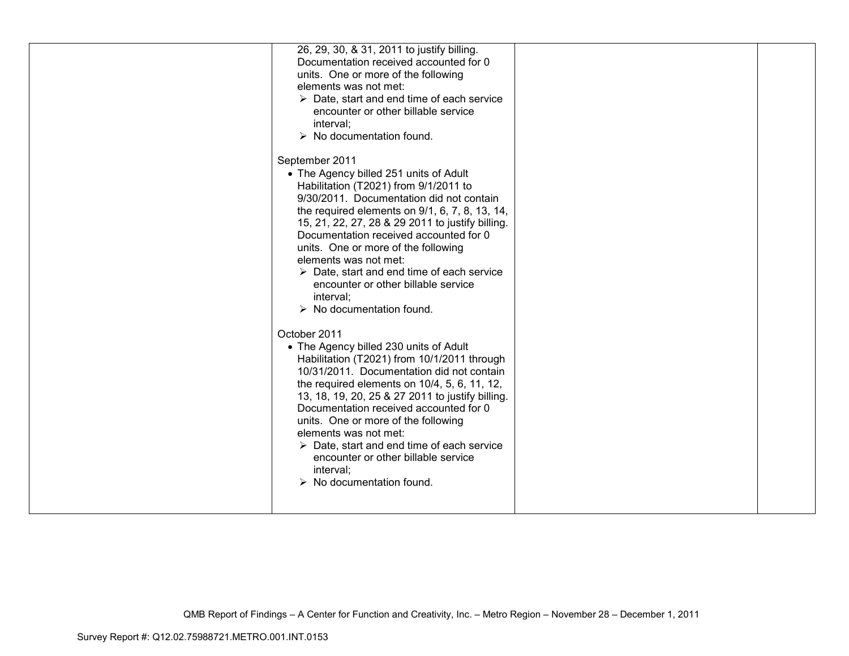| 26, 29, 30, & 31, 2011 to justify billing.<br>Documentation received accounted for 0<br>units. One or more of the following<br>elements was not met:<br>$\triangleright$ Date, start and end time of each service<br>encounter or other billable service<br>interval:<br>$\triangleright$ No documentation found.                                                                                                                                                                                                                                                                                                                   |  |
|-------------------------------------------------------------------------------------------------------------------------------------------------------------------------------------------------------------------------------------------------------------------------------------------------------------------------------------------------------------------------------------------------------------------------------------------------------------------------------------------------------------------------------------------------------------------------------------------------------------------------------------|--|
| September 2011<br>• The Agency billed 251 units of Adult<br>Habilitation (T2021) from 9/1/2011 to<br>9/30/2011. Documentation did not contain<br>the required elements on 9/1, 6, 7, 8, 13, 14,<br>15, 21, 22, 27, 28 & 29 2011 to justify billing.<br>Documentation received accounted for 0<br>units. One or more of the following<br>elements was not met:<br>$\triangleright$ Date, start and end time of each service<br>encounter or other billable service<br>interval;<br>$\triangleright$ No documentation found.<br>October 2011<br>• The Agency billed 230 units of Adult<br>Habilitation (T2021) from 10/1/2011 through |  |
| 10/31/2011. Documentation did not contain<br>the required elements on 10/4, 5, 6, 11, 12,<br>13, 18, 19, 20, 25 & 27 2011 to justify billing.<br>Documentation received accounted for 0<br>units. One or more of the following<br>elements was not met:<br>$\triangleright$ Date, start and end time of each service<br>encounter or other billable service<br>interval;<br>$\triangleright$ No documentation found.                                                                                                                                                                                                                |  |